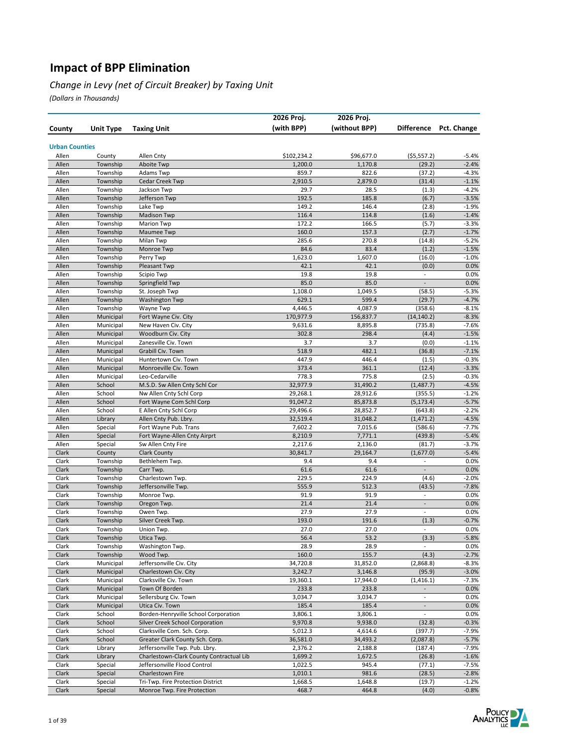#### *Change in Levy (net of Circuit Breaker) by Taxing Unit*

|                       |                        |                                                                   | 2026 Proj.          | 2026 Proj.          |                                       |                    |
|-----------------------|------------------------|-------------------------------------------------------------------|---------------------|---------------------|---------------------------------------|--------------------|
| County                | Unit Type              | <b>Taxing Unit</b>                                                | (with BPP)          | (without BPP)       | <b>Difference</b>                     | Pct. Change        |
|                       |                        |                                                                   |                     |                     |                                       |                    |
| <b>Urban Counties</b> |                        |                                                                   |                     |                     |                                       |                    |
| Allen                 | County                 | Allen Cnty                                                        | \$102,234.2         | \$96,677.0          | (55, 557.2)                           | $-5.4%$            |
| Allen<br>Allen        | Township               | Aboite Twp                                                        | 1,200.0<br>859.7    | 1,170.8<br>822.6    | (29.2)<br>(37.2)                      | $-2.4%$<br>$-4.3%$ |
| Allen                 | Township<br>Township   | Adams Twp<br><b>Cedar Creek Twp</b>                               | 2,910.5             | 2,879.0             | (31.4)                                | $-1.1%$            |
| Allen                 | Township               | Jackson Twp                                                       | 29.7                | 28.5                | (1.3)                                 | $-4.2%$            |
| Allen                 | Township               | Jefferson Twp                                                     | 192.5               | 185.8               | (6.7)                                 | $-3.5%$            |
| Allen                 | Township               | Lake Twp                                                          | 149.2               | 146.4               | (2.8)                                 | $-1.9%$            |
| Allen                 | Township               | <b>Madison Twp</b>                                                | 116.4               | 114.8               | (1.6)                                 | $-1.4%$            |
| Allen                 | Township               | <b>Marion Twp</b>                                                 | 172.2               | 166.5               | (5.7)                                 | $-3.3%$            |
| Allen                 | Township               | Maumee Twp                                                        | 160.0               | 157.3               | (2.7)                                 | $-1.7%$            |
| Allen                 | Township               | Milan Twp                                                         | 285.6               | 270.8               | (14.8)                                | $-5.2%$            |
| Allen                 | Township               | Monroe Twp                                                        | 84.6                | 83.4                | (1.2)                                 | $-1.5%$<br>$-1.0%$ |
| Allen<br>Allen        | Township<br>Township   | Perry Twp<br>Pleasant Twp                                         | 1,623.0<br>42.1     | 1,607.0<br>42.1     | (16.0)<br>(0.0)                       | 0.0%               |
| Allen                 | Township               | Scipio Twp                                                        | 19.8                | 19.8                | $\overline{\phantom{a}}$              | 0.0%               |
| Allen                 | Township               | Springfield Twp                                                   | 85.0                | 85.0                | $\overline{\phantom{a}}$              | 0.0%               |
| Allen                 | Township               | St. Joseph Twp                                                    | 1,108.0             | 1,049.5             | (58.5)                                | $-5.3%$            |
| Allen                 | Township               | <b>Washington Twp</b>                                             | 629.1               | 599.4               | (29.7)                                | $-4.7%$            |
| Allen                 | Township               | Wayne Twp                                                         | 4,446.5             | 4,087.9             | (358.6)                               | $-8.1%$            |
| Allen                 | Municipal              | Fort Wayne Civ. City                                              | 170,977.9           | 156,837.7           | (14, 140.2)                           | $-8.3%$            |
| Allen                 | Municipal              | New Haven Civ. City                                               | 9,631.6             | 8,895.8             | (735.8)                               | $-7.6%$            |
| Allen                 | Municipal              | Woodburn Civ. City                                                | 302.8               | 298.4               | (4.4)                                 | $-1.5%$            |
| Allen                 | Municipal              | Zanesville Civ. Town                                              | 3.7                 | 3.7                 | (0.0)                                 | $-1.1%$            |
| Allen<br>Allen        | Municipal<br>Municipal | Grabill Civ. Town<br>Huntertown Civ. Town                         | 518.9<br>447.9      | 482.1<br>446.4      | (36.8)                                | $-7.1%$<br>$-0.3%$ |
| Allen                 | Municipal              | Monroeville Civ. Town                                             | 373.4               | 361.1               | (1.5)<br>(12.4)                       | $-3.3%$            |
| Allen                 | Municipal              | Leo-Cedarville                                                    | 778.3               | 775.8               | (2.5)                                 | $-0.3%$            |
| Allen                 | School                 | M.S.D. Sw Allen Cnty Schl Cor                                     | 32,977.9            | 31,490.2            | (1,487.7)                             | $-4.5%$            |
| Allen                 | School                 | Nw Allen Cnty Schl Corp                                           | 29,268.1            | 28,912.6            | (355.5)                               | $-1.2%$            |
| Allen                 | School                 | Fort Wayne Com Schl Corp                                          | 91,047.2            | 85,873.8            | (5, 173.4)                            | $-5.7%$            |
| Allen                 | School                 | E Allen Cnty Schl Corp                                            | 29,496.6            | 28,852.7            | (643.8)                               | $-2.2%$            |
| Allen                 | Library                | Allen Cnty Pub. Lbry.                                             | 32,519.4            | 31,048.2            | (1, 471.2)                            | $-4.5%$            |
| Allen                 | Special                | Fort Wayne Pub. Trans                                             | 7,602.2             | 7,015.6             | (586.6)                               | $-7.7%$            |
| Allen                 | Special                | Fort Wayne-Allen Cnty Airprt                                      | 8,210.9             | 7,771.1             | (439.8)                               | $-5.4%$            |
| Allen                 | Special                | Sw Allen Cnty Fire                                                | 2,217.6             | 2,136.0             | (81.7)                                | $-3.7%$            |
| Clark<br>Clark        | County<br>Township     | <b>Clark County</b><br>Bethlehem Twp.                             | 30,841.7<br>9.4     | 29,164.7<br>9.4     | (1,677.0)<br>$\overline{\phantom{a}}$ | $-5.4%$<br>0.0%    |
| Clark                 | Township               | Carr Twp.                                                         | 61.6                | 61.6                | $\overline{\phantom{a}}$              | 0.0%               |
| Clark                 | Township               | Charlestown Twp.                                                  | 229.5               | 224.9               | (4.6)                                 | $-2.0%$            |
| Clark                 | Township               | Jeffersonville Twp.                                               | 555.9               | 512.3               | (43.5)                                | $-7.8%$            |
| Clark                 | Township               | Monroe Twp.                                                       | 91.9                | 91.9                | $\blacksquare$                        | 0.0%               |
| Clark                 | Township               | Oregon Twp.                                                       | 21.4                | 21.4                | $\overline{\phantom{a}}$              | 0.0%               |
| Clark                 | Township               | Owen Twp.                                                         | 27.9                | 27.9                | $\overline{\phantom{a}}$              | 0.0%               |
| Clark                 | Township               | Silver Creek Twp.                                                 | 193.0               | 191.6               | (1.3)                                 | $-0.7%$            |
| Clark                 | Township               | Union Twp.                                                        | 27.0                | 27.0                | $\overline{\phantom{a}}$              | 0.0%               |
| Clark<br>Clark        | Township<br>Township   | Utica Twp.<br>Washington Twp.                                     | 56.4<br>28.9        | 53.2<br>28.9        | (3.3)<br>$\blacksquare$               | $-5.8%$<br>0.0%    |
| Clark                 | Township               | Wood Twp.                                                         | 160.0               | 155.7               | (4.3)                                 | $-2.7%$            |
| Clark                 | Municipal              | Jeffersonville Civ. City                                          | 34,720.8            | 31,852.0            | (2,868.8)                             | $-8.3%$            |
| Clark                 | Municipal              | Charlestown Civ. City                                             | 3,242.7             | 3,146.8             | (95.9)                                | $-3.0%$            |
| Clark                 | Municipal              | Clarksville Civ. Town                                             | 19,360.1            | 17,944.0            | (1, 416.1)                            | $-7.3%$            |
| Clark                 | Municipal              | Town Of Borden                                                    | 233.8               | 233.8               |                                       | 0.0%               |
| Clark                 | Municipal              | Sellersburg Civ. Town                                             | 3,034.7             | 3,034.7             | $\blacksquare$                        | 0.0%               |
| Clark                 | Municipal              | Utica Civ. Town                                                   | 185.4               | 185.4               | $\overline{\phantom{a}}$              | 0.0%               |
| Clark                 | School                 | Borden-Henryville School Corporation                              | 3,806.1             | 3,806.1             | $\overline{\phantom{a}}$              | 0.0%               |
| Clark                 | School                 | Silver Creek School Corporation                                   | 9,970.8             | 9,938.0             | (32.8)                                | $-0.3%$            |
| Clark                 | School                 | Clarksville Com. Sch. Corp.                                       | 5,012.3             | 4,614.6             | (397.7)                               | $-7.9%$            |
| Clark<br>Clark        | School<br>Library      | Greater Clark County Sch. Corp.<br>Jeffersonville Twp. Pub. Lbry. | 36,581.0<br>2,376.2 | 34,493.2<br>2,188.8 | (2,087.8)<br>(187.4)                  | $-5.7%$<br>$-7.9%$ |
| Clark                 | Library                | Charlestown-Clark County Contractual Lib                          | 1,699.2             | 1,672.5             | (26.8)                                | $-1.6%$            |
| Clark                 | Special                | Jeffersonville Flood Control                                      | 1,022.5             | 945.4               | (77.1)                                | $-7.5%$            |
| Clark                 | Special                | Charlestown Fire                                                  | 1,010.1             | 981.6               | (28.5)                                | $-2.8%$            |
| Clark                 | Special                | Tri-Twp. Fire Protection District                                 | 1,668.5             | 1,648.8             | (19.7)                                | $-1.2%$            |
| Clark                 | Special                | Monroe Twp. Fire Protection                                       | 468.7               | 464.8               | (4.0)                                 | $-0.8%$            |

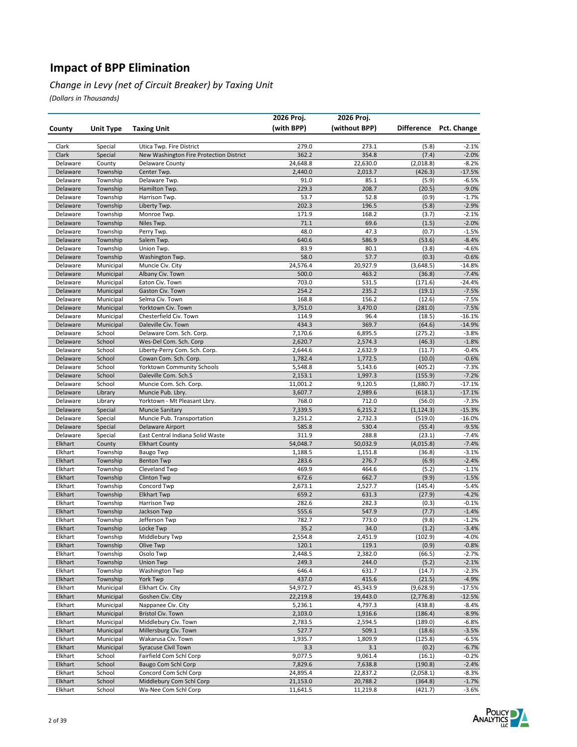#### *Change in Levy (net of Circuit Breaker) by Taxing Unit*

|                      |                      |                                                      | 2026 Proj.           | 2026 Proj.           |                       |                      |
|----------------------|----------------------|------------------------------------------------------|----------------------|----------------------|-----------------------|----------------------|
| County               | <b>Unit Type</b>     | <b>Taxing Unit</b>                                   | (with BPP)           | (without BPP)        | <b>Difference</b>     | Pct. Change          |
|                      |                      |                                                      |                      |                      |                       |                      |
| Clark                | Special              | Utica Twp. Fire District                             | 279.0                | 273.1                | (5.8)                 | $-2.1%$              |
| Clark                | Special              | New Washington Fire Protection District              | 362.2                | 354.8                | (7.4)                 | $-2.0%$              |
| Delaware             | County               | Delaware County                                      | 24,648.8             | 22,630.0             | (2,018.8)             | $-8.2%$              |
| Delaware             | Township             | Center Twp.                                          | 2,440.0              | 2,013.7              | (426.3)               | $-17.5%$             |
| Delaware             | Township             | Delaware Twp.                                        | 91.0                 | 85.1                 | (5.9)                 | $-6.5%$              |
| Delaware             | Township             | Hamilton Twp.                                        | 229.3                | 208.7                | (20.5)                | $-9.0%$              |
| Delaware             | Township             | Harrison Twp.                                        | 53.7                 | 52.8                 | (0.9)                 | $-1.7%$              |
| Delaware             | Township             | Liberty Twp.                                         | 202.3                | 196.5                | (5.8)                 | $-2.9%$              |
| Delaware             | Township             | Monroe Twp.                                          | 171.9                | 168.2                | (3.7)                 | $-2.1%$              |
| Delaware             | Township             | Niles Twp.                                           | 71.1                 | 69.6                 | (1.5)                 | $-2.0%$              |
| Delaware             | Township             | Perry Twp.                                           | 48.0<br>640.6        | 47.3<br>586.9        | (0.7)<br>(53.6)       | $-1.5%$<br>$-8.4%$   |
| Delaware<br>Delaware | Township<br>Township | Salem Twp.<br>Union Twp.                             | 83.9                 | 80.1                 | (3.8)                 | $-4.6%$              |
| Delaware             | Township             | Washington Twp.                                      | 58.0                 | 57.7                 | (0.3)                 | $-0.6%$              |
| Delaware             | Municipal            | Muncie Civ. City                                     | 24,576.4             | 20,927.9             | (3,648.5)             | -14.8%               |
| Delaware             | Municipal            | Albany Civ. Town                                     | 500.0                | 463.2                | (36.8)                | $-7.4%$              |
| Delaware             | Municipal            | Eaton Civ. Town                                      | 703.0                | 531.5                | (171.6)               | -24.4%               |
| Delaware             | Municipal            | Gaston Civ. Town                                     | 254.2                | 235.2                | (19.1)                | $-7.5%$              |
| Delaware             | Municipal            | Selma Civ. Town                                      | 168.8                | 156.2                | (12.6)                | $-7.5%$              |
| Delaware             | Municipal            | Yorktown Civ. Town                                   | 3,751.0              | 3,470.0              | (281.0)               | $-7.5%$              |
| Delaware             | Municipal            | Chesterfield Civ. Town                               | 114.9                | 96.4                 | (18.5)                | $-16.1%$             |
| Delaware             | Municipal            | Daleville Civ. Town                                  | 434.3                | 369.7                | (64.6)                | $-14.9%$             |
| Delaware             | School               | Delaware Com. Sch. Corp.                             | 7,170.6              | 6,895.5              | (275.2)               | $-3.8%$              |
| Delaware             | School               | Wes-Del Com. Sch. Corp                               | 2,620.7              | 2,574.3              | (46.3)                | $-1.8%$              |
| Delaware             | School               | Liberty-Perry Com. Sch. Corp.                        | 2,644.6              | 2,632.9              | (11.7)                | $-0.4%$              |
| Delaware             | School               | Cowan Com. Sch. Corp.                                | 1,782.4              | 1,772.5              | (10.0)                | $-0.6%$              |
| Delaware             | School               | <b>Yorktown Community Schools</b>                    | 5,548.8              | 5,143.6              | (405.2)               | $-7.3%$              |
| Delaware             | School               | Daleville Com. Sch.S                                 | 2,153.1              | 1,997.3              | (155.9)               | $-7.2%$              |
| Delaware             | School               | Muncie Com. Sch. Corp.                               | 11,001.2             | 9,120.5              | (1,880.7)             | $-17.1%$             |
| Delaware             | Library              | Muncie Pub. Lbry.                                    | 3,607.7              | 2,989.6              | (618.1)               | $-17.1%$             |
| Delaware             | Library              | Yorktown - Mt Pleasant Lbry.                         | 768.0                | 712.0                | (56.0)                | $-7.3%$              |
| Delaware<br>Delaware | Special<br>Special   | <b>Muncie Sanitary</b><br>Muncie Pub. Transportation | 7,339.5<br>3,251.2   | 6,215.2<br>2,732.3   | (1, 124.3)<br>(519.0) | $-15.3%$<br>$-16.0%$ |
| Delaware             | Special              | Delaware Airport                                     | 585.8                | 530.4                | (55.4)                | $-9.5%$              |
| Delaware             | Special              | East Central Indiana Solid Waste                     | 311.9                | 288.8                | (23.1)                | $-7.4%$              |
| Elkhart              | County               | <b>Elkhart County</b>                                | 54,048.7             | 50,032.9             | (4,015.8)             | $-7.4%$              |
| Elkhart              | Township             | <b>Baugo Twp</b>                                     | 1,188.5              | 1,151.8              | (36.8)                | $-3.1%$              |
| Elkhart              | Township             | <b>Benton Twp</b>                                    | 283.6                | 276.7                | (6.9)                 | $-2.4%$              |
| Elkhart              | Township             | Cleveland Twp                                        | 469.9                | 464.6                | (5.2)                 | $-1.1%$              |
| Elkhart              | Township             | <b>Clinton Twp</b>                                   | 672.6                | 662.7                | (9.9)                 | $-1.5%$              |
| Elkhart              | Township             | Concord Twp                                          | 2,673.1              | 2,527.7              | (145.4)               | $-5.4%$              |
| Elkhart              | Township             | <b>Elkhart Twp</b>                                   | 659.2                | 631.3                | (27.9)                | $-4.2%$              |
| Elkhart              | Township             | <b>Harrison Twp</b>                                  | 282.6                | 282.3                | (0.3)                 | $-0.1%$              |
| Elkhart              | Township             | Jackson Twp                                          | 555.6                | 547.9                | (7.7)                 | $-1.4%$              |
| Elkhart              | Township             | Jefferson Twp                                        | 782.7                | 773.0                | (9.8)                 | $-1.2%$              |
| Elkhart              | Township             | Locke Twp                                            | 35.2                 | 34.0                 | (1.2)                 | $-3.4%$              |
| Elkhart              | Township             | Middlebury Twp                                       | 2,554.8              | 2,451.9              | (102.9)               | -4.0%<br>$-0.8%$     |
| Elkhart<br>Elkhart   | Township<br>Township | Olive Twp<br>Osolo Twp                               | 120.1<br>2,448.5     | 119.1<br>2,382.0     | (0.9)<br>(66.5)       | $-2.7%$              |
| Elkhart              | Township             | <b>Union Twp</b>                                     | 249.3                | 244.0                | (5.2)                 | $-2.1%$              |
| Elkhart              | Township             | <b>Washington Twp</b>                                | 646.4                | 631.7                | (14.7)                | $-2.3%$              |
| Elkhart              | Township             | York Twp                                             | 437.0                | 415.6                | (21.5)                | $-4.9%$              |
| Elkhart              | Municipal            | Elkhart Civ. City                                    | 54,972.7             | 45,343.9             | (9,628.9)             | $-17.5%$             |
| Elkhart              | Municipal            | Goshen Civ. City                                     | 22,219.8             | 19,443.0             | (2, 776.8)            | $-12.5%$             |
| Elkhart              | Municipal            | Nappanee Civ. City                                   | 5,236.1              | 4,797.3              | (438.8)               | $-8.4%$              |
| Elkhart              | Municipal            | <b>Bristol Civ. Town</b>                             | 2,103.0              | 1,916.6              | (186.4)               | $-8.9%$              |
| Elkhart              | Municipal            | Middlebury Civ. Town                                 | 2,783.5              | 2,594.5              | (189.0)               | $-6.8%$              |
| Elkhart              | Municipal            | Millersburg Civ. Town                                | 527.7                | 509.1                | (18.6)                | $-3.5%$              |
| Elkhart              | Municipal            | Wakarusa Civ. Town                                   | 1,935.7              | 1,809.9              | (125.8)               | $-6.5%$              |
| Elkhart              | Municipal            | Syracuse Civil Town                                  | 3.3                  | 3.1                  | (0.2)                 | $-6.7%$              |
| Elkhart              | School               | Fairfield Com Schl Corp                              | 9,077.5              | 9,061.4              | (16.1)                | $-0.2%$              |
| Elkhart              | School               | <b>Baugo Com Schl Corp</b>                           | 7,829.6              | 7,638.8              | (190.8)               | $-2.4%$              |
| Elkhart              | School               | Concord Com Schl Corp<br>Middlebury Com Schl Corp    | 24,895.4             | 22,837.2             | (2,058.1)             | $-8.3%$              |
| Elkhart<br>Elkhart   | School<br>School     | Wa-Nee Com Schl Corp                                 | 21,153.0<br>11,641.5 | 20,788.2<br>11,219.8 | (364.8)<br>(421.7)    | $-1.7%$<br>$-3.6%$   |
|                      |                      |                                                      |                      |                      |                       |                      |

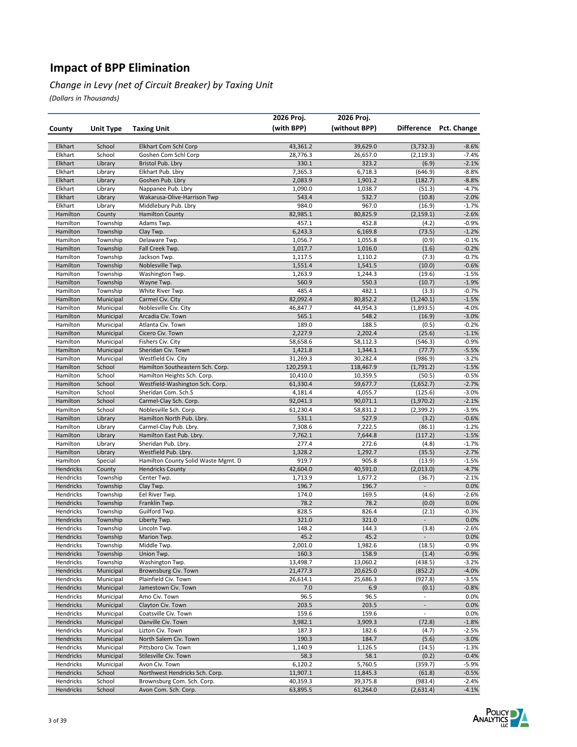#### *Change in Levy (net of Circuit Breaker) by Taxing Unit*

|                        |                        |                                                                | 2026 Proj.            | 2026 Proj.           |                          |                    |
|------------------------|------------------------|----------------------------------------------------------------|-----------------------|----------------------|--------------------------|--------------------|
| County                 | Unit Type              | <b>Taxing Unit</b>                                             | (with BPP)            | (without BPP)        | <b>Difference</b>        | Pct. Change        |
|                        |                        |                                                                |                       |                      |                          |                    |
| Elkhart                | School                 | Elkhart Com Schl Corp                                          | 43,361.2              | 39,629.0             | (3, 732.3)               | $-8.6%$            |
| Elkhart                | School                 | Goshen Com Schl Corp                                           | 28,776.3              | 26,657.0             | (2, 119.3)               | $-7.4%$            |
| Elkhart                | Library                | Bristol Pub. Lbry                                              | 330.1                 | 323.2                | (6.9)                    | $-2.1%$            |
| Elkhart                | Library                | Elkhart Pub. Lbry                                              | 7,365.3               | 6,718.3              | (646.9)                  | $-8.8%$            |
| Elkhart                | Library                | Goshen Pub. Lbry                                               | 2,083.9               | 1,901.2              | (182.7)                  | $-8.8%$            |
| Elkhart                | Library                | Nappanee Pub. Lbry                                             | 1,090.0               | 1,038.7              | (51.3)                   | $-4.7%$            |
| Elkhart                | Library                | Wakarusa-Olive-Harrison Twp                                    | 543.4                 | 532.7                | (10.8)                   | $-2.0%$            |
| Elkhart<br>Hamilton    | Library                | Middlebury Pub. Lbry                                           | 984.0                 | 967.0                | (16.9)                   | $-1.7%$<br>$-2.6%$ |
| Hamilton               | County<br>Township     | <b>Hamilton County</b><br>Adams Twp.                           | 82,985.1<br>457.1     | 80,825.9<br>452.8    | (2, 159.1)<br>(4.2)      | $-0.9%$            |
| Hamilton               | Township               | Clay Twp.                                                      | 6,243.3               | 6,169.8              | (73.5)                   | $-1.2%$            |
| Hamilton               | Township               | Delaware Twp.                                                  | 1,056.7               | 1,055.8              | (0.9)                    | $-0.1%$            |
| Hamilton               | Township               | Fall Creek Twp.                                                | 1,017.7               | 1,016.0              | (1.6)                    | $-0.2%$            |
| Hamilton               | Township               | Jackson Twp.                                                   | 1,117.5               | 1,110.2              | (7.3)                    | $-0.7%$            |
| Hamilton               | Township               | Noblesville Twp.                                               | 1,551.4               | 1,541.5              | (10.0)                   | $-0.6%$            |
| Hamilton               | Township               | Washington Twp.                                                | 1,263.9               | 1,244.3              | (19.6)                   | $-1.5%$            |
| Hamilton               | Township               | Wayne Twp.                                                     | 560.9                 | 550.3                | (10.7)                   | $-1.9%$            |
| Hamilton               | Township               | White River Twp.                                               | 485.4                 | 482.1                | (3.3)                    | $-0.7%$            |
| Hamilton               | Municipal              | Carmel Civ. City                                               | 82,092.4              | 80,852.2             | (1, 240.1)               | $-1.5%$            |
| Hamilton               | Municipal              | Noblesville Civ. City                                          | 46,847.7              | 44,954.3             | (1,893.5)                | $-4.0%$            |
| Hamilton               | Municipal              | Arcadia Civ. Town                                              | 565.1                 | 548.2                | (16.9)                   | $-3.0%$            |
| Hamilton               | Municipal              | Atlanta Civ. Town                                              | 189.0                 | 188.5                | (0.5)                    | $-0.2%$            |
| Hamilton               | Municipal              | Cicero Civ. Town                                               | 2,227.9               | 2,202.4              | (25.6)                   | $-1.1%$            |
| Hamilton               | Municipal              | Fishers Civ. City                                              | 58,658.6              | 58,112.3             | (546.3)                  | $-0.9%$            |
| Hamilton               | Municipal              | Sheridan Civ. Town                                             | 1,421.8               | 1,344.1              | (77.7)                   | $-5.5%$            |
| Hamilton               | Municipal              | Westfield Civ. City                                            | 31,269.3              | 30,282.4             | (986.9)                  | $-3.2%$            |
| Hamilton<br>Hamilton   | School<br>School       | Hamilton Southeastern Sch. Corp.                               | 120,259.1<br>10,410.0 | 118,467.9            | (1, 791.2)               | $-1.5%$<br>$-0.5%$ |
| Hamilton               | School                 | Hamilton Heights Sch. Corp.<br>Westfield-Washington Sch. Corp. | 61,330.4              | 10,359.5<br>59,677.7 | (50.5)<br>(1,652.7)      | $-2.7%$            |
| Hamilton               | School                 | Sheridan Com. Sch.S                                            | 4,181.4               | 4,055.7              | (125.6)                  | $-3.0%$            |
| Hamilton               | School                 | Carmel-Clay Sch. Corp.                                         | 92,041.3              | 90,071.1             | (1,970.2)                | $-2.1%$            |
| Hamilton               | School                 | Noblesville Sch. Corp.                                         | 61,230.4              | 58,831.2             | (2,399.2)                | $-3.9%$            |
| Hamilton               | Library                | Hamilton North Pub. Lbry.                                      | 531.1                 | 527.9                | (3.2)                    | $-0.6%$            |
| Hamilton               | Library                | Carmel-Clay Pub. Lbry.                                         | 7,308.6               | 7,222.5              | (86.1)                   | $-1.2%$            |
| Hamilton               | Library                | Hamilton East Pub. Lbry.                                       | 7,762.1               | 7,644.8              | (117.2)                  | $-1.5%$            |
| Hamilton               | Library                | Sheridan Pub. Lbry.                                            | 277.4                 | 272.6                | (4.8)                    | $-1.7%$            |
| Hamilton               | Library                | Westfield Pub. Lbry.                                           | 1,328.2               | 1,292.7              | (35.5)                   | $-2.7%$            |
| Hamilton               | Special                | Hamilton County Solid Waste Mgmt. D                            | 919.7                 | 905.8                | (13.9)                   | $-1.5%$            |
| Hendricks              | County                 | <b>Hendricks County</b>                                        | 42,604.0              | 40,591.0             | (2,013.0)                | $-4.7%$            |
| Hendricks              | Township               | Center Twp.                                                    | 1,713.9               | 1,677.2              | (36.7)                   | $-2.1%$            |
| Hendricks              | Township               | Clay Twp.                                                      | 196.7                 | 196.7                | $\frac{1}{2}$            | 0.0%               |
| Hendricks<br>Hendricks | Township               | Eel River Twp.                                                 | 174.0                 | 169.5<br>78.2        | (4.6)                    | $-2.6%$<br>0.0%    |
| Hendricks              | Township<br>Township   | Franklin Twp.<br>Guilford Twp.                                 | 78.2<br>828.5         | 826.4                | (0.0)<br>(2.1)           | $-0.3%$            |
| Hendricks              | Township               | Liberty Twp.                                                   | 321.0                 | 321.0                |                          | 0.0%               |
| Hendricks              | Township               | Lincoln Twp.                                                   | 148.2                 | 144.3                | (3.8)                    | $-2.6%$            |
| Hendricks              | Township               | Marion Twp.                                                    | 45.2                  | 45.2                 | $\sim$                   | 0.0%               |
| Hendricks              | Township               | Middle Twp.                                                    | 2,001.0               | 1,982.6              | (18.5)                   | $-0.9%$            |
| Hendricks              | Township               | Union Twp.                                                     | 160.3                 | 158.9                | (1.4)                    | $-0.9%$            |
| Hendricks              | Township               | Washington Twp.                                                | 13,498.7              | 13,060.2             | (438.5)                  | $-3.2%$            |
| Hendricks              | Municipal              | Brownsburg Civ. Town                                           | 21,477.3              | 20,625.0             | (852.2)                  | $-4.0%$            |
| Hendricks              | Municipal              | Plainfield Civ. Town                                           | 26,614.1              | 25,686.3             | (927.8)                  | $-3.5%$            |
| Hendricks              | Municipal              | Jamestown Civ. Town                                            | 7.0                   | 6.9                  | (0.1)                    | $-0.8%$            |
| Hendricks              | Municipal              | Amo Civ. Town                                                  | 96.5                  | 96.5                 | $\blacksquare$           | 0.0%               |
| Hendricks              | Municipal              | Clayton Civ. Town                                              | 203.5                 | 203.5                | $\blacksquare$           | 0.0%               |
| Hendricks              | Municipal              | Coatsville Civ. Town                                           | 159.6                 | 159.6                | $\overline{\phantom{a}}$ | 0.0%               |
| Hendricks              | Municipal              | Danville Civ. Town                                             | 3,982.1               | 3,909.3              | (72.8)                   | $-1.8%$            |
| Hendricks              | Municipal              | Lizton Civ. Town                                               | 187.3<br>190.3        | 182.6                | (4.7)                    | $-2.5%$            |
| Hendricks<br>Hendricks | Municipal<br>Municipal | North Salem Civ. Town<br>Pittsboro Civ. Town                   | 1,140.9               | 184.7<br>1,126.5     | (5.6)<br>(14.5)          | $-3.0%$<br>$-1.3%$ |
| Hendricks              | Municipal              | Stilesville Civ. Town                                          | 58.3                  | 58.1                 | (0.2)                    | $-0.4%$            |
| Hendricks              | Municipal              | Avon Civ. Town                                                 | 6,120.2               | 5,760.5              | (359.7)                  | $-5.9%$            |
| Hendricks              | School                 | Northwest Hendricks Sch. Corp.                                 | 11,907.1              | 11,845.3             | (61.8)                   | $-0.5%$            |
| Hendricks              | School                 | Brownsburg Com. Sch. Corp.                                     | 40,359.3              | 39,375.8             | (983.4)                  | $-2.4%$            |
| Hendricks              | School                 | Avon Com. Sch. Corp.                                           | 63,895.5              | 61,264.0             | (2,631.4)                | $-4.1%$            |

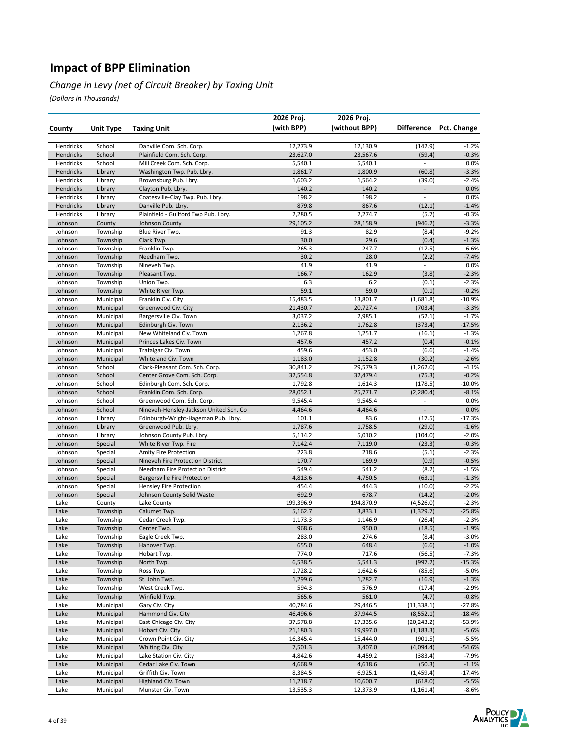#### *Change in Levy (net of Circuit Breaker) by Taxing Unit*

|                    |                        |                                                                     | 2026 Proj.          | 2026 Proj.          |                                            |                        |
|--------------------|------------------------|---------------------------------------------------------------------|---------------------|---------------------|--------------------------------------------|------------------------|
| County             | Unit Type              | <b>Taxing Unit</b>                                                  | (with BPP)          | (without BPP)       |                                            | Difference Pct. Change |
|                    |                        |                                                                     |                     |                     |                                            |                        |
| Hendricks          | School                 | Danville Com. Sch. Corp.                                            | 12,273.9            | 12,130.9            | (142.9)                                    | $-1.2%$                |
| Hendricks          | School                 | Plainfield Com. Sch. Corp.                                          | 23,627.0            | 23,567.6            | (59.4)                                     | $-0.3%$                |
| Hendricks          | School                 | Mill Creek Com. Sch. Corp.                                          | 5,540.1             | 5,540.1             | $\blacksquare$                             | 0.0%                   |
| Hendricks          | Library                | Washington Twp. Pub. Lbry.                                          | 1,861.7             | 1,800.9             | (60.8)                                     | $-3.3%$                |
| Hendricks          | Library                | Brownsburg Pub. Lbry.                                               | 1,603.2             | 1,564.2             | (39.0)                                     | $-2.4%$                |
| Hendricks          | Library                | Clayton Pub. Lbry.                                                  | 140.2               | 140.2               | $\overline{\phantom{a}}$                   | 0.0%                   |
| Hendricks          | Library                | Coatesville-Clay Twp. Pub. Lbry.                                    | 198.2               | 198.2               | $\overline{\phantom{a}}$                   | 0.0%                   |
| Hendricks          | Library                | Danville Pub. Lbry.                                                 | 879.8               | 867.6               | (12.1)                                     | $-1.4%$                |
| Hendricks          | Library                | Plainfield - Guilford Twp Pub. Lbry.                                | 2,280.5             | 2,274.7             | (5.7)                                      | $-0.3%$                |
| Johnson            | County                 | Johnson County                                                      | 29,105.2            | 28,158.9            | (946.2)                                    | $-3.3%$                |
| Johnson<br>Johnson | Township<br>Township   | Blue River Twp.<br>Clark Twp.                                       | 91.3<br>30.0        | 82.9<br>29.6        | (8.4)<br>(0.4)                             | $-9.2%$<br>$-1.3%$     |
| Johnson            | Township               | Franklin Twp.                                                       | 265.3               | 247.7               | (17.5)                                     | $-6.6%$                |
| Johnson            | Township               | Needham Twp.                                                        | 30.2                | 28.0                | (2.2)                                      | $-7.4%$                |
| Johnson            | Township               | Nineveh Twp.                                                        | 41.9                | 41.9                | $\overline{\phantom{a}}$                   | 0.0%                   |
| Johnson            | Township               | Pleasant Twp.                                                       | 166.7               | 162.9               | (3.8)                                      | $-2.3%$                |
| Johnson            | Township               | Union Twp.                                                          | 6.3                 | 6.2                 | (0.1)                                      | $-2.3%$                |
| Johnson            | Township               | White River Twp.                                                    | 59.1                | 59.0                | (0.1)                                      | $-0.2%$                |
| Johnson            | Municipal              | Franklin Civ. City                                                  | 15,483.5            | 13,801.7            | (1,681.8)                                  | $-10.9%$               |
| Johnson            | Municipal              | Greenwood Civ. City                                                 | 21,430.7            | 20,727.4            | (703.4)                                    | $-3.3%$                |
| Johnson            | Municipal              | Bargersville Civ. Town                                              | 3,037.2             | 2,985.1             | (52.1)                                     | $-1.7%$                |
| Johnson            | Municipal              | Edinburgh Civ. Town                                                 | 2,136.2             | 1,762.8             | (373.4)                                    | $-17.5%$               |
| Johnson            | Municipal              | New Whiteland Civ. Town                                             | 1,267.8             | 1,251.7             | (16.1)                                     | $-1.3%$                |
| Johnson            | Municipal              | Princes Lakes Civ. Town                                             | 457.6               | 457.2               | (0.4)                                      | $-0.1%$                |
| Johnson            | Municipal              | Trafalgar Civ. Town                                                 | 459.6               | 453.0               | (6.6)                                      | $-1.4%$                |
| Johnson            | Municipal              | Whiteland Civ. Town                                                 | 1,183.0             | 1,152.8             | (30.2)                                     | $-2.6%$                |
| Johnson            | School                 | Clark-Pleasant Com. Sch. Corp.                                      | 30,841.2            | 29,579.3            | (1,262.0)                                  | $-4.1%$                |
| Johnson            | School                 | Center Grove Com. Sch. Corp.                                        | 32,554.8            | 32,479.4            | (75.3)                                     | $-0.2%$                |
| Johnson            | School                 | Edinburgh Com. Sch. Corp.                                           | 1,792.8             | 1,614.3             | (178.5)                                    | $-10.0\%$              |
| Johnson            | School                 | Franklin Com. Sch. Corp.                                            | 28,052.1            | 25,771.7            | (2, 280.4)                                 | $-8.1%$                |
| Johnson<br>Johnson | School<br>School       | Greenwood Com. Sch. Corp.<br>Nineveh-Hensley-Jackson United Sch. Co | 9,545.4<br>4,464.6  | 9,545.4<br>4,464.6  | $\overline{\phantom{a}}$<br>$\overline{a}$ | 0.0%<br>0.0%           |
| Johnson            | Library                | Edinburgh-Wright-Hageman Pub. Lbry.                                 | 101.1               | 83.6                | (17.5)                                     | $-17.3%$               |
| Johnson            | Library                | Greenwood Pub. Lbry.                                                | 1,787.6             | 1,758.5             | (29.0)                                     | $-1.6%$                |
| Johnson            | Library                | Johnson County Pub. Lbry.                                           | 5,114.2             | 5,010.2             | (104.0)                                    | $-2.0%$                |
| Johnson            | Special                | White River Twp. Fire                                               | 7,142.4             | 7,119.0             | (23.3)                                     | $-0.3%$                |
| Johnson            | Special                | Amity Fire Protection                                               | 223.8               | 218.6               | (5.1)                                      | $-2.3%$                |
| Johnson            | Special                | Nineveh Fire Protection District                                    | 170.7               | 169.9               | (0.9)                                      | $-0.5%$                |
| Johnson            | Special                | Needham Fire Protection District                                    | 549.4               | 541.2               | (8.2)                                      | $-1.5%$                |
| Johnson            | Special                | <b>Bargersville Fire Protection</b>                                 | 4,813.6             | 4,750.5             | (63.1)                                     | $-1.3%$                |
| Johnson            | Special                | Hensley Fire Protection                                             | 454.4               | 444.3               | (10.0)                                     | $-2.2%$                |
| Johnson            | Special                | Johnson County Solid Waste                                          | 692.9               | 678.7               | (14.2)                                     | $-2.0%$                |
| Lake               | County                 | Lake County                                                         | 199,396.9           | 194,870.9           | (4,526.0)                                  | $-2.3%$                |
| Lake               | Township               | Calumet Twp.                                                        | 5,162.7             | 3,833.1             | (1, 329.7)                                 | $-25.8%$               |
| Lake               | Township               | Cedar Creek Twp.                                                    | 1,173.3             | 1,146.9             | (26.4)                                     | $-2.3%$                |
| Lake               | Township               | Center Twp.                                                         | 968.6               | 950.0               | (18.5)                                     | $-1.9%$                |
| Lake<br>Lake       | Township<br>Township   | Eagle Creek Twp.<br>Hanover Twp.                                    | 283.0<br>655.0      | 274.6<br>648.4      | (8.4)<br>(6.6)                             | -3.0%<br>$-1.0%$       |
| Lake               | Township               | Hobart Twp.                                                         | 774.0               | 717.6               | (56.5)                                     | $-7.3%$                |
| Lake               | Township               | North Twp.                                                          | 6,538.5             | 5,541.3             | (997.2)                                    | $-15.3%$               |
| Lake               | Township               | Ross Twp.                                                           | 1,728.2             | 1,642.6             | (85.6)                                     | $-5.0%$                |
| Lake               | Township               | St. John Twp.                                                       | 1,299.6             | 1,282.7             | (16.9)                                     | $-1.3%$                |
| Lake               | Township               | West Creek Twp.                                                     | 594.3               | 576.9               | (17.4)                                     | $-2.9%$                |
| Lake               | Township               | Winfield Twp.                                                       | 565.6               | 561.0               | (4.7)                                      | $-0.8%$                |
| Lake               | Municipal              | Gary Civ. City                                                      | 40,784.6            | 29,446.5            | (11, 338.1)                                | -27.8%                 |
| Lake               | Municipal              | Hammond Civ. City                                                   | 46,496.6            | 37,944.5            | (8, 552.1)                                 | $-18.4%$               |
| Lake               | Municipal              | East Chicago Civ. City                                              | 37,578.8            | 17,335.6            | (20, 243.2)                                | -53.9%                 |
| Lake               | Municipal              | Hobart Civ. City                                                    | 21,180.3            | 19,997.0            | (1, 183.3)                                 | $-5.6%$                |
| Lake               | Municipal              | Crown Point Civ. City                                               | 16,345.4            | 15,444.0            | (901.5)                                    | $-5.5%$                |
| Lake               | Municipal              | Whiting Civ. City                                                   | 7,501.3             | 3,407.0             | (4,094.4)                                  | -54.6%                 |
| Lake               | Municipal              | Lake Station Civ. City                                              | 4,842.6             | 4,459.2             | (383.4)                                    | $-7.9%$                |
| Lake               | Municipal              | Cedar Lake Civ. Town                                                | 4,668.9             | 4,618.6             | (50.3)                                     | $-1.1%$                |
| Lake<br>Lake       | Municipal<br>Municipal | Griffith Civ. Town<br>Highland Civ. Town                            | 8,384.5<br>11,218.7 | 6,925.1<br>10,600.7 | (1,459.4)<br>(618.0)                       | $-17.4%$<br>$-5.5%$    |
| Lake               | Municipal              | Munster Civ. Town                                                   | 13,535.3            | 12,373.9            | (1, 161.4)                                 | $-8.6%$                |
|                    |                        |                                                                     |                     |                     |                                            |                        |

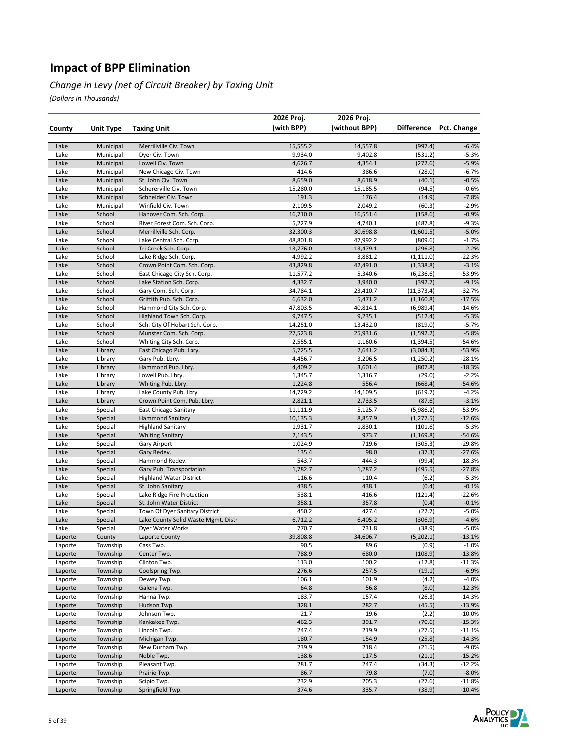#### *Change in Levy (net of Circuit Breaker) by Taxing Unit*

|                    |                      |                                                           | 2026 Proj.           | 2026 Proj.           |                       |                     |
|--------------------|----------------------|-----------------------------------------------------------|----------------------|----------------------|-----------------------|---------------------|
| County             | Unit Type            | <b>Taxing Unit</b>                                        | (with BPP)           | (without BPP)        | <b>Difference</b>     | Pct. Change         |
|                    |                      |                                                           |                      |                      |                       |                     |
| Lake               | Municipal            | Merrillville Civ. Town                                    | 15,555.2             | 14,557.8             | (997.4)               | $-6.4%$             |
| Lake               | Municipal            | Dyer Civ. Town                                            | 9,934.0              | 9,402.8              | (531.2)               | $-5.3%$             |
| Lake               | Municipal            | Lowell Civ. Town                                          | 4,626.7              | 4,354.1              | (272.6)               | $-5.9%$             |
| Lake               | Municipal            | New Chicago Civ. Town                                     | 414.6                | 386.6                | (28.0)                | $-6.7%$             |
| Lake               | Municipal            | St. John Civ. Town                                        | 8,659.0              | 8,618.9              | (40.1)                | $-0.5%$             |
| Lake               | Municipal            | Schererville Civ. Town                                    | 15,280.0             | 15,185.5             | (94.5)                | $-0.6%$             |
| Lake               | Municipal            | Schneider Civ. Town                                       | 191.3                | 176.4                | (14.9)                | $-7.8%$             |
| Lake               | Municipal            | Winfield Civ. Town                                        | 2,109.5              | 2,049.2              | (60.3)                | $-2.9%$             |
| Lake               | School               | Hanover Com. Sch. Corp.                                   | 16,710.0             | 16,551.4             | (158.6)               | $-0.9%$             |
| Lake               | School               | River Forest Com. Sch. Corp.                              | 5,227.9              | 4,740.1              | (487.8)               | $-9.3%$             |
| Lake               | School               | Merrillville Sch. Corp.                                   | 32,300.3             | 30,698.8             | (1,601.5)             | $-5.0%$             |
| Lake               | School               | Lake Central Sch. Corp.                                   | 48,801.8             | 47,992.2             | (809.6)               | $-1.7%$             |
| Lake               | School               | Tri Creek Sch. Corp.                                      | 13,776.0             | 13,479.1             | (296.8)               | $-2.2%$             |
| Lake               | School               | Lake Ridge Sch. Corp.                                     | 4,992.2              | 3,881.2              | (1,111.0)             | $-22.3%$            |
| Lake               | School               | Crown Point Com. Sch. Corp.                               | 43,829.8             | 42,491.0             | (1, 338.8)            | $-3.1%$             |
| Lake               | School               | East Chicago City Sch. Corp.                              | 11,577.2             | 5,340.6              | (6, 236.6)            | $-53.9%$            |
| Lake               | School               | Lake Station Sch. Corp.                                   | 4,332.7              | 3,940.0              | (392.7)               | $-9.1%$             |
| Lake               | School               | Gary Com. Sch. Corp.                                      | 34,784.1             | 23,410.7             | (11, 373.4)           | $-32.7%$            |
| Lake               | School               | Griffith Pub. Sch. Corp.                                  | 6,632.0              | 5,471.2              | (1, 160.8)            | $-17.5%$            |
| Lake               | School               | Hammond City Sch. Corp.                                   | 47,803.5             | 40,814.1             | (6,989.4)             | $-14.6%$            |
| Lake<br>Lake       | School               | Highland Town Sch. Corp.                                  | 9,747.5              | 9,235.1              | (512.4)               | $-5.3%$<br>$-5.7%$  |
| Lake               | School<br>School     | Sch. City Of Hobart Sch. Corp.<br>Munster Com. Sch. Corp. | 14,251.0<br>27,523.8 | 13,432.0<br>25,931.6 | (819.0)<br>(1, 592.2) | $-5.8%$             |
| Lake               | School               | Whiting City Sch. Corp.                                   | 2,555.1              | 1,160.6              | (1, 394.5)            | $-54.6%$            |
| Lake               | Library              | East Chicago Pub. Lbry.                                   | 5,725.5              | 2,641.2              | (3,084.3)             | $-53.9%$            |
| Lake               | Library              | Gary Pub. Lbry.                                           | 4,456.7              | 3,206.5              | (1,250.2)             | $-28.1%$            |
| Lake               | Library              | Hammond Pub. Lbry.                                        | 4,409.2              | 3,601.4              | (807.8)               | $-18.3%$            |
| Lake               | Library              | Lowell Pub. Lbry.                                         | 1,345.7              | 1,316.7              | (29.0)                | $-2.2%$             |
| Lake               | Library              | Whiting Pub. Lbry.                                        | 1,224.8              | 556.4                | (668.4)               | $-54.6%$            |
| Lake               | Library              | Lake County Pub. Lbry.                                    | 14,729.2             | 14,109.5             | (619.7)               | $-4.2%$             |
| Lake               | Library              | Crown Point Com. Pub. Lbry.                               | 2,821.1              | 2,733.5              | (87.6)                | $-3.1%$             |
| Lake               | Special              | East Chicago Sanitary                                     | 11,111.9             | 5,125.7              | (5,986.2)             | $-53.9%$            |
| Lake               | Special              | <b>Hammond Sanitary</b>                                   | 10,135.3             | 8,857.9              | (1, 277.5)            | $-12.6%$            |
| Lake               | Special              | <b>Highland Sanitary</b>                                  | 1,931.7              | 1,830.1              | (101.6)               | $-5.3%$             |
| Lake               | Special              | <b>Whiting Sanitary</b>                                   | 2,143.5              | 973.7                | (1, 169.8)            | $-54.6%$            |
| Lake               | Special              | <b>Gary Airport</b>                                       | 1,024.9              | 719.6                | (305.3)               | $-29.8%$            |
| Lake               | Special              | Gary Redev.                                               | 135.4                | 98.0                 | (37.3)                | $-27.6%$            |
| Lake               | Special              | Hammond Redev.                                            | 543.7                | 444.3                | (99.4)                | $-18.3%$            |
| Lake               | Special              | Gary Pub. Transportation                                  | 1,782.7              | 1,287.2              | (495.5)               | $-27.8%$            |
| Lake               | Special              | <b>Highland Water District</b>                            | 116.6                | 110.4                | (6.2)                 | $-5.3%$             |
| Lake               | Special              | St. John Sanitary                                         | 438.5                | 438.1                | (0.4)                 | $-0.1%$             |
| Lake               | Special              | Lake Ridge Fire Protection                                | 538.1                | 416.6                | (121.4)               | $-22.6%$            |
| Lake               | Special              | St. John Water District                                   | 358.1                | 357.8                | (0.4)                 | $-0.1%$             |
| Lake               | Special              | Town Of Dyer Sanitary District                            | 450.2                | 427.4                | (22.7)                | $-5.0%$             |
| Lake               | Special              | Lake County Solid Waste Mgmt. Distr                       | 6,712.2              | 6,405.2              | (306.9)               | $-4.6%$             |
| Lake               | Special              | Dyer Water Works                                          | 770.7                | 731.8                | (38.9)                | $-5.0%$             |
| Laporte            | County               | Laporte County                                            | 39,808.8             | 34,606.7             | (5,202.1)             | $-13.1%$            |
| Laporte            | Township             | Cass Twp.                                                 | 90.5                 | 89.6                 | (0.9)                 | $-1.0%$             |
| Laporte            | Township             | Center Twp.                                               | 788.9                | 680.0                | (108.9)               | $-13.8%$            |
| Laporte            | Township             | Clinton Twp.                                              | 113.0<br>276.6       | 100.2<br>257.5       | (12.8)                | $-11.3%$<br>$-6.9%$ |
| Laporte<br>Laporte | Township<br>Township | Coolspring Twp.<br>Dewey Twp.                             | 106.1                | 101.9                | (19.1)<br>(4.2)       | $-4.0%$             |
| Laporte            | Township             | Galena Twp.                                               | 64.8                 | 56.8                 | (8.0)                 | $-12.3%$            |
| Laporte            | Township             | Hanna Twp.                                                | 183.7                | 157.4                | (26.3)                | $-14.3%$            |
| Laporte            | Township             | Hudson Twp.                                               | 328.1                | 282.7                | (45.5)                | $-13.9%$            |
| Laporte            | Township             | Johnson Twp.                                              | 21.7                 | 19.6                 | (2.2)                 | $-10.0%$            |
| Laporte            | Township             | Kankakee Twp.                                             | 462.3                | 391.7                | (70.6)                | $-15.3%$            |
| Laporte            | Township             | Lincoln Twp.                                              | 247.4                | 219.9                | (27.5)                | $-11.1%$            |
| Laporte            | Township             | Michigan Twp.                                             | 180.7                | 154.9                | (25.8)                | $-14.3%$            |
| Laporte            | Township             | New Durham Twp.                                           | 239.9                | 218.4                | (21.5)                | $-9.0%$             |
| Laporte            | Township             | Noble Twp.                                                | 138.6                | 117.5                | (21.1)                | $-15.2%$            |
| Laporte            | Township             | Pleasant Twp.                                             | 281.7                | 247.4                | (34.3)                | $-12.2%$            |
| Laporte            | Township             | Prairie Twp.                                              | 86.7                 | 79.8                 | (7.0)                 | $-8.0%$             |
| Laporte            | Township             | Scipio Twp.                                               | 232.9                | 205.3                | (27.6)                | $-11.8%$            |
| Laporte            | Township             | Springfield Twp.                                          | 374.6                | 335.7                | (38.9)                | $-10.4%$            |

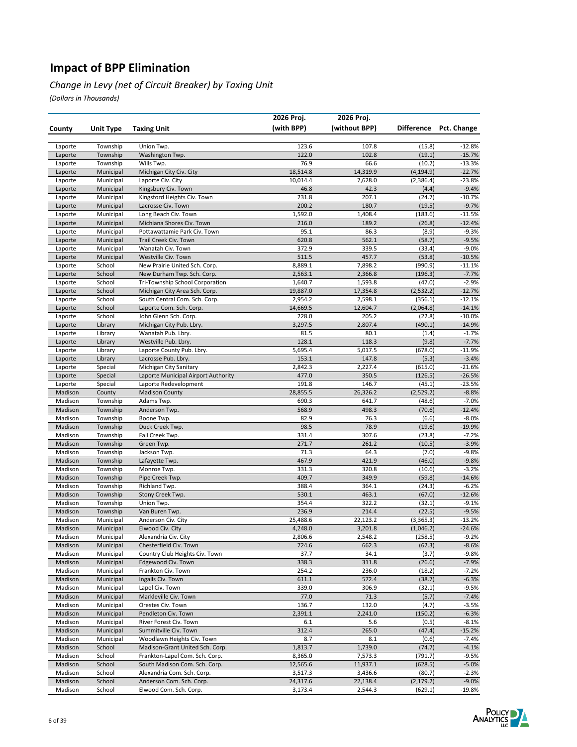#### *Change in Levy (net of Circuit Breaker) by Taxing Unit*

|                    |                        |                                                               | 2026 Proj.       | 2026 Proj.       |                    |                      |
|--------------------|------------------------|---------------------------------------------------------------|------------------|------------------|--------------------|----------------------|
| County             | Unit Type              | <b>Taxing Unit</b>                                            | (with BPP)       | (without BPP)    | <b>Difference</b>  | Pct. Change          |
|                    |                        |                                                               |                  |                  |                    |                      |
| Laporte            | Township               | Union Twp.                                                    | 123.6            | 107.8            | (15.8)             | $-12.8%$             |
| Laporte            | Township               | Washington Twp.                                               | 122.0            | 102.8            | (19.1)             | $-15.7%$             |
| Laporte            | Township               | Wills Twp.                                                    | 76.9             | 66.6             | (10.2)             | -13.3%               |
| Laporte            | Municipal              | Michigan City Civ. City                                       | 18,514.8         | 14,319.9         | (4,194.9)          | $-22.7%$             |
| Laporte            | Municipal              | Laporte Civ. City                                             | 10,014.4         | 7,628.0          | (2,386.4)          | -23.8%               |
| Laporte            | Municipal              | Kingsbury Civ. Town                                           | 46.8             | 42.3             | (4.4)              | $-9.4%$              |
| Laporte            | Municipal              | Kingsford Heights Civ. Town                                   | 231.8            | 207.1            | (24.7)             | $-10.7%$             |
| Laporte            | Municipal              | Lacrosse Civ. Town                                            | 200.2            | 180.7<br>1,408.4 | (19.5)             | $-9.7%$              |
| Laporte            | Municipal<br>Municipal | Long Beach Civ. Town<br>Michiana Shores Civ. Town             | 1,592.0<br>216.0 | 189.2            | (183.6)            | $-11.5%$<br>$-12.4%$ |
| Laporte<br>Laporte | Municipal              | Pottawattamie Park Civ. Town                                  | 95.1             | 86.3             | (26.8)<br>(8.9)    | $-9.3%$              |
| Laporte            | Municipal              | Trail Creek Civ. Town                                         | 620.8            | 562.1            | (58.7)             | $-9.5%$              |
| Laporte            | Municipal              | Wanatah Civ. Town                                             | 372.9            | 339.5            | (33.4)             | $-9.0%$              |
| Laporte            | Municipal              | Westville Civ. Town                                           | 511.5            | 457.7            | (53.8)             | $-10.5%$             |
| Laporte            | School                 | New Prairie United Sch. Corp.                                 | 8,889.1          | 7,898.2          | (990.9)            | $-11.1%$             |
| Laporte            | School                 | New Durham Twp. Sch. Corp.                                    | 2,563.1          | 2,366.8          | (196.3)            | $-7.7%$              |
| Laporte            | School                 | Tri-Township School Corporation                               | 1,640.7          | 1,593.8          | (47.0)             | $-2.9%$              |
| Laporte            | School                 | Michigan City Area Sch. Corp.                                 | 19,887.0         | 17,354.8         | (2, 532.2)         | $-12.7%$             |
| Laporte            | School                 | South Central Com. Sch. Corp.                                 | 2,954.2          | 2,598.1          | (356.1)            | $-12.1%$             |
| Laporte            | School                 | Laporte Com. Sch. Corp.                                       | 14,669.5         | 12,604.7         | (2,064.8)          | $-14.1%$             |
| Laporte            | School                 | John Glenn Sch. Corp.                                         | 228.0            | 205.2            | (22.8)             | $-10.0%$             |
| Laporte            | Library                | Michigan City Pub. Lbry.                                      | 3,297.5          | 2,807.4          | (490.1)            | $-14.9%$             |
| Laporte            | Library                | Wanatah Pub. Lbry.                                            | 81.5             | 80.1             | (1.4)              | $-1.7%$              |
| Laporte            | Library                | Westville Pub. Lbry.                                          | 128.1            | 118.3            | (9.8)              | $-7.7%$              |
| Laporte            | Library                | Laporte County Pub. Lbry.                                     | 5,695.4          | 5,017.5          | (678.0)            | $-11.9%$             |
| Laporte            | Library                | Lacrosse Pub. Lbry.                                           | 153.1            | 147.8            | (5.3)              | $-3.4%$              |
| Laporte            | Special                | Michigan City Sanitary<br>Laporte Municipal Airport Authority | 2,842.3<br>477.0 | 2,227.4          | (615.0)<br>(126.5) | $-21.6%$<br>$-26.5%$ |
| Laporte<br>Laporte | Special<br>Special     | Laporte Redevelopment                                         | 191.8            | 350.5<br>146.7   | (45.1)             | $-23.5%$             |
| Madison            | County                 | <b>Madison County</b>                                         | 28,855.5         | 26,326.2         | (2,529.2)          | $-8.8%$              |
| Madison            | Township               | Adams Twp.                                                    | 690.3            | 641.7            | (48.6)             | $-7.0%$              |
| Madison            | Township               | Anderson Twp.                                                 | 568.9            | 498.3            | (70.6)             | $-12.4%$             |
| Madison            | Township               | Boone Twp.                                                    | 82.9             | 76.3             | (6.6)              | $-8.0%$              |
| Madison            | Township               | Duck Creek Twp.                                               | 98.5             | 78.9             | (19.6)             | $-19.9%$             |
| Madison            | Township               | Fall Creek Twp.                                               | 331.4            | 307.6            | (23.8)             | $-7.2%$              |
| Madison            | Township               | Green Twp.                                                    | 271.7            | 261.2            | (10.5)             | $-3.9%$              |
| Madison            | Township               | Jackson Twp.                                                  | 71.3             | 64.3             | (7.0)              | $-9.8%$              |
| Madison            | Township               | Lafayette Twp.                                                | 467.9            | 421.9            | (46.0)             | $-9.8%$              |
| Madison            | Township               | Monroe Twp.                                                   | 331.3            | 320.8            | (10.6)             | $-3.2%$              |
| Madison            | Township               | Pipe Creek Twp.                                               | 409.7            | 349.9            | (59.8)             | $-14.6%$             |
| Madison            | Township               | Richland Twp.                                                 | 388.4            | 364.1            | (24.3)             | $-6.2%$              |
| Madison            | Township               | Stony Creek Twp.                                              | 530.1<br>354.4   | 463.1<br>322.2   | (67.0)             | $-12.6%$             |
| Madison<br>Madison | Township<br>Township   | Union Twp.<br>Van Buren Twp.                                  | 236.9            | 214.4            | (32.1)<br>(22.5)   | $-9.1%$<br>$-9.5%$   |
| Madison            | Municipal              | Anderson Civ. City                                            | 25,488.6         | 22,123.2         | (3, 365.3)         | $-13.2%$             |
| Madison            | Municipal              | Elwood Civ. City                                              | 4,248.0          | 3,201.8          | (1,046.2)          | $-24.6%$             |
| Madison            | Municipal              | Alexandria Civ. City                                          | 2,806.6          | 2,548.2          | (258.5)            | $-9.2%$              |
| Madison            | Municipal              | Chesterfield Civ. Town                                        | 724.6            | 662.3            | (62.3)             | $-8.6%$              |
| Madison            | Municipal              | Country Club Heights Civ. Town                                | 37.7             | 34.1             | (3.7)              | $-9.8%$              |
| Madison            | Municipal              | Edgewood Civ. Town                                            | 338.3            | 311.8            | (26.6)             | $-7.9%$              |
| Madison            | Municipal              | Frankton Civ. Town                                            | 254.2            | 236.0            | (18.2)             | $-7.2%$              |
| Madison            | Municipal              | Ingalls Civ. Town                                             | 611.1            | 572.4            | (38.7)             | $-6.3%$              |
| Madison            | Municipal              | Lapel Civ. Town                                               | 339.0            | 306.9            | (32.1)             | $-9.5%$              |
| Madison            | Municipal              | Markleville Civ. Town                                         | 77.0             | 71.3             | (5.7)              | $-7.4%$              |
| Madison            | Municipal              | Orestes Civ. Town                                             | 136.7            | 132.0            | (4.7)              | $-3.5%$              |
| Madison            | Municipal              | Pendleton Civ. Town                                           | 2,391.1          | 2,241.0          | (150.2)            | $-6.3%$              |
| Madison            | Municipal              | River Forest Civ. Town                                        | 6.1              | 5.6              | (0.5)              | $-8.1%$              |
| Madison<br>Madison | Municipal<br>Municipal | Summitville Civ. Town<br>Woodlawn Heights Civ. Town           | 312.4<br>8.7     | 265.0<br>8.1     | (47.4)<br>(0.6)    | $-15.2%$<br>$-7.4%$  |
| Madison            | School                 | Madison-Grant United Sch. Corp.                               | 1,813.7          | 1,739.0          | (74.7)             | $-4.1%$              |
| Madison            | School                 | Frankton-Lapel Com. Sch. Corp.                                | 8,365.0          | 7,573.3          | (791.7)            | $-9.5%$              |
| Madison            | School                 | South Madison Com. Sch. Corp.                                 | 12,565.6         | 11,937.1         | (628.5)            | $-5.0%$              |
| Madison            | School                 | Alexandria Com. Sch. Corp.                                    | 3,517.3          | 3,436.6          | (80.7)             | $-2.3%$              |
| Madison            | School                 | Anderson Com. Sch. Corp.                                      | 24,317.6         | 22,138.4         | (2, 179.2)         | $-9.0%$              |
| Madison            | School                 | Elwood Com. Sch. Corp.                                        | 3,173.4          | 2,544.3          | (629.1)            | $-19.8%$             |

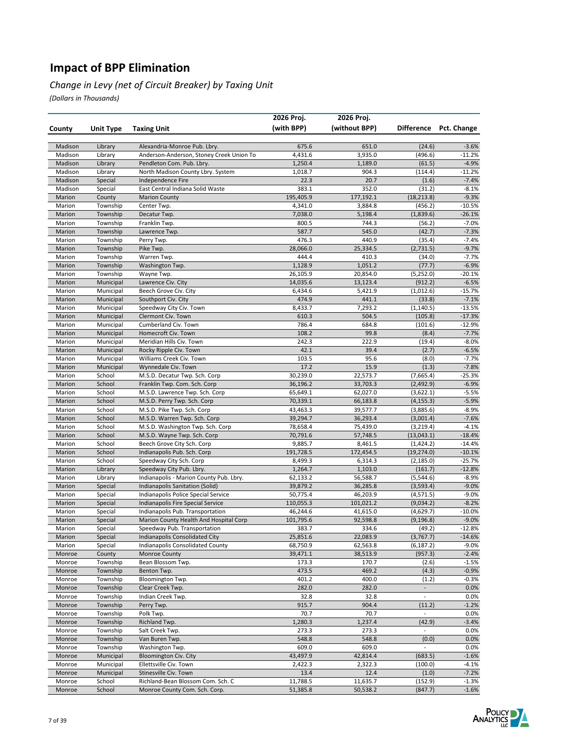#### *Change in Levy (net of Circuit Breaker) by Taxing Unit*

|                  |                        |                                                                     | 2026 Proj.          | 2026 Proj.         |                          |                      |
|------------------|------------------------|---------------------------------------------------------------------|---------------------|--------------------|--------------------------|----------------------|
| County           | Unit Type              | <b>Taxing Unit</b>                                                  | (with BPP)          | (without BPP)      | Difference               | Pct. Change          |
|                  |                        |                                                                     |                     |                    |                          |                      |
| Madison          | Library                | Alexandria-Monroe Pub. Lbry.                                        | 675.6               | 651.0              | (24.6)                   | $-3.6%$              |
| Madison          | Library                | Anderson-Anderson, Stoney Creek Union To                            | 4,431.6             | 3,935.0            | (496.6)                  | $-11.2%$             |
| Madison          | Library                | Pendleton Com. Pub. Lbry.                                           | 1,250.4             | 1,189.0            | (61.5)                   | $-4.9%$              |
| Madison          | Library                | North Madison County Lbry. System                                   | 1,018.7             | 904.3              | (114.4)                  | $-11.2%$             |
| Madison          | Special                | Independence Fire                                                   | 22.3                | 20.7               | (1.6)                    | $-7.4%$              |
| Madison          | Special                | East Central Indiana Solid Waste                                    | 383.1               | 352.0              | (31.2)                   | $-8.1%$              |
| Marion           | County                 | <b>Marion County</b>                                                | 195,405.9           | 177,192.1          | (18, 213.8)              | $-9.3%$              |
| Marion           | Township               | Center Twp.                                                         | 4,341.0             | 3,884.8            | (456.2)                  | $-10.5%$             |
| Marion           | Township               | Decatur Twp.                                                        | 7,038.0             | 5,198.4            | (1,839.6)                | $-26.1%$             |
| Marion<br>Marion | Township<br>Township   | Franklin Twp.<br>Lawrence Twp.                                      | 800.5<br>587.7      | 744.3<br>545.0     | (56.2)<br>(42.7)         | $-7.0%$<br>$-7.3%$   |
| Marion           | Township               | Perry Twp.                                                          | 476.3               | 440.9              | (35.4)                   | $-7.4%$              |
| Marion           | Township               | Pike Twp.                                                           | 28,066.0            | 25,334.5           | (2,731.5)                | $-9.7%$              |
| Marion           | Township               | Warren Twp.                                                         | 444.4               | 410.3              | (34.0)                   | $-7.7%$              |
| Marion           | Township               | Washington Twp.                                                     | 1,128.9             | 1,051.2            | (77.7)                   | $-6.9%$              |
| Marion           | Township               | Wayne Twp.                                                          | 26,105.9            | 20,854.0           | (5,252.0)                | $-20.1%$             |
| Marion           | Municipal              | Lawrence Civ. City                                                  | 14,035.6            | 13,123.4           | (912.2)                  | $-6.5%$              |
| Marion           | Municipal              | Beech Grove Civ. City                                               | 6,434.6             | 5,421.9            | (1,012.6)                | $-15.7%$             |
| Marion           | Municipal              | Southport Civ. City                                                 | 474.9               | 441.1              | (33.8)                   | $-7.1%$              |
| Marion           | Municipal              | Speedway City Civ. Town                                             | 8,433.7             | 7,293.2            | (1, 140.5)               | $-13.5%$             |
| Marion           | Municipal              | Clermont Civ. Town                                                  | 610.3               | 504.5              | (105.8)                  | $-17.3%$             |
| Marion           | Municipal              | Cumberland Civ. Town                                                | 786.4               | 684.8              | (101.6)                  | $-12.9%$             |
| Marion           | Municipal              | Homecroft Civ. Town                                                 | 108.2               | 99.8               | (8.4)                    | $-7.7%$              |
| Marion           | Municipal              | Meridian Hills Civ. Town                                            | 242.3<br>42.1       | 222.9<br>39.4      | (19.4)<br>(2.7)          | $-8.0%$<br>$-6.5%$   |
| Marion<br>Marion | Municipal<br>Municipal | Rocky Ripple Civ. Town<br>Williams Creek Civ. Town                  | 103.5               | 95.6               | (8.0)                    | $-7.7%$              |
| Marion           | Municipal              | Wynnedale Civ. Town                                                 | 17.2                | 15.9               | (1.3)                    | $-7.8%$              |
| Marion           | School                 | M.S.D. Decatur Twp. Sch. Corp                                       | 30,239.0            | 22,573.7           | (7,665.4)                | $-25.3%$             |
| Marion           | School                 | Franklin Twp. Com. Sch. Corp                                        | 36,196.2            | 33,703.3           | (2,492.9)                | $-6.9%$              |
| Marion           | School                 | M.S.D. Lawrence Twp. Sch. Corp                                      | 65,649.1            | 62,027.0           | (3,622.1)                | $-5.5%$              |
| Marion           | School                 | M.S.D. Perry Twp. Sch. Corp                                         | 70,339.1            | 66,183.8           | (4, 155.3)               | $-5.9%$              |
| Marion           | School                 | M.S.D. Pike Twp. Sch. Corp                                          | 43,463.3            | 39,577.7           | (3,885.6)                | $-8.9%$              |
| Marion           | School                 | M.S.D. Warren Twp. Sch. Corp                                        | 39,294.7            | 36,293.4           | (3,001.4)                | $-7.6%$              |
| Marion           | School                 | M.S.D. Washington Twp. Sch. Corp                                    | 78,658.4            | 75,439.0           | (3, 219.4)               | $-4.1%$              |
| Marion           | School                 | M.S.D. Wayne Twp. Sch. Corp                                         | 70,791.6            | 57,748.5           | (13,043.1)               | $-18.4%$             |
| Marion           | School                 | Beech Grove City Sch. Corp                                          | 9,885.7             | 8,461.5            | (1,424.2)                | $-14.4%$             |
| Marion           | School                 | Indianapolis Pub. Sch. Corp                                         | 191,728.5           | 172,454.5          | (19, 274.0)              | $-10.1%$             |
| Marion           | School                 | Speedway City Sch. Corp                                             | 8,499.3             | 6,314.3<br>1,103.0 | (2, 185.0)               | $-25.7%$<br>$-12.8%$ |
| Marion<br>Marion | Library<br>Library     | Speedway City Pub. Lbry.<br>Indianapolis - Marion County Pub. Lbry. | 1,264.7<br>62,133.2 | 56,588.7           | (161.7)<br>(5,544.6)     | $-8.9%$              |
| Marion           | Special                | Indianapolis Sanitation (Solid)                                     | 39,879.2            | 36,285.8           | (3, 593.4)               | $-9.0%$              |
| Marion           | Special                | Indianapolis Police Special Service                                 | 50,775.4            | 46,203.9           | (4, 571.5)               | $-9.0%$              |
| Marion           | Special                | Indianapolis Fire Special Service                                   | 110,055.3           | 101,021.2          | (9,034.2)                | $-8.2%$              |
| Marion           | Special                | Indianapolis Pub. Transportation                                    | 46,244.6            | 41,615.0           | (4,629.7)                | $-10.0%$             |
| Marion           | Special                | Marion County Health And Hospital Corp                              | 101,795.6           | 92,598.8           | (9, 196.8)               | $-9.0%$              |
| Marion           | Special                | Speedway Pub. Transportation                                        | 383.7               | 334.6              | (49.2)                   | $-12.8%$             |
| Marion           | Special                | Indianapolis Consolidated City                                      | 25,851.6            | 22,083.9           | (3,767.7)                | $-14.6%$             |
| Marion           | Special                | Indianapolis Consolidated County                                    | 68,750.9            | 62,563.8           | (6, 187.2)               | $-9.0%$              |
| Monroe           | County                 | Monroe County                                                       | 39,471.1            | 38,513.9           | (957.3)                  | $-2.4%$              |
| Monroe           | Township               | Bean Blossom Twp.                                                   | 173.3               | 170.7              | (2.6)                    | $-1.5%$              |
| Monroe           | Township               | Benton Twp.                                                         | 473.5               | 469.2              | (4.3)                    | $-0.9%$              |
| Monroe           | Township               | Bloomington Twp.                                                    | 401.2               | 400.0              | (1.2)                    | $-0.3%$              |
| Monroe           | Township               | Clear Creek Twp.                                                    | 282.0               | 282.0              | $\overline{\phantom{a}}$ | 0.0%                 |
| Monroe           | Township<br>Township   | Indian Creek Twp.<br>Perry Twp.                                     | 32.8<br>915.7       | 32.8<br>904.4      | $\blacksquare$<br>(11.2) | 0.0%                 |
| Monroe<br>Monroe | Township               | Polk Twp.                                                           | 70.7                | 70.7               | $\overline{\phantom{a}}$ | $-1.2%$<br>0.0%      |
| Monroe           | Township               | Richland Twp.                                                       | 1,280.3             | 1,237.4            | (42.9)                   | $-3.4%$              |
| Monroe           | Township               | Salt Creek Twp.                                                     | 273.3               | 273.3              | $\sim$                   | 0.0%                 |
| Monroe           | Township               | Van Buren Twp.                                                      | 548.8               | 548.8              | (0.0)                    | 0.0%                 |
| Monroe           | Township               | Washington Twp.                                                     | 609.0               | 609.0              | $\overline{\phantom{a}}$ | 0.0%                 |
| Monroe           | Municipal              | <b>Bloomington Civ. City</b>                                        | 43,497.9            | 42,814.4           | (683.5)                  | $-1.6%$              |
| Monroe           | Municipal              | Ellettsville Civ. Town                                              | 2,422.3             | 2,322.3            | (100.0)                  | $-4.1%$              |
| Monroe           | Municipal              | Stinesville Civ. Town                                               | 13.4                | 12.4               | (1.0)                    | $-7.2%$              |
| Monroe           | School                 | Richland-Bean Blossom Com. Sch. C                                   | 11,788.5            | 11,635.7           | (152.9)                  | $-1.3%$              |
| Monroe           | School                 | Monroe County Com. Sch. Corp.                                       | 51,385.8            | 50,538.2           | (847.7)                  | $-1.6%$              |

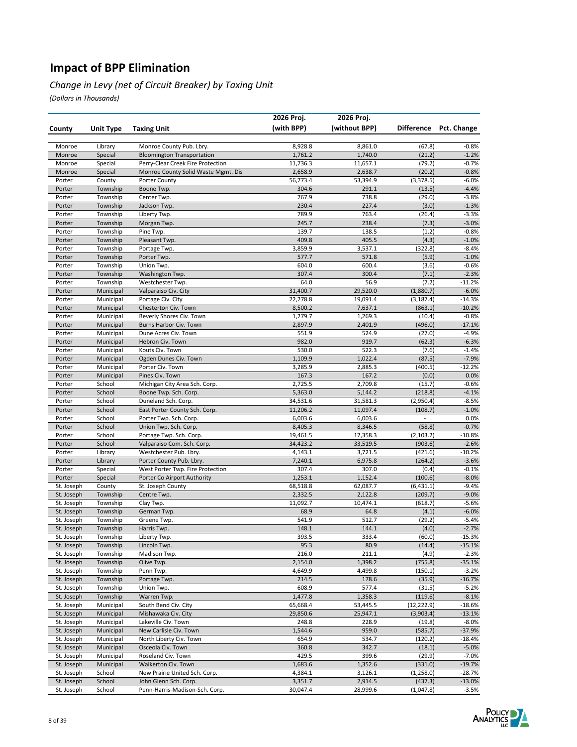#### *Change in Levy (net of Circuit Breaker) by Taxing Unit*

|                          |                        |                                              | 2026 Proj.          | 2026 Proj.          |                    |                    |
|--------------------------|------------------------|----------------------------------------------|---------------------|---------------------|--------------------|--------------------|
| County                   | <b>Unit Type</b>       | <b>Taxing Unit</b>                           | (with BPP)          | (without BPP)       | <b>Difference</b>  | Pct. Change        |
|                          |                        |                                              |                     |                     |                    |                    |
| Monroe                   | Library                | Monroe County Pub. Lbry.                     | 8,928.8             | 8,861.0             | (67.8)             | $-0.8%$            |
| Monroe                   | Special                | <b>Bloomington Transportation</b>            | 1,761.2             | 1,740.0             | (21.2)             | $-1.2%$            |
| Monroe                   | Special                | Perry-Clear Creek Fire Protection            | 11,736.3            | 11,657.1            | (79.2)             | $-0.7%$            |
| Monroe                   | Special                | Monroe County Solid Waste Mgmt. Dis          | 2,658.9             | 2,638.7             | (20.2)             | $-0.8%$            |
| Porter                   | County                 | <b>Porter County</b>                         | 56,773.4            | 53,394.9            | (3,378.5)          | $-6.0%$            |
| Porter                   | Township               | Boone Twp.                                   | 304.6<br>767.9      | 291.1               | (13.5)             | $-4.4%$            |
| Porter<br>Porter         | Township<br>Township   | Center Twp.<br>Jackson Twp.                  | 230.4               | 738.8<br>227.4      | (29.0)<br>(3.0)    | $-3.8%$<br>$-1.3%$ |
| Porter                   | Township               | Liberty Twp.                                 | 789.9               | 763.4               | (26.4)             | $-3.3%$            |
| Porter                   | Township               | Morgan Twp.                                  | 245.7               | 238.4               | (7.3)              | $-3.0%$            |
| Porter                   | Township               | Pine Twp.                                    | 139.7               | 138.5               | (1.2)              | $-0.8%$            |
| Porter                   | Township               | Pleasant Twp.                                | 409.8               | 405.5               | (4.3)              | $-1.0%$            |
| Porter                   | Township               | Portage Twp.                                 | 3,859.9             | 3,537.1             | (322.8)            | $-8.4%$            |
| Porter                   | Township               | Porter Twp.                                  | 577.7               | 571.8               | (5.9)              | $-1.0%$            |
| Porter                   | Township               | Union Twp.                                   | 604.0               | 600.4               | (3.6)              | $-0.6%$            |
| Porter                   | Township               | Washington Twp.                              | 307.4               | 300.4               | (7.1)              | $-2.3%$            |
| Porter                   | Township               | Westchester Twp.                             | 64.0                | 56.9                | (7.2)              | $-11.2%$           |
| Porter                   | Municipal              | Valparaiso Civ. City                         | 31,400.7            | 29,520.0            | (1,880.7)          | $-6.0%$            |
| Porter                   | Municipal              | Portage Civ. City                            | 22,278.8            | 19,091.4            | (3, 187.4)         | $-14.3%$           |
| Porter                   | Municipal              | Chesterton Civ. Town                         | 8,500.2             | 7,637.1             | (863.1)            | $-10.2%$           |
| Porter                   | Municipal              | Beverly Shores Civ. Town                     | 1,279.7             | 1,269.3             | (10.4)             | $-0.8%$            |
| Porter                   | Municipal              | Burns Harbor Civ. Town                       | 2,897.9             | 2,401.9             | (496.0)            | $-17.1%$           |
| Porter                   | Municipal              | Dune Acres Civ. Town                         | 551.9               | 524.9               | (27.0)             | $-4.9%$            |
| Porter                   | Municipal              | Hebron Civ. Town                             | 982.0<br>530.0      | 919.7<br>522.3      | (62.3)             | $-6.3%$            |
| Porter<br>Porter         | Municipal<br>Municipal | Kouts Civ. Town<br>Ogden Dunes Civ. Town     | 1,109.9             | 1,022.4             | (7.6)<br>(87.5)    | $-1.4%$<br>$-7.9%$ |
| Porter                   | Municipal              | Porter Civ. Town                             | 3,285.9             | 2,885.3             | (400.5)            | $-12.2%$           |
| Porter                   | Municipal              | Pines Civ. Town                              | 167.3               | 167.2               | (0.0)              | 0.0%               |
| Porter                   | School                 | Michigan City Area Sch. Corp.                | 2,725.5             | 2,709.8             | (15.7)             | $-0.6%$            |
| Porter                   | School                 | Boone Twp. Sch. Corp.                        | 5,363.0             | 5,144.2             | (218.8)            | $-4.1%$            |
| Porter                   | School                 | Duneland Sch. Corp.                          | 34,531.6            | 31,581.3            | (2,950.4)          | $-8.5%$            |
| Porter                   | School                 | East Porter County Sch. Corp.                | 11,206.2            | 11,097.4            | (108.7)            | $-1.0%$            |
| Porter                   | School                 | Porter Twp. Sch. Corp.                       | 6,003.6             | 6,003.6             | $\overline{a}$     | 0.0%               |
| Porter                   | School                 | Union Twp. Sch. Corp.                        | 8,405.3             | 8,346.5             | (58.8)             | $-0.7%$            |
| Porter                   | School                 | Portage Twp. Sch. Corp.                      | 19,461.5            | 17,358.3            | (2, 103.2)         | $-10.8%$           |
| Porter                   | School                 | Valparaiso Com. Sch. Corp.                   | 34,423.2            | 33,519.5            | (903.6)            | $-2.6%$            |
| Porter                   | Library                | Westchester Pub. Lbry.                       | 4,143.1             | 3,721.5             | (421.6)            | $-10.2%$           |
| Porter                   | Library                | Porter County Pub. Lbry.                     | 7,240.1             | 6,975.8             | (264.2)            | $-3.6%$            |
| Porter                   | Special                | West Porter Twp. Fire Protection             | 307.4               | 307.0               | (0.4)              | $-0.1%$            |
| Porter                   | Special                | Porter Co Airport Authority                  | 1,253.1             | 1,152.4             | (100.6)            | $-8.0%$            |
| St. Joseph               | County                 | St. Joseph County                            | 68,518.8            | 62,087.7<br>2,122.8 | (6, 431.1)         | $-9.4%$            |
| St. Joseph               | Township               | Centre Twp.                                  | 2,332.5<br>11,092.7 | 10,474.1            | (209.7)<br>(618.7) | $-9.0%$<br>$-5.6%$ |
| St. Joseph<br>St. Joseph | Township<br>Township   | Clay Twp.<br>German Twp.                     | 68.9                | 64.8                | (4.1)              | $-6.0%$            |
| St. Joseph               | Township               | Greene Twp.                                  | 541.9               | 512.7               | (29.2)             | $-5.4%$            |
| St. Joseph               | Township               | Harris Twp.                                  | 148.1               | 144.1               | (4.0)              | $-2.7%$            |
| St. Joseph               | Township               | Liberty Twp.                                 | 393.5               | 333.4               | (60.0)             | $-15.3%$           |
| St. Joseph               | Township               | Lincoln Twp.                                 | 95.3                | 80.9                | (14.4)             | $-15.1%$           |
| St. Joseph               | Township               | Madison Twp.                                 | 216.0               | 211.1               | (4.9)              | $-2.3%$            |
| St. Joseph               | Township               | Olive Twp.                                   | 2,154.0             | 1,398.2             | (755.8)            | $-35.1%$           |
| St. Joseph               | Township               | Penn Twp.                                    | 4,649.9             | 4,499.8             | (150.1)            | $-3.2%$            |
| St. Joseph               | Township               | Portage Twp.                                 | 214.5               | 178.6               | (35.9)             | $-16.7%$           |
| St. Joseph               | Township               | Union Twp.                                   | 608.9               | 577.4               | (31.5)             | $-5.2%$            |
| St. Joseph               | Township               | Warren Twp.                                  | 1,477.8             | 1,358.3             | (119.6)            | $-8.1%$            |
| St. Joseph               | Municipal              | South Bend Civ. City                         | 65,668.4            | 53,445.5            | (12, 222.9)        | $-18.6%$           |
| St. Joseph               | Municipal              | Mishawaka Civ. City                          | 29,850.6            | 25,947.1            | (3,903.4)          | $-13.1%$           |
| St. Joseph               | Municipal              | Lakeville Civ. Town                          | 248.8               | 228.9               | (19.8)             | $-8.0%$            |
| St. Joseph               | Municipal              | New Carlisle Civ. Town                       | 1,544.6             | 959.0               | (585.7)            | $-37.9%$           |
| St. Joseph               | Municipal<br>Municipal | North Liberty Civ. Town<br>Osceola Civ. Town | 654.9               | 534.7<br>342.7      | (120.2)            | $-18.4%$           |
| St. Joseph<br>St. Joseph | Municipal              | Roseland Civ. Town                           | 360.8<br>429.5      | 399.6               | (18.1)<br>(29.9)   | $-5.0%$<br>$-7.0%$ |
| St. Joseph               | Municipal              | Walkerton Civ. Town                          | 1,683.6             | 1,352.6             | (331.0)            | $-19.7%$           |
| St. Joseph               | School                 | New Prairie United Sch. Corp.                | 4,384.1             | 3,126.1             | (1,258.0)          | $-28.7%$           |
| St. Joseph               | School                 | John Glenn Sch. Corp.                        | 3,351.7             | 2,914.5             | (437.3)            | $-13.0%$           |
| St. Joseph               | School                 | Penn-Harris-Madison-Sch. Corp.               | 30,047.4            | 28,999.6            | (1,047.8)          | $-3.5%$            |

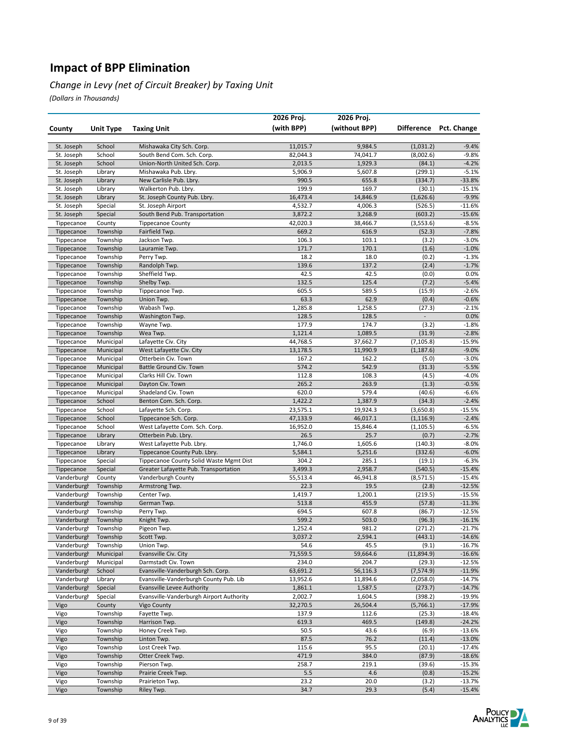#### *Change in Levy (net of Circuit Breaker) by Taxing Unit*

|                            |                        |                                                    | 2026 Proj.          | 2026 Proj.          |                          |                      |
|----------------------------|------------------------|----------------------------------------------------|---------------------|---------------------|--------------------------|----------------------|
| County                     | <b>Unit Type</b>       | <b>Taxing Unit</b>                                 | (with BPP)          | (without BPP)       | <b>Difference</b>        | Pct. Change          |
|                            |                        |                                                    |                     |                     |                          |                      |
| St. Joseph                 | School                 | Mishawaka City Sch. Corp.                          | 11,015.7            | 9,984.5             | (1,031.2)                | $-9.4%$              |
| St. Joseph                 | School                 | South Bend Com. Sch. Corp.                         | 82,044.3            | 74,041.7            | (8,002.6)                | $-9.8%$              |
| St. Joseph                 | School                 | Union-North United Sch. Corp.                      | 2,013.5             | 1,929.3             | (84.1)                   | $-4.2%$              |
| St. Joseph                 | Library                | Mishawaka Pub. Lbry.                               | 5,906.9             | 5,607.8             | (299.1)                  | $-5.1%$              |
| St. Joseph                 | Library                | New Carlisle Pub. Lbry.                            | 990.5               | 655.8               | (334.7)                  | $-33.8%$             |
| St. Joseph                 | Library                | Walkerton Pub. Lbry.                               | 199.9               | 169.7               | (30.1)                   | $-15.1%$             |
| St. Joseph<br>St. Joseph   | Library<br>Special     | St. Joseph County Pub. Lbry.<br>St. Joseph Airport | 16,473.4<br>4,532.7 | 14,846.9<br>4,006.3 | (1,626.6)<br>(526.5)     | $-9.9%$<br>$-11.6%$  |
| St. Joseph                 | Special                | South Bend Pub. Transportation                     | 3,872.2             | 3,268.9             | (603.2)                  | $-15.6%$             |
| Tippecanoe                 | County                 | <b>Tippecanoe County</b>                           | 42,020.3            | 38,466.7            | (3,553.6)                | $-8.5%$              |
| Tippecanoe                 | Township               | Fairfield Twp.                                     | 669.2               | 616.9               | (52.3)                   | $-7.8%$              |
| Tippecanoe                 | Township               | Jackson Twp.                                       | 106.3               | 103.1               | (3.2)                    | $-3.0%$              |
| Tippecanoe                 | Township               | Lauramie Twp.                                      | 171.7               | 170.1               | (1.6)                    | $-1.0%$              |
| Tippecanoe                 | Township               | Perry Twp.                                         | 18.2                | 18.0                | (0.2)                    | $-1.3%$              |
| Tippecanoe                 | Township               | Randolph Twp.                                      | 139.6               | 137.2               | (2.4)                    | $-1.7%$              |
| Tippecanoe                 | Township               | Sheffield Twp.                                     | 42.5                | 42.5                | (0.0)                    | 0.0%                 |
| Tippecanoe                 | Township               | Shelby Twp.                                        | 132.5               | 125.4               | (7.2)                    | $-5.4%$              |
| Tippecanoe                 | Township               | Tippecanoe Twp.                                    | 605.5               | 589.5               | (15.9)                   | $-2.6%$              |
| Tippecanoe                 | Township               | Union Twp.                                         | 63.3                | 62.9                | (0.4)                    | $-0.6%$              |
| Tippecanoe                 | Township               | Wabash Twp.                                        | 1,285.8             | 1,258.5             | (27.3)                   | $-2.1%$              |
| Tippecanoe                 | Township               | Washington Twp.                                    | 128.5               | 128.5               | $\overline{\phantom{a}}$ | 0.0%                 |
| Tippecanoe                 | Township               | Wayne Twp.                                         | 177.9               | 174.7               | (3.2)                    | $-1.8%$              |
| Tippecanoe                 | Township               | Wea Twp.                                           | 1,121.4             | 1,089.5             | (31.9)                   | $-2.8%$              |
| Tippecanoe                 | Municipal              | Lafayette Civ. City                                | 44,768.5            | 37,662.7            | (7, 105.8)               | $-15.9%$             |
| Tippecanoe<br>Tippecanoe   | Municipal<br>Municipal | West Lafayette Civ. City<br>Otterbein Civ. Town    | 13,178.5<br>167.2   | 11,990.9<br>162.2   | (1, 187.6)<br>(5.0)      | $-9.0%$<br>$-3.0%$   |
| Tippecanoe                 | Municipal              | Battle Ground Civ. Town                            | 574.2               | 542.9               | (31.3)                   | $-5.5%$              |
| Tippecanoe                 | Municipal              | Clarks Hill Civ. Town                              | 112.8               | 108.3               | (4.5)                    | $-4.0%$              |
| Tippecanoe                 | Municipal              | Dayton Civ. Town                                   | 265.2               | 263.9               | (1.3)                    | $-0.5%$              |
| Tippecanoe                 | Municipal              | Shadeland Civ. Town                                | 620.0               | 579.4               | (40.6)                   | $-6.6%$              |
| Tippecanoe                 | School                 | Benton Com. Sch. Corp.                             | 1,422.2             | 1,387.9             | (34.3)                   | $-2.4%$              |
| Tippecanoe                 | School                 | Lafayette Sch. Corp.                               | 23,575.1            | 19,924.3            | (3,650.8)                | $-15.5%$             |
| Tippecanoe                 | School                 | Tippecanoe Sch. Corp.                              | 47,133.9            | 46,017.1            | (1, 116.9)               | $-2.4%$              |
| Tippecanoe                 | School                 | West Lafayette Com. Sch. Corp.                     | 16,952.0            | 15,846.4            | (1, 105.5)               | $-6.5%$              |
| Tippecanoe                 | Library                | Otterbein Pub. Lbry.                               | 26.5                | 25.7                | (0.7)                    | $-2.7%$              |
| Tippecanoe                 | Library                | West Lafayette Pub. Lbry.                          | 1,746.0             | 1,605.6             | (140.3)                  | $-8.0%$              |
| Tippecanoe                 | Library                | Tippecanoe County Pub. Lbry.                       | 5,584.1             | 5,251.6             | (332.6)                  | $-6.0%$              |
| Tippecanoe                 | Special                | Tippecanoe County Solid Waste Mgmt Dist            | 304.2               | 285.1               | (19.1)                   | $-6.3%$              |
| Tippecanoe                 | Special                | Greater Lafayette Pub. Transportation              | 3,499.3             | 2,958.7             | (540.5)                  | $-15.4%$             |
| Vanderburgh                | County                 | Vanderburgh County                                 | 55,513.4            | 46,941.8            | (8, 571.5)               | $-15.4%$             |
| Vanderburgh<br>Vanderburgh | Township               | Armstrong Twp.                                     | 22.3<br>1,419.7     | 19.5<br>1,200.1     | (2.8)<br>(219.5)         | $-12.5%$<br>$-15.5%$ |
| Vanderburgh                | Township<br>Township   | Center Twp.<br>German Twp.                         | 513.8               | 455.9               | (57.8)                   | $-11.3%$             |
| Vanderburgh                | Township               | Perry Twp.                                         | 694.5               | 607.8               | (86.7)                   | $-12.5%$             |
| Vanderburgh                | Township               | Knight Twp.                                        | 599.2               | 503.0               | (96.3)                   | $-16.1%$             |
| Vanderburgh                | Township               | Pigeon Twp.                                        | 1,252.4             | 981.2               | (271.2)                  | $-21.7%$             |
| Vanderburgł                | Township               | Scott Twp.                                         | 3,037.2             | 2,594.1             | (443.1)                  | $-14.6%$             |
| Vanderburgh                | Township               | Union Twp.                                         | 54.6                | 45.5                | (9.1)                    | $-16.7%$             |
| Vanderburgh                | Municipal              | Evansville Civ. City                               | 71,559.5            | 59,664.6            | (11,894.9)               | $-16.6%$             |
| Vanderburgh                | Municipal              | Darmstadt Civ. Town                                | 234.0               | 204.7               | (29.3)                   | $-12.5%$             |
| Vanderburgh                | School                 | Evansville-Vanderburgh Sch. Corp.                  | 63,691.2            | 56,116.3            | (7, 574.9)               | $-11.9%$             |
| Vanderburgh                | Library                | Evansville-Vanderburgh County Pub. Lib             | 13,952.6            | 11,894.6            | (2,058.0)                | $-14.7%$             |
| Vanderburgh                | Special                | <b>Evansville Levee Authority</b>                  | 1,861.1             | 1,587.5             | (273.7)                  | $-14.7%$             |
| Vanderburgh                | Special                | Evansville-Vanderburgh Airport Authority           | 2,002.7             | 1,604.5             | (398.2)                  | $-19.9%$             |
| Vigo                       | County                 | Vigo County                                        | 32,270.5            | 26,504.4            | (5,766.1)                | $-17.9%$             |
| Vigo                       | Township               | Fayette Twp.                                       | 137.9               | 112.6               | (25.3)                   | $-18.4%$             |
| Vigo                       | Township<br>Township   | Harrison Twp.                                      | 619.3               | 469.5               | (149.8)                  | $-24.2%$             |
| Vigo<br>Vigo               | Township               | Honey Creek Twp.<br>Linton Twp.                    | 50.5<br>87.5        | 43.6<br>76.2        | (6.9)<br>(11.4)          | $-13.6%$<br>$-13.0%$ |
| Vigo                       | Township               | Lost Creek Twp.                                    | 115.6               | 95.5                | (20.1)                   | $-17.4%$             |
| Vigo                       | Township               | Otter Creek Twp.                                   | 471.9               | 384.0               | (87.9)                   | $-18.6%$             |
| Vigo                       | Township               | Pierson Twp.                                       | 258.7               | 219.1               | (39.6)                   | $-15.3%$             |
| Vigo                       | Township               | Prairie Creek Twp.                                 | 5.5                 | 4.6                 | (0.8)                    | $-15.2%$             |
| Vigo                       | Township               | Prairieton Twp.                                    | 23.2                | 20.0                | (3.2)                    | $-13.7%$             |
| Vigo                       | Township               | Riley Twp.                                         | 34.7                | 29.3                | (5.4)                    | $-15.4%$             |

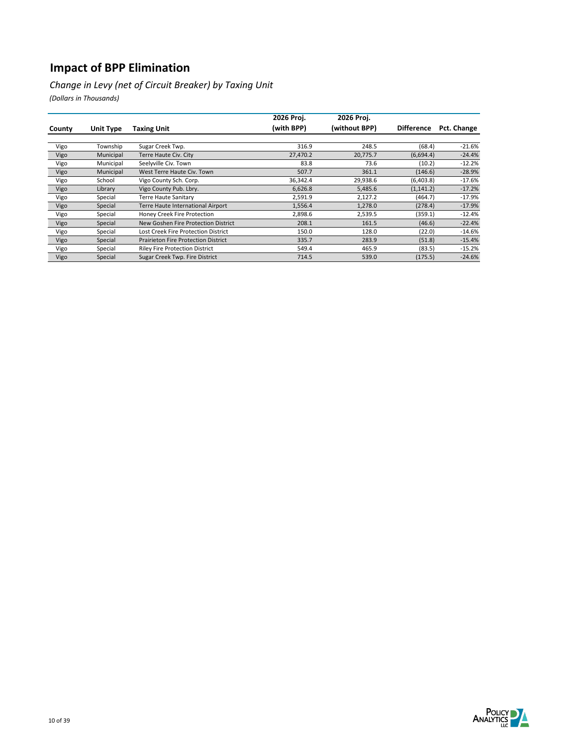*Change in Levy (net of Circuit Breaker) by Taxing Unit*

|        |           |                                            | 2026 Proj. | 2026 Proj.    |                   |             |
|--------|-----------|--------------------------------------------|------------|---------------|-------------------|-------------|
| County | Unit Type | <b>Taxing Unit</b>                         | (with BPP) | (without BPP) | <b>Difference</b> | Pct. Change |
|        |           |                                            |            |               |                   |             |
| Vigo   | Township  | Sugar Creek Twp.                           | 316.9      | 248.5         | (68.4)            | $-21.6%$    |
| Vigo   | Municipal | Terre Haute Civ. City                      | 27,470.2   | 20,775.7      | (6,694.4)         | $-24.4%$    |
| Vigo   | Municipal | Seelyville Civ. Town                       | 83.8       | 73.6          | (10.2)            | $-12.2%$    |
| Vigo   | Municipal | West Terre Haute Civ. Town                 | 507.7      | 361.1         | (146.6)           | $-28.9%$    |
| Vigo   | School    | Vigo County Sch. Corp.                     | 36,342.4   | 29,938.6      | (6,403.8)         | $-17.6%$    |
| Vigo   | Library   | Vigo County Pub. Lbry.                     | 6,626.8    | 5,485.6       | (1, 141.2)        | $-17.2%$    |
| Vigo   | Special   | Terre Haute Sanitary                       | 2,591.9    | 2,127.2       | (464.7)           | $-17.9%$    |
| Vigo   | Special   | Terre Haute International Airport          | 1,556.4    | 1,278.0       | (278.4)           | $-17.9%$    |
| Vigo   | Special   | Honey Creek Fire Protection                | 2,898.6    | 2,539.5       | (359.1)           | $-12.4%$    |
| Vigo   | Special   | New Goshen Fire Protection District        | 208.1      | 161.5         | (46.6)            | $-22.4%$    |
| Vigo   | Special   | Lost Creek Fire Protection District        | 150.0      | 128.0         | (22.0)            | $-14.6%$    |
| Vigo   | Special   | <b>Prairieton Fire Protection District</b> | 335.7      | 283.9         | (51.8)            | $-15.4%$    |
| Vigo   | Special   | <b>Riley Fire Protection District</b>      | 549.4      | 465.9         | (83.5)            | $-15.2%$    |
| Vigo   | Special   | Sugar Creek Twp. Fire District             | 714.5      | 539.0         | (175.5)           | $-24.6%$    |

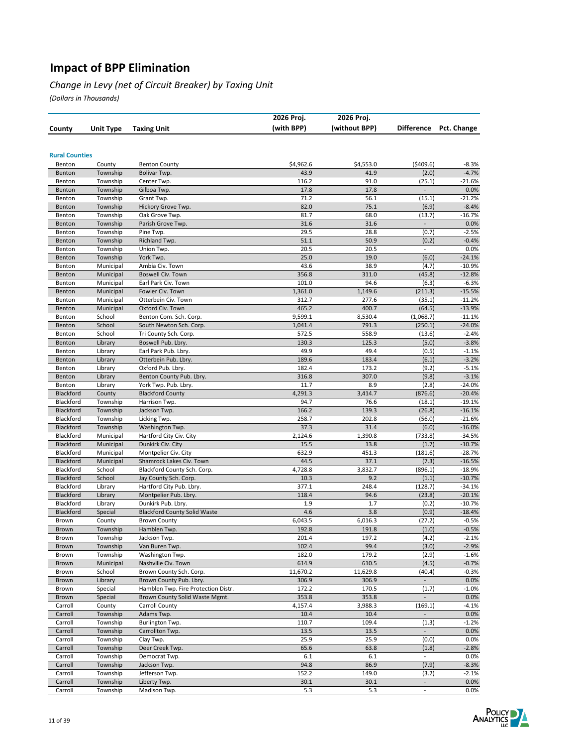#### *Change in Levy (net of Circuit Breaker) by Taxing Unit*

|                        |                        |                                                    | 2026 Proj.        | 2026 Proj.        |                          |                      |
|------------------------|------------------------|----------------------------------------------------|-------------------|-------------------|--------------------------|----------------------|
| County                 | <b>Unit Type</b>       | <b>Taxing Unit</b>                                 | (with BPP)        | (without BPP)     | <b>Difference</b>        | Pct. Change          |
|                        |                        |                                                    |                   |                   |                          |                      |
|                        |                        |                                                    |                   |                   |                          |                      |
| <b>Rural Counties</b>  |                        |                                                    |                   |                   |                          |                      |
| Benton                 | County<br>Township     | <b>Benton County</b>                               | \$4,962.6         | \$4,553.0<br>41.9 | (5409.6)                 | $-8.3%$<br>$-4.7%$   |
| Benton<br>Benton       | Township               | Bolivar Twp.<br>Center Twp.                        | 43.9<br>116.2     | 91.0              | (2.0)<br>(25.1)          | $-21.6%$             |
| Benton                 | Township               | Gilboa Twp.                                        | 17.8              | 17.8              |                          | 0.0%                 |
| Benton                 | Township               | Grant Twp.                                         | 71.2              | 56.1              | (15.1)                   | $-21.2%$             |
| Benton                 | Township               | Hickory Grove Twp.                                 | 82.0              | 75.1              | (6.9)                    | $-8.4%$              |
| Benton                 | Township               | Oak Grove Twp.                                     | 81.7              | 68.0              | (13.7)                   | $-16.7%$             |
| Benton                 | Township               | Parish Grove Twp.                                  | 31.6              | 31.6              |                          | 0.0%                 |
| Benton                 | Township               | Pine Twp.                                          | 29.5              | 28.8              | (0.7)                    | $-2.5%$              |
| Benton                 | Township               | Richland Twp.                                      | 51.1              | 50.9              | (0.2)                    | $-0.4%$              |
| Benton                 | Township               | Union Twp.                                         | 20.5              | 20.5              | $\overline{a}$           | 0.0%                 |
| Benton                 | Township               | York Twp.                                          | 25.0              | 19.0              | (6.0)                    | $-24.1%$             |
| Benton                 | Municipal              | Ambia Civ. Town                                    | 43.6              | 38.9              | (4.7)                    | $-10.9%$             |
| Benton                 | Municipal              | Boswell Civ. Town                                  | 356.8             | 311.0             | (45.8)                   | $-12.8%$             |
| Benton                 | Municipal              | Earl Park Civ. Town                                | 101.0             | 94.6              | (6.3)                    | $-6.3%$              |
| Benton                 | Municipal              | Fowler Civ. Town<br>Otterbein Civ. Town            | 1,361.0<br>312.7  | 1,149.6           | (211.3)                  | $-15.5%$             |
| Benton<br>Benton       | Municipal              | Oxford Civ. Town                                   | 465.2             | 277.6<br>400.7    | (35.1)<br>(64.5)         | $-11.2%$<br>$-13.9%$ |
| Benton                 | Municipal<br>School    | Benton Com. Sch. Corp.                             | 9,599.1           | 8,530.4           | (1,068.7)                | $-11.1%$             |
| Benton                 | School                 | South Newton Sch. Corp.                            | 1,041.4           | 791.3             | (250.1)                  | $-24.0%$             |
| Benton                 | School                 | Tri County Sch. Corp.                              | 572.5             | 558.9             | (13.6)                   | $-2.4%$              |
| Benton                 | Library                | Boswell Pub. Lbry.                                 | 130.3             | 125.3             | (5.0)                    | $-3.8%$              |
| Benton                 | Library                | Earl Park Pub. Lbry.                               | 49.9              | 49.4              | (0.5)                    | $-1.1%$              |
| Benton                 | Library                | Otterbein Pub. Lbry.                               | 189.6             | 183.4             | (6.1)                    | $-3.2%$              |
| Benton                 | Library                | Oxford Pub. Lbry.                                  | 182.4             | 173.2             | (9.2)                    | $-5.1%$              |
| Benton                 | Library                | Benton County Pub. Lbry.                           | 316.8             | 307.0             | (9.8)                    | $-3.1%$              |
| Benton                 | Library                | York Twp. Pub. Lbry.                               | 11.7              | 8.9               | (2.8)                    | -24.0%               |
| Blackford              | County                 | <b>Blackford County</b>                            | 4,291.3           | 3,414.7           | (876.6)                  | $-20.4%$             |
| Blackford              | Township               | Harrison Twp.                                      | 94.7              | 76.6              | (18.1)                   | $-19.1%$             |
| Blackford              | Township               | Jackson Twp.                                       | 166.2             | 139.3             | (26.8)                   | $-16.1%$             |
| Blackford              | Township               | Licking Twp.                                       | 258.7             | 202.8             | (56.0)                   | $-21.6%$             |
| Blackford              | Township               | Washington Twp.                                    | 37.3              | 31.4              | (6.0)                    | $-16.0%$             |
| Blackford              | Municipal              | Hartford City Civ. City                            | 2,124.6           | 1,390.8           | (733.8)                  | $-34.5%$             |
| Blackford<br>Blackford | Municipal<br>Municipal | Dunkirk Civ. City<br>Montpelier Civ. City          | 15.5<br>632.9     | 13.8<br>451.3     | (1.7)<br>(181.6)         | $-10.7%$<br>$-28.7%$ |
| Blackford              | Municipal              | Shamrock Lakes Civ. Town                           | 44.5              | 37.1              | (7.3)                    | $-16.5%$             |
| Blackford              | School                 | Blackford County Sch. Corp.                        | 4,728.8           | 3,832.7           | (896.1)                  | $-18.9%$             |
| Blackford              | School                 | Jay County Sch. Corp.                              | 10.3              | 9.2               | (1.1)                    | $-10.7%$             |
| Blackford              | Library                | Hartford City Pub. Lbry.                           | 377.1             | 248.4             | (128.7)                  | $-34.1%$             |
| Blackford              | Library                | Montpelier Pub. Lbry.                              | 118.4             | 94.6              | (23.8)                   | $-20.1%$             |
| Blackford              | Library                | Dunkirk Pub. Lbry.                                 | 1.9               | 1.7               | (0.2)                    | $-10.7%$             |
| Blackford              | Special                | <b>Blackford County Solid Waste</b>                | 4.6               | 3.8               | (0.9)                    | $-18.4%$             |
| Brown                  | County                 | <b>Brown County</b>                                | 6,043.5           | 6,016.3           | (27.2)                   | $-0.5%$              |
| Brown                  | Township               | Hamblen Twp.                                       | 192.8             | 191.8             | (1.0)                    | $-0.5%$              |
| Brown                  | Township               | Jackson Twp.                                       | 201.4             | 197.2             | (4.2)                    | $-2.1%$              |
| Brown                  | Township               | Van Buren Twp.                                     | 102.4             | 99.4              | (3.0)                    | $-2.9%$              |
| Brown                  | Township               | Washington Twp.                                    | 182.0             | 179.2             | (2.9)                    | $-1.6%$              |
| Brown                  | Municipal              | Nashville Civ. Town                                | 614.9             | 610.5             | (4.5)                    | $-0.7%$              |
| Brown<br>Brown         | School<br>Library      | Brown County Sch. Corp.<br>Brown County Pub. Lbry. | 11,670.2<br>306.9 | 11,629.8<br>306.9 | (40.4)<br>÷,             | $-0.3%$<br>0.0%      |
| Brown                  | Special                | Hamblen Twp. Fire Protection Distr.                | 172.2             | 170.5             | (1.7)                    | $-1.0%$              |
| Brown                  | Special                | Brown County Solid Waste Mgmt.                     | 353.8             | 353.8             | $\overline{\phantom{a}}$ | 0.0%                 |
| Carroll                | County                 | Carroll County                                     | 4,157.4           | 3,988.3           | (169.1)                  | $-4.1%$              |
| Carroll                | Township               | Adams Twp.                                         | 10.4              | 10.4              | $\overline{\phantom{a}}$ | 0.0%                 |
| Carroll                | Township               | Burlington Twp.                                    | 110.7             | 109.4             | (1.3)                    | $-1.2%$              |
| Carroll                | Township               | Carrollton Twp.                                    | 13.5              | 13.5              | $\blacksquare$           | 0.0%                 |
| Carroll                | Township               | Clay Twp.                                          | 25.9              | 25.9              | (0.0)                    | 0.0%                 |
| Carroll                | Township               | Deer Creek Twp.                                    | 65.6              | 63.8              | (1.8)                    | $-2.8%$              |
| Carroll                | Township               | Democrat Twp.                                      | 6.1               | 6.1               |                          | 0.0%                 |
| Carroll                | Township               | Jackson Twp.                                       | 94.8              | 86.9              | (7.9)                    | $-8.3%$              |
| Carroll                | Township               | Jefferson Twp.                                     | 152.2             | 149.0             | (3.2)                    | $-2.1%$              |
| Carroll                | Township               | Liberty Twp.                                       | 30.1              | 30.1              | $\blacksquare$           | 0.0%                 |
| Carroll                | Township               | Madison Twp.                                       | 5.3               | 5.3               |                          | $0.0\%$              |

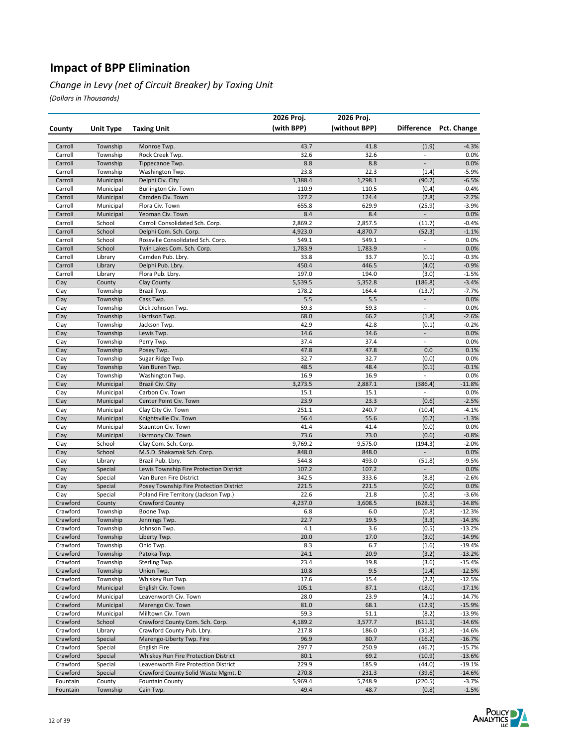#### *Change in Levy (net of Circuit Breaker) by Taxing Unit*

|                      |                        |                                                             | 2026 Proj.       | 2026 Proj.       |                          |                        |
|----------------------|------------------------|-------------------------------------------------------------|------------------|------------------|--------------------------|------------------------|
| County               | Unit Type              | <b>Taxing Unit</b>                                          | (with BPP)       | (without BPP)    |                          | Difference Pct. Change |
|                      |                        |                                                             |                  |                  |                          |                        |
| Carroll              | Township               | Monroe Twp.                                                 | 43.7             | 41.8             | (1.9)                    | $-4.3%$                |
| Carroll              | Township               | Rock Creek Twp.                                             | 32.6             | 32.6             | $\overline{\phantom{a}}$ | 0.0%                   |
| Carroll              | Township               | Tippecanoe Twp.                                             | 8.8              | 8.8              | $\overline{\phantom{a}}$ | 0.0%                   |
| Carroll              | Township               | Washington Twp.                                             | 23.8             | 22.3             | (1.4)                    | $-5.9%$                |
| Carroll              | Municipal              | Delphi Civ. City                                            | 1,388.4          | 1,298.1          | (90.2)                   | $-6.5%$                |
| Carroll              | Municipal              | Burlington Civ. Town                                        | 110.9            | 110.5            | (0.4)                    | $-0.4%$                |
| Carroll              | Municipal              | Camden Civ. Town                                            | 127.2            | 124.4            | (2.8)                    | $-2.2%$                |
| Carroll              | Municipal              | Flora Civ. Town                                             | 655.8            | 629.9            | (25.9)                   | $-3.9%$                |
| Carroll              | Municipal              | Yeoman Civ. Town                                            | 8.4              | 8.4              | $\overline{\phantom{a}}$ | 0.0%                   |
| Carroll<br>Carroll   | School                 | Carroll Consolidated Sch. Corp.                             | 2,869.2          | 2,857.5          | (11.7)                   | $-0.4%$                |
| Carroll              | School<br>School       | Delphi Com. Sch. Corp.<br>Rossville Consolidated Sch. Corp. | 4,923.0<br>549.1 | 4,870.7<br>549.1 | (52.3)<br>$\Box$         | $-1.1%$<br>0.0%        |
| Carroll              | School                 | Twin Lakes Com. Sch. Corp.                                  | 1,783.9          | 1,783.9          | $\blacksquare$           | 0.0%                   |
| Carroll              | Library                | Camden Pub. Lbry.                                           | 33.8             | 33.7             | (0.1)                    | $-0.3%$                |
| Carroll              | Library                | Delphi Pub. Lbry.                                           | 450.4            | 446.5            | (4.0)                    | $-0.9%$                |
| Carroll              | Library                | Flora Pub. Lbry.                                            | 197.0            | 194.0            | (3.0)                    | $-1.5%$                |
| Clay                 | County                 | Clay County                                                 | 5,539.5          | 5,352.8          | (186.8)                  | $-3.4%$                |
| Clay                 | Township               | Brazil Twp.                                                 | 178.2            | 164.4            | (13.7)                   | $-7.7%$                |
| Clay                 | Township               | Cass Twp.                                                   | 5.5              | 5.5              | $\overline{\phantom{a}}$ | 0.0%                   |
| Clay                 | Township               | Dick Johnson Twp.                                           | 59.3             | 59.3             | $\overline{\phantom{a}}$ | 0.0%                   |
| Clay                 | Township               | Harrison Twp.                                               | 68.0             | 66.2             | (1.8)                    | $-2.6%$                |
| Clay                 | Township               | Jackson Twp.                                                | 42.9             | 42.8             | (0.1)                    | $-0.2%$                |
| Clay                 | Township               | Lewis Twp.                                                  | 14.6             | 14.6             | $\overline{\phantom{a}}$ | 0.0%                   |
| Clay                 | Township               | Perry Twp.                                                  | 37.4             | 37.4             | $\blacksquare$           | 0.0%                   |
| Clay                 | Township               | Posey Twp.                                                  | 47.8             | 47.8             | 0.0                      | 0.1%                   |
| Clay                 | Township               | Sugar Ridge Twp.                                            | 32.7             | 32.7             | (0.0)                    | 0.0%                   |
| Clay                 | Township               | Van Buren Twp.                                              | 48.5             | 48.4             | (0.1)                    | $-0.1%$                |
| Clay                 | Township               | Washington Twp.                                             | 16.9             | 16.9             | $\overline{\phantom{a}}$ | 0.0%                   |
| Clay                 | Municipal              | Brazil Civ. City                                            | 3,273.5          | 2,887.1          | (386.4)                  | $-11.8%$               |
| Clay                 | Municipal              | Carbon Civ. Town                                            | 15.1             | 15.1             |                          | 0.0%                   |
| Clay                 | Municipal              | Center Point Civ. Town                                      | 23.9             | 23.3             | (0.6)                    | $-2.5%$                |
| Clay                 | Municipal              | Clay City Civ. Town                                         | 251.1            | 240.7            | (10.4)                   | $-4.1%$                |
| Clay<br>Clay         | Municipal<br>Municipal | Knightsville Civ. Town<br>Staunton Civ. Town                | 56.4<br>41.4     | 55.6<br>41.4     | (0.7)<br>(0.0)           | $-1.3%$<br>0.0%        |
| Clay                 | Municipal              | Harmony Civ. Town                                           | 73.6             | 73.0             | (0.6)                    | $-0.8%$                |
| Clay                 | School                 | Clay Com. Sch. Corp.                                        | 9,769.2          | 9,575.0          | (194.3)                  | $-2.0%$                |
| Clay                 | School                 | M.S.D. Shakamak Sch. Corp.                                  | 848.0            | 848.0            | $\overline{a}$           | 0.0%                   |
| Clay                 | Library                | Brazil Pub. Lbry.                                           | 544.8            | 493.0            | (51.8)                   | $-9.5%$                |
| Clay                 | Special                | Lewis Township Fire Protection District                     | 107.2            | 107.2            | $\frac{1}{2}$            | 0.0%                   |
| Clay                 | Special                | Van Buren Fire District                                     | 342.5            | 333.6            | (8.8)                    | $-2.6%$                |
| Clay                 | Special                | Posey Township Fire Protection District                     | 221.5            | 221.5            | (0.0)                    | 0.0%                   |
| Clay                 | Special                | Poland Fire Territory (Jackson Twp.)                        | 22.6             | 21.8             | (0.8)                    | $-3.6%$                |
| Crawford             | County                 | <b>Crawford County</b>                                      | 4,237.0          | 3,608.5          | (628.5)                  | $-14.8%$               |
| Crawford             | Township               | Boone Twp.                                                  | 6.8              | 6.0              | (0.8)                    | $-12.3%$               |
| Crawford             | Township               | Jennings Twp.                                               | 22.7             | 19.5             | (3.3)                    | $-14.3%$               |
| Crawford             | Township               | Johnson Twp.                                                | 4.1              | 3.6              | (0.5)                    | $-13.2%$               |
| Crawford             | Township               | Liberty Twp.                                                | 20.0             | 17.0             | (3.0)                    | $-14.9%$               |
| Crawford             | Township               | Ohio Twp.                                                   | 8.3              | 6.7              | (1.6)                    | $-19.4%$               |
| Crawford             | Township               | Patoka Twp.                                                 | 24.1             | 20.9             | (3.2)                    | $-13.2%$               |
| Crawford             | Township               | Sterling Twp.                                               | 23.4             | 19.8             | (3.6)                    | $-15.4%$               |
| Crawford             | Township               | Union Twp.                                                  | 10.8             | 9.5              | (1.4)                    | $-12.5%$<br>$-12.5%$   |
| Crawford<br>Crawford | Township<br>Municipal  | Whiskey Run Twp.<br>English Civ. Town                       | 17.6<br>105.1    | 15.4<br>87.1     | (2.2)<br>(18.0)          | $-17.1%$               |
| Crawford             | Municipal              | Leavenworth Civ. Town                                       | 28.0             | 23.9             | (4.1)                    | $-14.7%$               |
| Crawford             | Municipal              | Marengo Civ. Town                                           | 81.0             | 68.1             | (12.9)                   | $-15.9%$               |
| Crawford             | Municipal              | Milltown Civ. Town                                          | 59.3             | 51.1             | (8.2)                    | $-13.9%$               |
| Crawford             | School                 | Crawford County Com. Sch. Corp.                             | 4,189.2          | 3,577.7          | (611.5)                  | $-14.6%$               |
| Crawford             | Library                | Crawford County Pub. Lbry.                                  | 217.8            | 186.0            | (31.8)                   | $-14.6%$               |
| Crawford             | Special                | Marengo-Liberty Twp. Fire                                   | 96.9             | 80.7             | (16.2)                   | $-16.7%$               |
| Crawford             | Special                | <b>English Fire</b>                                         | 297.7            | 250.9            | (46.7)                   | $-15.7%$               |
| Crawford             | Special                | Whiskey Run Fire Protection District                        | 80.1             | 69.2             | (10.9)                   | $-13.6%$               |
| Crawford             | Special                | Leavenworth Fire Protection District                        | 229.9            | 185.9            | (44.0)                   | $-19.1%$               |
| Crawford             | Special                | Crawford County Solid Waste Mgmt. D                         | 270.8            | 231.3            | (39.6)                   | $-14.6%$               |
| Fountain             | County                 | <b>Fountain County</b>                                      | 5,969.4          | 5,748.9          | (220.5)                  | $-3.7%$                |
| Fountain             | Township               | Cain Twp.                                                   | 49.4             | 48.7             | (0.8)                    | $-1.5%$                |

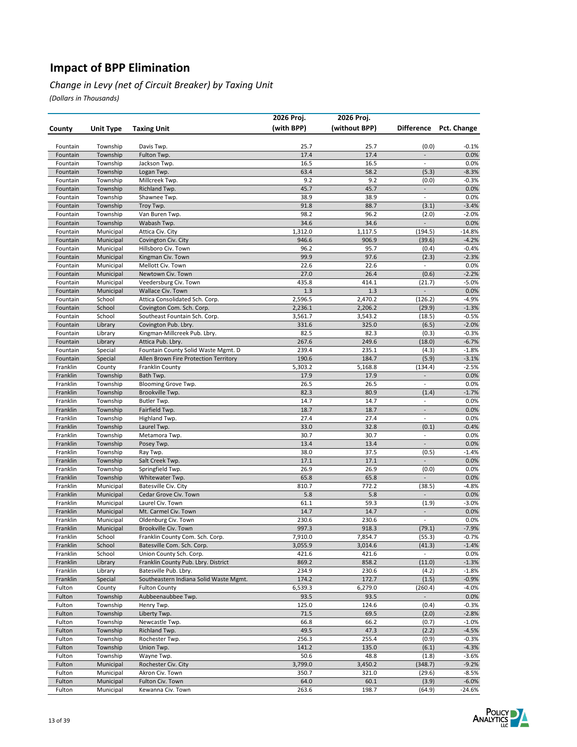#### *Change in Levy (net of Circuit Breaker) by Taxing Unit*

|                      |                        |                                             | 2026 Proj.       | 2026 Proj.       |                                            |                    |
|----------------------|------------------------|---------------------------------------------|------------------|------------------|--------------------------------------------|--------------------|
| County               | Unit Type              | <b>Taxing Unit</b>                          | (with BPP)       | (without BPP)    | <b>Difference</b>                          | Pct. Change        |
|                      |                        |                                             |                  |                  |                                            |                    |
| Fountain             | Township               | Davis Twp.                                  | 25.7             | 25.7             | (0.0)                                      | -0.1%              |
| Fountain             | Township               | Fulton Twp.                                 | 17.4             | 17.4             | $\blacksquare$                             | 0.0%               |
| Fountain             | Township               | Jackson Twp.                                | 16.5             | 16.5             | $\overline{\phantom{a}}$                   | 0.0%               |
| Fountain             | Township               | Logan Twp.                                  | 63.4             | 58.2             | (5.3)                                      | $-8.3%$            |
| Fountain             | Township               | Millcreek Twp.                              | 9.2              | 9.2              | (0.0)                                      | $-0.3%$            |
| Fountain             | Township               | Richland Twp.                               | 45.7             | 45.7<br>38.9     | $\blacksquare$<br>$\overline{\phantom{a}}$ | 0.0%               |
| Fountain<br>Fountain | Township<br>Township   | Shawnee Twp.<br>Troy Twp.                   | 38.9<br>91.8     | 88.7             | (3.1)                                      | 0.0%<br>$-3.4%$    |
| Fountain             | Township               | Van Buren Twp.                              | 98.2             | 96.2             | (2.0)                                      | $-2.0%$            |
| Fountain             | Township               | Wabash Twp.                                 | 34.6             | 34.6             | $\overline{a}$                             | 0.0%               |
| Fountain             | Municipal              | Attica Civ. City                            | 1,312.0          | 1,117.5          | (194.5)                                    | $-14.8%$           |
| Fountain             | Municipal              | Covington Civ. City                         | 946.6            | 906.9            | (39.6)                                     | $-4.2%$            |
| Fountain             | Municipal              | Hillsboro Civ. Town                         | 96.2             | 95.7             | (0.4)                                      | $-0.4%$            |
| Fountain             | Municipal              | Kingman Civ. Town                           | 99.9             | 97.6             | (2.3)                                      | $-2.3%$            |
| Fountain             | Municipal              | Mellott Civ. Town                           | 22.6             | 22.6             | $\qquad \qquad \blacksquare$               | 0.0%               |
| Fountain             | Municipal              | Newtown Civ. Town                           | 27.0             | 26.4             | (0.6)                                      | $-2.2%$            |
| Fountain             | Municipal              | Veedersburg Civ. Town                       | 435.8            | 414.1            | (21.7)                                     | $-5.0%$            |
| Fountain             | Municipal              | Wallace Civ. Town                           | 1.3              | 1.3              |                                            | 0.0%               |
| Fountain             | School                 | Attica Consolidated Sch. Corp.              | 2,596.5          | 2,470.2          | (126.2)                                    | $-4.9%$            |
| Fountain             | School                 | Covington Com. Sch. Corp.                   | 2,236.1          | 2,206.2          | (29.9)                                     | $-1.3%$            |
| Fountain             | School                 | Southeast Fountain Sch. Corp.               | 3,561.7          | 3,543.2          | (18.5)                                     | $-0.5%$            |
| Fountain             | Library                | Covington Pub. Lbry.                        | 331.6            | 325.0            | (6.5)                                      | $-2.0%$            |
| Fountain             | Library                | Kingman-Millcreek Pub. Lbry.                | 82.5             | 82.3             | (0.3)                                      | $-0.3%$            |
| Fountain             | Library                | Attica Pub. Lbry.                           | 267.6            | 249.6            | (18.0)                                     | $-6.7%$            |
| Fountain             | Special<br>Special     | Fountain County Solid Waste Mgmt. D         | 239.4            | 235.1            | (4.3)                                      | $-1.8%$            |
| Fountain<br>Franklin |                        | Allen Brown Fire Protection Territory       | 190.6<br>5,303.2 | 184.7<br>5,168.8 | (5.9)<br>(134.4)                           | $-3.1%$<br>$-2.5%$ |
| Franklin             | County<br>Township     | <b>Franklin County</b><br>Bath Twp.         | 17.9             | 17.9             | $\overline{\phantom{a}}$                   | 0.0%               |
| Franklin             | Township               | Blooming Grove Twp.                         | 26.5             | 26.5             | $\overline{\phantom{a}}$                   | 0.0%               |
| Franklin             | Township               | Brookville Twp.                             | 82.3             | 80.9             | (1.4)                                      | $-1.7%$            |
| Franklin             | Township               | Butler Twp.                                 | 14.7             | 14.7             | $\qquad \qquad \blacksquare$               | 0.0%               |
| Franklin             | Township               | Fairfield Twp.                              | 18.7             | 18.7             | $\blacksquare$                             | 0.0%               |
| Franklin             | Township               | Highland Twp.                               | 27.4             | 27.4             | $\overline{\phantom{a}}$                   | 0.0%               |
| Franklin             | Township               | Laurel Twp.                                 | 33.0             | 32.8             | (0.1)                                      | $-0.4%$            |
| Franklin             | Township               | Metamora Twp.                               | 30.7             | 30.7             | $\overline{\phantom{a}}$                   | 0.0%               |
| Franklin             | Township               | Posey Twp.                                  | 13.4             | 13.4             | $\frac{1}{2}$                              | 0.0%               |
| Franklin             | Township               | Ray Twp.                                    | 38.0             | 37.5             | (0.5)                                      | $-1.4%$            |
| Franklin             | Township               | Salt Creek Twp.                             | 17.1             | 17.1             | $\overline{\phantom{a}}$                   | 0.0%               |
| Franklin             | Township               | Springfield Twp.                            | 26.9             | 26.9             | (0.0)                                      | 0.0%               |
| Franklin             | Township               | Whitewater Twp.                             | 65.8             | 65.8             | $\overline{\phantom{a}}$                   | 0.0%               |
| Franklin             | Municipal              | Batesville Civ. City                        | 810.7            | 772.2            | (38.5)                                     | $-4.8%$            |
| Franklin             | Municipal              | Cedar Grove Civ. Town                       | 5.8              | 5.8              |                                            | 0.0%               |
| Franklin             | Municipal              | Laurel Civ. Town                            | 61.1<br>14.7     | 59.3<br>14.7     | (1.9)<br>$\blacksquare$                    | $-3.0%$<br>0.0%    |
| Franklin<br>Franklin | Municipal<br>Municipal | Mt. Carmel Civ. Town<br>Oldenburg Civ. Town | 230.6            | 230.6            | $\overline{\phantom{a}}$                   | 0.0%               |
| Franklin             | Municipal              | Brookville Civ. Town                        | 997.3            | 918.3            | (79.1)                                     | $-7.9%$            |
| Franklin             | School                 | Franklin County Com. Sch. Corp.             | 7,910.0          | 7,854.7          | (55.3)                                     | -0.7%              |
| Franklin             | School                 | Batesville Com. Sch. Corp.                  | 3,055.9          | 3,014.6          | (41.3)                                     | $-1.4%$            |
| Franklin             | School                 | Union County Sch. Corp.                     | 421.6            | 421.6            | $\blacksquare$                             | 0.0%               |
| Franklin             | Library                | Franklin County Pub. Lbry. District         | 869.2            | 858.2            | (11.0)                                     | $-1.3%$            |
| Franklin             | Library                | Batesville Pub. Lbry.                       | 234.9            | 230.6            | (4.2)                                      | $-1.8%$            |
| Franklin             | Special                | Southeastern Indiana Solid Waste Mgmt.      | 174.2            | 172.7            | (1.5)                                      | $-0.9%$            |
| Fulton               | County                 | <b>Fulton County</b>                        | 6,539.3          | 6,279.0          | (260.4)                                    | $-4.0%$            |
| Fulton               | Township               | Aubbeenaubbee Twp.                          | 93.5             | 93.5             | $\frac{1}{2}$                              | 0.0%               |
| Fulton               | Township               | Henry Twp.                                  | 125.0            | 124.6            | (0.4)                                      | $-0.3%$            |
| Fulton               | Township               | Liberty Twp.                                | 71.5             | 69.5             | (2.0)                                      | $-2.8%$            |
| Fulton               | Township               | Newcastle Twp.                              | 66.8             | 66.2             | (0.7)                                      | $-1.0%$            |
| Fulton               | Township               | Richland Twp.                               | 49.5             | 47.3             | (2.2)                                      | $-4.5%$            |
| Fulton               | Township               | Rochester Twp.                              | 256.3            | 255.4            | (0.9)                                      | $-0.3%$            |
| Fulton               | Township               | Union Twp.                                  | 141.2            | 135.0            | (6.1)                                      | $-4.3%$            |
| Fulton               | Township               | Wayne Twp.                                  | 50.6             | 48.8             | (1.8)                                      | $-3.6%$            |
| Fulton               | Municipal              | Rochester Civ. City                         | 3,799.0          | 3,450.2          | (348.7)                                    | $-9.2%$            |
| Fulton<br>Fulton     | Municipal<br>Municipal | Akron Civ. Town<br>Fulton Civ. Town         | 350.7<br>64.0    | 321.0<br>60.1    | (29.6)<br>(3.9)                            | $-8.5%$<br>$-6.0%$ |
| Fulton               | Municipal              | Kewanna Civ. Town                           | 263.6            | 198.7            | (64.9)                                     | $-24.6%$           |
|                      |                        |                                             |                  |                  |                                            |                    |

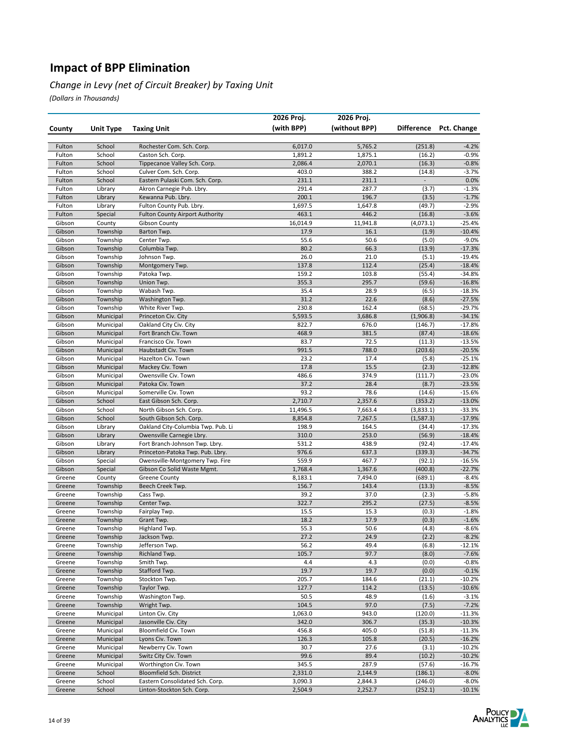#### *Change in Levy (net of Circuit Breaker) by Taxing Unit*

|                  |                        |                                              | 2026 Proj.     | 2026 Proj.     |                  |                        |
|------------------|------------------------|----------------------------------------------|----------------|----------------|------------------|------------------------|
| County           | <b>Unit Type</b>       | <b>Taxing Unit</b>                           | (with BPP)     | (without BPP)  |                  | Difference Pct. Change |
| Fulton           | School                 | Rochester Com. Sch. Corp.                    | 6,017.0        | 5,765.2        | (251.8)          | $-4.2%$                |
| Fulton           | School                 | Caston Sch. Corp.                            | 1,891.2        | 1,875.1        | (16.2)           | $-0.9%$                |
| Fulton           | School                 | Tippecanoe Valley Sch. Corp.                 | 2,086.4        | 2,070.1        | (16.3)           | $-0.8%$                |
| Fulton           | School                 | Culver Com. Sch. Corp.                       | 403.0          | 388.2          | (14.8)           | $-3.7%$                |
| Fulton           | School                 | Eastern Pulaski Com. Sch. Corp.              | 231.1          | 231.1          |                  | 0.0%                   |
| Fulton           | Library                | Akron Carnegie Pub. Lbry.                    | 291.4          | 287.7          | (3.7)            | $-1.3%$                |
| Fulton           | Library                | Kewanna Pub. Lbry.                           | 200.1          | 196.7          | (3.5)            | $-1.7%$                |
| Fulton           | Library                | Fulton County Pub. Lbry.                     | 1,697.5        | 1,647.8        | (49.7)           | $-2.9%$                |
| Fulton           | Special                | <b>Fulton County Airport Authority</b>       | 463.1          | 446.2          | (16.8)           | $-3.6%$                |
| Gibson           | County                 | Gibson County                                | 16,014.9       | 11,941.8       | (4,073.1)        | $-25.4%$               |
| Gibson           | Township               | Barton Twp.                                  | 17.9           | 16.1           | (1.9)            | $-10.4%$               |
| Gibson           | Township               | Center Twp.                                  | 55.6<br>80.2   | 50.6<br>66.3   | (5.0)            | $-9.0%$                |
| Gibson<br>Gibson | Township<br>Township   | Columbia Twp.<br>Johnson Twp.                | 26.0           | 21.0           | (13.9)<br>(5.1)  | $-17.3%$<br>$-19.4%$   |
| Gibson           | Township               | Montgomery Twp.                              | 137.8          | 112.4          | (25.4)           | $-18.4%$               |
| Gibson           | Township               | Patoka Twp.                                  | 159.2          | 103.8          | (55.4)           | $-34.8%$               |
| Gibson           | Township               | Union Twp.                                   | 355.3          | 295.7          | (59.6)           | $-16.8%$               |
| Gibson           | Township               | Wabash Twp.                                  | 35.4           | 28.9           | (6.5)            | $-18.3%$               |
| Gibson           | Township               | Washington Twp.                              | 31.2           | 22.6           | (8.6)            | $-27.5%$               |
| Gibson           | Township               | White River Twp.                             | 230.8          | 162.4          | (68.5)           | $-29.7%$               |
| Gibson           | Municipal              | Princeton Civ. City                          | 5,593.5        | 3,686.8        | (1,906.8)        | $-34.1%$               |
| Gibson           | Municipal              | Oakland City Civ. City                       | 822.7          | 676.0          | (146.7)          | $-17.8%$               |
| Gibson           | Municipal              | Fort Branch Civ. Town                        | 468.9          | 381.5          | (87.4)           | $-18.6%$               |
| Gibson           | Municipal              | Francisco Civ. Town                          | 83.7           | 72.5           | (11.3)           | $-13.5%$               |
| Gibson           | Municipal              | Haubstadt Civ. Town                          | 991.5          | 788.0          | (203.6)          | $-20.5%$               |
| Gibson           | Municipal              | Hazelton Civ. Town                           | 23.2           | 17.4           | (5.8)            | $-25.1%$               |
| Gibson           | Municipal              | Mackey Civ. Town                             | 17.8<br>486.6  | 15.5<br>374.9  | (2.3)<br>(111.7) | $-12.8%$<br>$-23.0%$   |
| Gibson<br>Gibson | Municipal<br>Municipal | Owensville Civ. Town<br>Patoka Civ. Town     | 37.2           | 28.4           | (8.7)            | $-23.5%$               |
| Gibson           | Municipal              | Somerville Civ. Town                         | 93.2           | 78.6           | (14.6)           | $-15.6%$               |
| Gibson           | School                 | East Gibson Sch. Corp.                       | 2,710.7        | 2,357.6        | (353.2)          | $-13.0%$               |
| Gibson           | School                 | North Gibson Sch. Corp.                      | 11,496.5       | 7,663.4        | (3,833.1)        | $-33.3%$               |
| Gibson           | School                 | South Gibson Sch. Corp.                      | 8,854.8        | 7,267.5        | (1, 587.3)       | $-17.9%$               |
| Gibson           | Library                | Oakland City-Columbia Twp. Pub. Li           | 198.9          | 164.5          | (34.4)           | $-17.3%$               |
| Gibson           | Library                | Owensville Carnegie Lbry.                    | 310.0          | 253.0          | (56.9)           | $-18.4%$               |
| Gibson           | Library                | Fort Branch-Johnson Twp. Lbry.               | 531.2          | 438.9          | (92.4)           | $-17.4%$               |
| Gibson           | Library                | Princeton-Patoka Twp. Pub. Lbry.             | 976.6          | 637.3          | (339.3)          | $-34.7%$               |
| Gibson           | Special                | Owensville-Montgomery Twp. Fire              | 559.9          | 467.7          | (92.1)           | $-16.5%$               |
| Gibson           | Special                | Gibson Co Solid Waste Mgmt.                  | 1,768.4        | 1,367.6        | (400.8)          | $-22.7%$               |
| Greene           | County                 | <b>Greene County</b>                         | 8,183.1        | 7,494.0        | (689.1)          | $-8.4%$                |
| Greene           | Township<br>Township   | Beech Creek Twp.                             | 156.7<br>39.2  | 143.4<br>37.0  | (13.3)           | $-8.5%$<br>$-5.8%$     |
| Greene<br>Greene | Township               | Cass Twp.<br>Center Twp.                     | 322.7          | 295.2          | (2.3)<br>(27.5)  | $-8.5%$                |
| Greene           | Township               | Fairplay Twp.                                | 15.5           | 15.3           | (0.3)            | $-1.8%$                |
| Greene           | Township               | Grant Twp.                                   | 18.2           | 17.9           | (0.3)            | $-1.6%$                |
| Greene           | Township               | Highland Twp.                                | 55.3           | 50.6           | (4.8)            | $-8.6%$                |
| Greene           | Township               | Jackson Twp.                                 | 27.2           | 24.9           | (2.2)            | -8.2%                  |
| Greene           | Township               | Jefferson Twp.                               | 56.2           | 49.4           | (6.8)            | $-12.1%$               |
| Greene           | Township               | Richland Twp.                                | 105.7          | 97.7           | (8.0)            | $-7.6%$                |
| Greene           | Township               | Smith Twp.                                   | 4.4            | 4.3            | (0.0)            | $-0.8%$                |
| Greene           | Township               | Stafford Twp.                                | 19.7           | 19.7           | (0.0)            | $-0.1%$                |
| Greene           | Township               | Stockton Twp.                                | 205.7          | 184.6          | (21.1)           | $-10.2%$               |
| Greene           | Township               | Taylor Twp.                                  | 127.7          | 114.2          | (13.5)           | $-10.6%$               |
| Greene           | Township               | Washington Twp.                              | 50.5           | 48.9           | (1.6)            | $-3.1%$                |
| Greene           | Township               | Wright Twp.                                  | 104.5          | 97.0           | (7.5)            | $-7.2%$                |
| Greene           | Municipal              | Linton Civ. City                             | 1,063.0        | 943.0          | (120.0)          | -11.3%                 |
| Greene<br>Greene | Municipal<br>Municipal | Jasonville Civ. City<br>Bloomfield Civ. Town | 342.0<br>456.8 | 306.7<br>405.0 | (35.3)<br>(51.8) | $-10.3%$<br>$-11.3%$   |
| Greene           | Municipal              | Lyons Civ. Town                              | 126.3          | 105.8          | (20.5)           | $-16.2%$               |
| Greene           | Municipal              | Newberry Civ. Town                           | 30.7           | 27.6           | (3.1)            | $-10.2%$               |
| Greene           | Municipal              | Switz City Civ. Town                         | 99.6           | 89.4           | (10.2)           | $-10.2%$               |
| Greene           | Municipal              | Worthington Civ. Town                        | 345.5          | 287.9          | (57.6)           | $-16.7%$               |
| Greene           | School                 | Bloomfield Sch. District                     | 2,331.0        | 2,144.9        | (186.1)          | $-8.0\%$               |
| Greene           | School                 | Eastern Consolidated Sch. Corp.              | 3,090.3        | 2,844.3        | (246.0)          | $-8.0%$                |
| Greene           | School                 | Linton-Stockton Sch. Corp.                   | 2,504.9        | 2,252.7        | (252.1)          | $-10.1%$               |

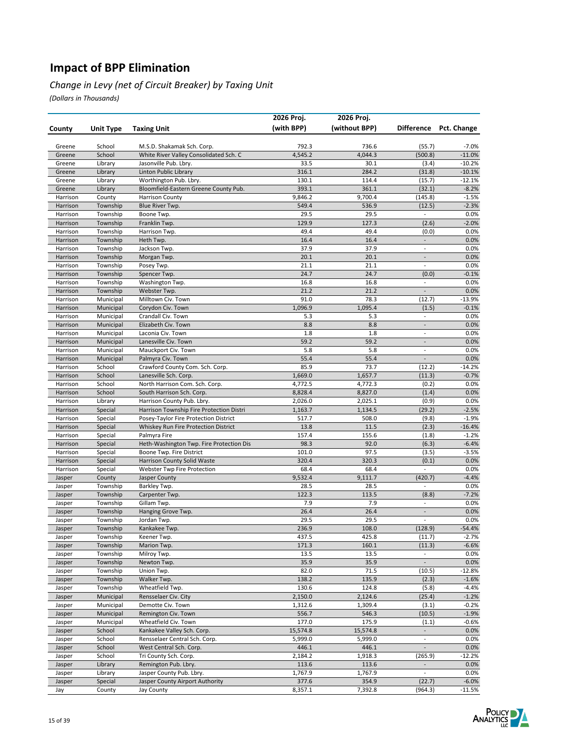#### *Change in Levy (net of Circuit Breaker) by Taxing Unit*

|                      |                        |                                                          | 2026 Proj.       | 2026 Proj.       |                          |                    |
|----------------------|------------------------|----------------------------------------------------------|------------------|------------------|--------------------------|--------------------|
| County               | Unit Type              | <b>Taxing Unit</b>                                       | (with BPP)       | (without BPP)    | <b>Difference</b>        | Pct. Change        |
|                      |                        |                                                          |                  |                  |                          |                    |
| Greene               | School                 | M.S.D. Shakamak Sch. Corp.                               | 792.3            | 736.6            | (55.7)                   | $-7.0%$            |
| Greene               | School                 | White River Valley Consolidated Sch. C                   | 4,545.2          | 4,044.3          | (500.8)                  | $-11.0%$           |
| Greene               | Library                | Jasonville Pub. Lbry.                                    | 33.5             | 30.1             | (3.4)                    | $-10.2%$           |
| Greene               | Library                | Linton Public Library                                    | 316.1            | 284.2            | (31.8)                   | $-10.1%$           |
| Greene               | Library                | Worthington Pub. Lbry.                                   | 130.1            | 114.4            | (15.7)                   | $-12.1%$           |
| Greene               | Library                | Bloomfield-Eastern Greene County Pub.                    | 393.1            | 361.1            | (32.1)                   | $-8.2%$            |
| Harrison             | County                 | <b>Harrison County</b>                                   | 9,846.2          | 9,700.4          | (145.8)                  | $-1.5%$            |
| Harrison             | Township               | Blue River Twp.                                          | 549.4            | 536.9            | (12.5)                   | $-2.3%$            |
| Harrison<br>Harrison | Township               | Boone Twp.<br>Franklin Twp.                              | 29.5             | 29.5             | $\overline{\phantom{a}}$ | 0.0%               |
|                      | Township               |                                                          | 129.9<br>49.4    | 127.3<br>49.4    | (2.6)<br>(0.0)           | $-2.0%$            |
| Harrison<br>Harrison | Township<br>Township   | Harrison Twp.<br>Heth Twp.                               | 16.4             | 16.4             | $\Box$                   | 0.0%<br>0.0%       |
| Harrison             | Township               | Jackson Twp.                                             | 37.9             | 37.9             | $\overline{\phantom{a}}$ | 0.0%               |
| Harrison             | Township               | Morgan Twp.                                              | 20.1             | 20.1             | $\overline{\phantom{a}}$ | 0.0%               |
| Harrison             | Township               | Posey Twp.                                               | 21.1             | 21.1             | $\overline{\phantom{a}}$ | 0.0%               |
| Harrison             | Township               | Spencer Twp.                                             | 24.7             | 24.7             | (0.0)                    | $-0.1%$            |
| Harrison             | Township               | Washington Twp.                                          | 16.8             | 16.8             | $\overline{\phantom{a}}$ | 0.0%               |
| Harrison             | Township               | Webster Twp.                                             | 21.2             | 21.2             | $\overline{a}$           | 0.0%               |
| Harrison             | Municipal              | Milltown Civ. Town                                       | 91.0             | 78.3             | (12.7)                   | $-13.9%$           |
| Harrison             | Municipal              | Corydon Civ. Town                                        | 1,096.9          | 1,095.4          | (1.5)                    | $-0.1%$            |
| Harrison             | Municipal              | Crandall Civ. Town                                       | 5.3              | 5.3              | $\overline{\phantom{a}}$ | 0.0%               |
| Harrison             | Municipal              | Elizabeth Civ. Town                                      | 8.8              | 8.8              | $\blacksquare$           | 0.0%               |
| Harrison             | Municipal              | Laconia Civ. Town                                        | 1.8              | 1.8              | $\overline{a}$           | 0.0%               |
| Harrison             | Municipal              | Lanesville Civ. Town                                     | 59.2             | 59.2             | $\blacksquare$           | 0.0%               |
| Harrison             | Municipal              | Mauckport Civ. Town                                      | 5.8              | 5.8              | $\overline{\phantom{a}}$ | 0.0%               |
| Harrison             | Municipal              | Palmyra Civ. Town                                        | 55.4             | 55.4             | $\overline{a}$           | 0.0%               |
| Harrison             | School                 | Crawford County Com. Sch. Corp.                          | 85.9             | 73.7             | (12.2)                   | $-14.2%$           |
| Harrison             | School                 | Lanesville Sch. Corp.                                    | 1,669.0          | 1,657.7          | (11.3)                   | $-0.7%$            |
| Harrison             | School                 | North Harrison Com. Sch. Corp.                           | 4,772.5          | 4,772.3          | (0.2)                    | 0.0%               |
| Harrison             | School                 | South Harrison Sch. Corp.                                | 8,828.4          | 8,827.0          | (1.4)                    | 0.0%               |
| Harrison             | Library                | Harrison County Pub. Lbry.                               | 2,026.0          | 2,025.1          | (0.9)                    | 0.0%               |
| Harrison             | Special                | Harrison Township Fire Protection Distri                 | 1,163.7          | 1,134.5          | (29.2)                   | $-2.5%$            |
| Harrison             | Special                | Posey-Taylor Fire Protection District                    | 517.7            | 508.0            | (9.8)                    | $-1.9%$            |
| Harrison<br>Harrison | Special                | Whiskey Run Fire Protection District                     | 13.8<br>157.4    | 11.5<br>155.6    | (2.3)                    | $-16.4%$           |
| Harrison             | Special<br>Special     | Palmyra Fire<br>Heth-Washington Twp. Fire Protection Dis | 98.3             | 92.0             | (1.8)<br>(6.3)           | $-1.2%$<br>$-6.4%$ |
| Harrison             | Special                | Boone Twp. Fire District                                 | 101.0            | 97.5             | (3.5)                    | $-3.5%$            |
| Harrison             | Special                | Harrison County Solid Waste                              | 320.4            | 320.3            | (0.1)                    | 0.0%               |
| Harrison             | Special                | Webster Twp Fire Protection                              | 68.4             | 68.4             | $\overline{\phantom{a}}$ | 0.0%               |
| Jasper               | County                 | Jasper County                                            | 9,532.4          | 9,111.7          | (420.7)                  | $-4.4%$            |
| Jasper               | Township               | Barkley Twp.                                             | 28.5             | 28.5             | $\overline{\phantom{a}}$ | 0.0%               |
| Jasper               | Township               | Carpenter Twp.                                           | 122.3            | 113.5            | (8.8)                    | $-7.2%$            |
| Jasper               | Township               | Gillam Twp.                                              | 7.9              | 7.9              | $\overline{\phantom{a}}$ | 0.0%               |
| Jasper               | Township               | Hanging Grove Twp.                                       | 26.4             | 26.4             | $\overline{\phantom{a}}$ | 0.0%               |
| Jasper               | Township               | Jordan Twp.                                              | 29.5             | 29.5             | $\overline{\phantom{a}}$ | 0.0%               |
| Jasper               | Township               | Kankakee Twp.                                            | 236.9            | 108.0            | (128.9)                  | $-54.4%$           |
| Jasper               | Township               | Keener Iwp.                                              | 437.5            | 425.8            | (11.7)                   | -2.7%              |
| Jasper               | Township               | Marion Twp.                                              | 171.3            | 160.1            | (11.3)                   | $-6.6%$            |
| Jasper               | Township               | Milroy Twp.                                              | 13.5             | 13.5             | $\overline{\phantom{a}}$ | 0.0%               |
| Jasper               | Township               | Newton Twp.                                              | 35.9             | 35.9             | $\Box$                   | 0.0%               |
| Jasper               | Township               | Union Twp.                                               | 82.0             | 71.5             | (10.5)                   | $-12.8%$           |
| Jasper               | Township               | Walker Twp.                                              | 138.2            | 135.9            | (2.3)                    | $-1.6%$            |
| Jasper               | Township               | Wheatfield Twp.                                          | 130.6            | 124.8            | (5.8)                    | $-4.4%$            |
| Jasper               | Municipal              | Rensselaer Civ. City                                     | 2,150.0          | 2,124.6          | (25.4)                   | $-1.2%$            |
| Jasper<br>Jasper     | Municipal<br>Municipal | Demotte Civ. Town<br>Remington Civ. Town                 | 1,312.6<br>556.7 | 1,309.4<br>546.3 | (3.1)                    | $-0.2%$<br>$-1.9%$ |
| Jasper               | Municipal              | Wheatfield Civ. Town                                     | 177.0            | 175.9            | (10.5)<br>(1.1)          | $-0.6%$            |
| Jasper               | School                 | Kankakee Valley Sch. Corp.                               | 15,574.8         | 15,574.8         | $\blacksquare$           | 0.0%               |
| Jasper               | School                 | Rensselaer Central Sch. Corp.                            | 5,999.0          | 5,999.0          | $\overline{\phantom{a}}$ | 0.0%               |
| Jasper               | School                 | West Central Sch. Corp.                                  | 446.1            | 446.1            | $\overline{\phantom{a}}$ | 0.0%               |
| Jasper               | School                 | Tri County Sch. Corp.                                    | 2,184.2          | 1,918.3          | (265.9)                  | -12.2%             |
| Jasper               | Library                | Remington Pub. Lbry.                                     | 113.6            | 113.6            | $\overline{\phantom{a}}$ | 0.0%               |
| Jasper               | Library                | Jasper County Pub. Lbry.                                 | 1,767.9          | 1,767.9          | $\overline{\phantom{a}}$ | 0.0%               |
| Jasper               | Special                | Jasper County Airport Authority                          | 377.6            | 354.9            | (22.7)                   | $-6.0%$            |
| Jay                  | County                 | Jay County                                               | 8,357.1          | 7,392.8          | (964.3)                  | $-11.5%$           |

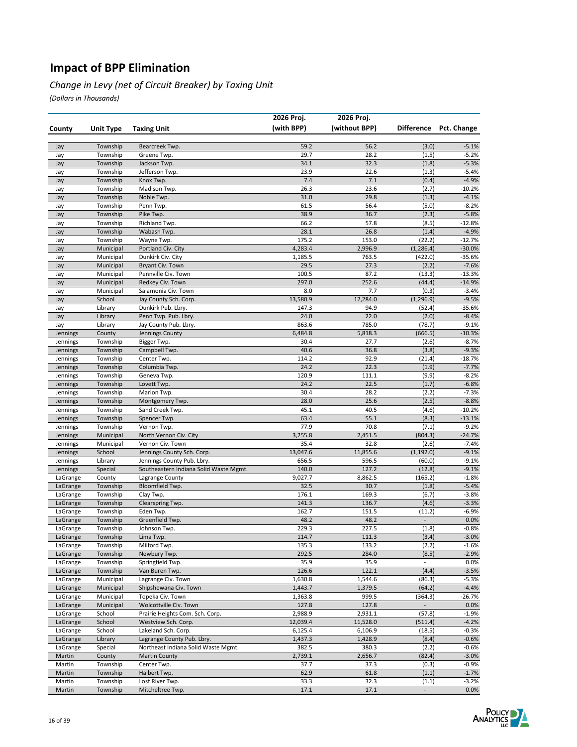#### *Change in Levy (net of Circuit Breaker) by Taxing Unit*

|                      |                      |                                        | 2026 Proj.     | 2026 Proj.     |                          |                    |
|----------------------|----------------------|----------------------------------------|----------------|----------------|--------------------------|--------------------|
| County               | <b>Unit Type</b>     | <b>Taxing Unit</b>                     | (with BPP)     | (without BPP)  | <b>Difference</b>        | Pct. Change        |
|                      |                      |                                        |                |                |                          |                    |
| Jay                  | Township             | Bearcreek Twp.                         | 59.2           | 56.2           | (3.0)                    | $-5.1%$            |
| Jay                  | Township             | Greene Twp.                            | 29.7<br>34.1   | 28.2<br>32.3   | (1.5)<br>(1.8)           | $-5.2%$<br>$-5.3%$ |
| Jay<br>Jay           | Township<br>Township | Jackson Twp.<br>Jefferson Twp.         | 23.9           | 22.6           | (1.3)                    | $-5.4%$            |
| Jay                  | Township             | Knox Twp.                              | 7.4            | 7.1            | (0.4)                    | $-4.9%$            |
| Jay                  | Township             | Madison Twp.                           | 26.3           | 23.6           | (2.7)                    | $-10.2%$           |
| Jay                  | Township             | Noble Twp.                             | 31.0           | 29.8           | (1.3)                    | $-4.1%$            |
| Jay                  | Township             | Penn Twp.                              | 61.5           | 56.4           | (5.0)                    | $-8.2%$            |
| Jay                  | Township             | Pike Twp.                              | 38.9           | 36.7           | (2.3)                    | $-5.8%$            |
| Jay                  | Township             | Richland Twp.                          | 66.2           | 57.8           | (8.5)                    | $-12.8%$           |
| Jay                  | Township             | Wabash Twp.                            | 28.1           | 26.8           | (1.4)                    | $-4.9%$            |
| Jay                  | Township             | Wayne Twp.                             | 175.2          | 153.0          | (22.2)                   | $-12.7%$           |
| Jay                  | Municipal            | Portland Civ. City                     | 4,283.4        | 2,996.9        | (1, 286.4)               | $-30.0%$           |
| Jay                  | Municipal            | Dunkirk Civ. City                      | 1,185.5        | 763.5          | (422.0)                  | $-35.6%$           |
| Jay                  | Municipal            | Bryant Civ. Town                       | 29.5           | 27.3           | (2.2)                    | $-7.6%$            |
| Jay                  | Municipal            | Pennville Civ. Town                    | 100.5          | 87.2           | (13.3)                   | $-13.3%$           |
| Jay                  | Municipal            | Redkey Civ. Town                       | 297.0          | 252.6          | (44.4)                   | $-14.9%$           |
| Jay                  | Municipal            | Salamonia Civ. Town                    | 8.0            | 7.7            | (0.3)                    | $-3.4%$            |
| Jay                  | School               | Jay County Sch. Corp.                  | 13,580.9       | 12,284.0       | (1, 296.9)               | $-9.5%$            |
| Jay                  | Library              | Dunkirk Pub. Lbry.                     | 147.3          | 94.9           | (52.4)                   | $-35.6%$           |
| Jay                  | Library              | Penn Twp. Pub. Lbry.                   | 24.0           | 22.0           | (2.0)                    | $-8.4%$            |
| Jay                  | Library              | Jay County Pub. Lbry.                  | 863.6          | 785.0          | (78.7)                   | $-9.1%$            |
| Jennings             | County               | Jennings County                        | 6,484.8        | 5,818.3        | (666.5)                  | $-10.3%$           |
| Jennings             | Township             | Bigger Twp.                            | 30.4           | 27.7           | (2.6)                    | $-8.7%$<br>$-9.3%$ |
| Jennings             | Township             | Campbell Twp.<br>Center Twp.           | 40.6<br>114.2  | 36.8<br>92.9   | (3.8)<br>(21.4)          | $-18.7%$           |
| Jennings<br>Jennings | Township<br>Township | Columbia Twp.                          | 24.2           | 22.3           | (1.9)                    | $-7.7%$            |
| Jennings             | Township             | Geneva Twp.                            | 120.9          | 111.1          | (9.9)                    | $-8.2%$            |
| Jennings             | Township             | Lovett Twp.                            | 24.2           | 22.5           | (1.7)                    | $-6.8%$            |
| Jennings             | Township             | Marion Twp.                            | 30.4           | 28.2           | (2.2)                    | $-7.3%$            |
| Jennings             | Township             | Montgomery Twp.                        | 28.0           | 25.6           | (2.5)                    | $-8.8%$            |
| Jennings             | Township             | Sand Creek Twp.                        | 45.1           | 40.5           | (4.6)                    | $-10.2%$           |
| Jennings             | Township             | Spencer Twp.                           | 63.4           | 55.1           | (8.3)                    | $-13.1%$           |
| Jennings             | Township             | Vernon Twp.                            | 77.9           | 70.8           | (7.1)                    | $-9.2%$            |
| Jennings             | Municipal            | North Vernon Civ. City                 | 3,255.8        | 2,451.5        | (804.3)                  | $-24.7%$           |
| Jennings             | Municipal            | Vernon Civ. Town                       | 35.4           | 32.8           | (2.6)                    | $-7.4%$            |
| Jennings             | School               | Jennings County Sch. Corp.             | 13,047.6       | 11,855.6       | (1, 192.0)               | $-9.1%$            |
| Jennings             | Library              | Jennings County Pub. Lbry.             | 656.5          | 596.5          | (60.0)                   | $-9.1%$            |
| Jennings             | Special              | Southeastern Indiana Solid Waste Mgmt. | 140.0          | 127.2          | (12.8)                   | $-9.1%$            |
| LaGrange             | County               | Lagrange County                        | 9,027.7        | 8,862.5        | (165.2)                  | $-1.8%$            |
| LaGrange             | Township             | Bloomfield Twp.                        | 32.5           | 30.7           | (1.8)                    | $-5.4%$            |
| LaGrange             | Township             | Clay Twp.                              | 176.1          | 169.3          | (6.7)                    | $-3.8%$            |
| LaGrange             | Township             | Clearspring Twp.                       | 141.3          | 136.7          | (4.6)                    | $-3.3%$            |
| LaGrange             | Township             | Eden Twp.                              | 162.7          | 151.5          | (11.2)                   | $-6.9%$            |
| LaGrange             | Township             | Greenfield Twp.                        | 48.2           | 48.2           |                          | 0.0%               |
| LaGrange             | Township             | Johnson Twp.                           | 229.3          | 227.5          | (1.8)                    | $-0.8%$            |
| LaGrange             | Township             | Lima Twp.<br>Milford Twp.              | 114.7          | 111.3          | (3.4)                    | $-3.0%$            |
| LaGrange<br>LaGrange | Township<br>Township |                                        | 135.3<br>292.5 | 133.2<br>284.0 | (2.2)                    | $-1.6%$<br>$-2.9%$ |
| LaGrange             | Township             | Newbury Twp.<br>Springfield Twp.       | 35.9           | 35.9           | (8.5)<br>$\Box$          | 0.0%               |
| LaGrange             | Township             | Van Buren Twp.                         | 126.6          | 122.1          | (4.4)                    | $-3.5%$            |
| LaGrange             | Municipal            | Lagrange Civ. Town                     | 1,630.8        | 1,544.6        | (86.3)                   | $-5.3%$            |
| LaGrange             | Municipal            | Shipshewana Civ. Town                  | 1,443.7        | 1,379.5        | (64.2)                   | $-4.4%$            |
| LaGrange             | Municipal            | Topeka Civ. Town                       | 1,363.8        | 999.5          | (364.3)                  | $-26.7%$           |
| LaGrange             | Municipal            | Wolcottville Civ. Town                 | 127.8          | 127.8          | $\overline{\phantom{a}}$ | 0.0%               |
| LaGrange             | School               | Prairie Heights Com. Sch. Corp.        | 2,988.9        | 2,931.1        | (57.8)                   | $-1.9%$            |
| LaGrange             | School               | Westview Sch. Corp.                    | 12,039.4       | 11,528.0       | (511.4)                  | $-4.2%$            |
| LaGrange             | School               | Lakeland Sch. Corp.                    | 6,125.4        | 6,106.9        | (18.5)                   | $-0.3%$            |
| LaGrange             | Library              | Lagrange County Pub. Lbry.             | 1,437.3        | 1,428.9        | (8.4)                    | $-0.6%$            |
| LaGrange             | Special              | Northeast Indiana Solid Waste Mgmt.    | 382.5          | 380.3          | (2.2)                    | $-0.6%$            |
| Martin               | County               | <b>Martin County</b>                   | 2,739.1        | 2,656.7        | (82.4)                   | $-3.0%$            |
| Martin               | Township             | Center Twp.                            | 37.7           | 37.3           | (0.3)                    | $-0.9%$            |
| Martin               | Township             | Halbert Twp.                           | 62.9           | 61.8           | (1.1)                    | $-1.7%$            |
| Martin               | Township             | Lost River Twp.                        | 33.3           | 32.3           | (1.1)                    | $-3.2%$            |
| Martin               | Township             | Mitcheltree Twp.                       | 17.1           | 17.1           | $\blacksquare$           | 0.0%               |

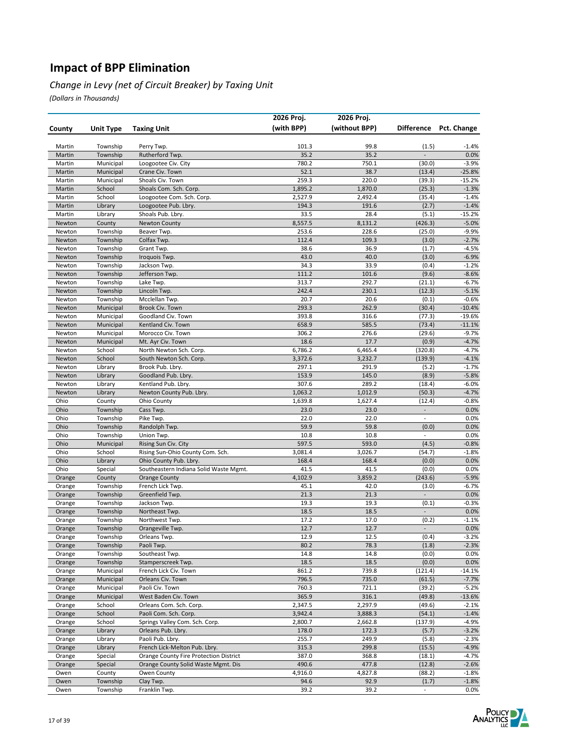#### *Change in Levy (net of Circuit Breaker) by Taxing Unit*

|                  |                        |                                              | 2026 Proj.         | 2026 Proj.         |                                   |                      |
|------------------|------------------------|----------------------------------------------|--------------------|--------------------|-----------------------------------|----------------------|
| County           | <b>Unit Type</b>       | <b>Taxing Unit</b>                           | (with BPP)         | (without BPP)      | <b>Difference</b>                 | Pct. Change          |
|                  |                        |                                              |                    |                    |                                   |                      |
| Martin           | Township               | Perry Twp.                                   | 101.3              | 99.8               | (1.5)                             | $-1.4%$              |
| Martin           | Township               | Rutherford Twp.                              | 35.2               | 35.2               | $\overline{a}$                    | 0.0%                 |
| Martin<br>Martin | Municipal              | Loogootee Civ. City<br>Crane Civ. Town       | 780.2              | 750.1<br>38.7      | (30.0)                            | $-3.9%$              |
| Martin           | Municipal<br>Municipal | Shoals Civ. Town                             | 52.1<br>259.3      | 220.0              | (13.4)<br>(39.3)                  | $-25.8%$<br>$-15.2%$ |
| Martin           | School                 | Shoals Com. Sch. Corp.                       | 1,895.2            | 1,870.0            | (25.3)                            | $-1.3%$              |
| Martin           | School                 | Loogootee Com. Sch. Corp.                    | 2,527.9            | 2,492.4            | (35.4)                            | $-1.4%$              |
| Martin           | Library                | Loogootee Pub. Lbry.                         | 194.3              | 191.6              | (2.7)                             | $-1.4%$              |
| Martin           | Library                | Shoals Pub. Lbry.                            | 33.5               | 28.4               | (5.1)                             | $-15.2%$             |
| Newton           | County                 | <b>Newton County</b>                         | 8,557.5            | 8,131.2            | (426.3)                           | $-5.0%$              |
| Newton           | Township               | Beaver Twp.                                  | 253.6              | 228.6              | (25.0)                            | $-9.9%$              |
| Newton           | Township               | Colfax Twp.                                  | 112.4              | 109.3              | (3.0)                             | $-2.7%$              |
| Newton           | Township               | Grant Twp.                                   | 38.6               | 36.9               | (1.7)                             | $-4.5%$              |
| Newton           | Township               | Iroquois Twp.                                | 43.0               | 40.0               | (3.0)                             | $-6.9%$              |
| Newton           | Township               | Jackson Twp.                                 | 34.3               | 33.9               | (0.4)                             | $-1.2%$              |
| Newton           | Township               | Jefferson Twp.                               | 111.2              | 101.6              | (9.6)                             | $-8.6%$              |
| Newton           | Township               | Lake Twp.                                    | 313.7              | 292.7              | (21.1)                            | $-6.7%$              |
| Newton           | Township               | Lincoln Twp.                                 | 242.4              | 230.1              | (12.3)                            | $-5.1%$              |
| Newton           | Township               | Mcclellan Twp.                               | 20.7               | 20.6               | (0.1)                             | $-0.6%$              |
| Newton           | Municipal              | Brook Civ. Town                              | 293.3              | 262.9              | (30.4)                            | $-10.4%$             |
| Newton           | Municipal              | Goodland Civ. Town                           | 393.8              | 316.6              | (77.3)                            | $-19.6%$             |
| Newton           | Municipal              | Kentland Civ. Town                           | 658.9              | 585.5              | (73.4)                            | $-11.1%$             |
| Newton           | Municipal              | Morocco Civ. Town                            | 306.2              | 276.6              | (29.6)                            | $-9.7%$              |
| Newton           | Municipal              | Mt. Ayr Civ. Town<br>North Newton Sch. Corp. | 18.6               | 17.7               | (0.9)                             | $-4.7%$<br>$-4.7%$   |
| Newton<br>Newton | School<br>School       | South Newton Sch. Corp.                      | 6,786.2<br>3,372.6 | 6,465.4<br>3,232.7 | (320.8)<br>(139.9)                | $-4.1%$              |
| Newton           | Library                | Brook Pub. Lbry.                             | 297.1              | 291.9              | (5.2)                             | $-1.7%$              |
| Newton           | Library                | Goodland Pub. Lbry.                          | 153.9              | 145.0              | (8.9)                             | $-5.8%$              |
| Newton           | Library                | Kentland Pub. Lbry.                          | 307.6              | 289.2              | (18.4)                            | $-6.0%$              |
| Newton           | Library                | Newton County Pub. Lbry.                     | 1,063.2            | 1,012.9            | (50.3)                            | $-4.7%$              |
| Ohio             | County                 | <b>Ohio County</b>                           | 1,639.8            | 1,627.4            | (12.4)                            | $-0.8%$              |
| Ohio             | Township               | Cass Twp.                                    | 23.0               | 23.0               | $\overline{\phantom{a}}$          | 0.0%                 |
| Ohio             | Township               | Pike Twp.                                    | 22.0               | 22.0               |                                   | 0.0%                 |
| Ohio             | Township               | Randolph Twp.                                | 59.9               | 59.8               | (0.0)                             | 0.0%                 |
| Ohio             | Township               | Union Twp.                                   | 10.8               | 10.8               |                                   | 0.0%                 |
| Ohio             | Municipal              | Rising Sun Civ. City                         | 597.5              | 593.0              | (4.5)                             | $-0.8%$              |
| Ohio             | School                 | Rising Sun-Ohio County Com. Sch.             | 3,081.4            | 3,026.7            | (54.7)                            | $-1.8%$              |
| Ohio             | Library                | Ohio County Pub. Lbry.                       | 168.4              | 168.4              | (0.0)                             | 0.0%                 |
| Ohio             | Special                | Southeastern Indiana Solid Waste Mgmt.       | 41.5               | 41.5               | (0.0)                             | 0.0%                 |
| Orange           | County                 | <b>Orange County</b>                         | 4,102.9            | 3,859.2            | (243.6)                           | $-5.9%$              |
| Orange           | Township               | French Lick Twp.                             | 45.1               | 42.0               | (3.0)                             | $-6.7%$              |
| Orange           | Township               | Greenfield Twp.                              | 21.3               | 21.3               | $\qquad \qquad \blacksquare$      | 0.0%                 |
| Orange           | Township               | Jackson Twp.                                 | 19.3               | 19.3               | (0.1)                             | $-0.3%$              |
| Orange           | Township               | Northeast Twp.                               | 18.5<br>17.2       | 18.5<br>17.0       | $\overline{\phantom{a}}$          | 0.0%                 |
| Orange           | Township               | Northwest Twp.                               | 12.7               | 12.7               | (0.2)                             | $-1.1%$<br>0.0%      |
| Orange           | Township<br>Township   | Orangeville Twp.<br>Orleans Twp.             | 12.9               | 12.5               | $\overline{\phantom{a}}$<br>(0.4) | $-3.2%$              |
| Orange<br>Orange | Township               | Paoli Twp.                                   | 80.2               | 78.3               | (1.8)                             | $-2.3%$              |
| Orange           | Township               | Southeast Twp.                               | 14.8               | 14.8               | (0.0)                             | 0.0%                 |
| Orange           | Township               | Stamperscreek Twp.                           | 18.5               | 18.5               | (0.0)                             | 0.0%                 |
| Orange           | Municipal              | French Lick Civ. Town                        | 861.2              | 739.8              | (121.4)                           | $-14.1%$             |
| Orange           | Municipal              | Orleans Civ. Town                            | 796.5              | 735.0              | (61.5)                            | $-7.7%$              |
| Orange           | Municipal              | Paoli Civ. Town                              | 760.3              | 721.1              | (39.2)                            | $-5.2%$              |
| Orange           | Municipal              | West Baden Civ. Town                         | 365.9              | 316.1              | (49.8)                            | $-13.6%$             |
| Orange           | School                 | Orleans Com. Sch. Corp.                      | 2,347.5            | 2,297.9            | (49.6)                            | $-2.1%$              |
| Orange           | School                 | Paoli Com. Sch. Corp.                        | 3,942.4            | 3,888.3            | (54.1)                            | $-1.4%$              |
| Orange           | School                 | Springs Valley Com. Sch. Corp.               | 2,800.7            | 2,662.8            | (137.9)                           | $-4.9%$              |
| Orange           | Library                | Orleans Pub. Lbry.                           | 178.0              | 172.3              | (5.7)                             | $-3.2%$              |
| Orange           | Library                | Paoli Pub. Lbry.                             | 255.7              | 249.9              | (5.8)                             | $-2.3%$              |
| Orange           | Library                | French Lick-Melton Pub. Lbry.                | 315.3              | 299.8              | (15.5)                            | $-4.9%$              |
| Orange           | Special                | Orange County Fire Protection District       | 387.0              | 368.8              | (18.1)                            | $-4.7%$              |
| Orange           | Special                | Orange County Solid Waste Mgmt. Dis          | 490.6              | 477.8              | (12.8)                            | $-2.6%$              |
| Owen             | County                 | Owen County                                  | 4,916.0            | 4,827.8            | (88.2)                            | $-1.8%$              |
| Owen             | Township               | Clay Twp.                                    | 94.6               | 92.9               | (1.7)                             | $-1.8%$              |
| Owen             | Township               | Franklin Twp.                                | 39.2               | 39.2               | $\overline{\phantom{a}}$          | 0.0%                 |

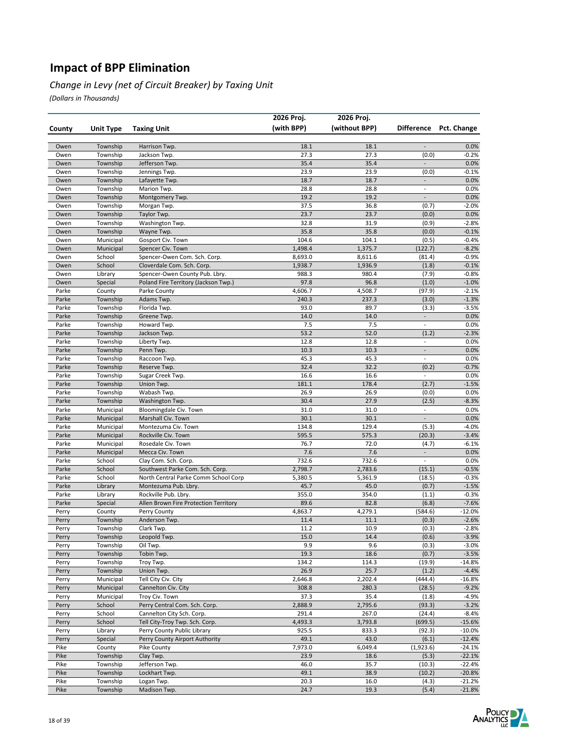#### *Change in Levy (net of Circuit Breaker) by Taxing Unit*

|                |                    |                                                               | 2026 Proj.       | 2026 Proj.       |                          |                    |
|----------------|--------------------|---------------------------------------------------------------|------------------|------------------|--------------------------|--------------------|
| County         | <b>Unit Type</b>   | <b>Taxing Unit</b>                                            | (with BPP)       | (without BPP)    | <b>Difference</b>        | <b>Pct. Change</b> |
|                |                    |                                                               |                  |                  |                          |                    |
| Owen           | Township           | Harrison Twp.                                                 | 18.1             | 18.1             |                          | 0.0%               |
| Owen           | Township           | Jackson Twp.                                                  | 27.3             | 27.3             | (0.0)                    | $-0.2%$            |
| Owen           | Township           | Jefferson Twp.                                                | 35.4             | 35.4             | $\blacksquare$           | 0.0%               |
| Owen           | Township           | Jennings Twp.                                                 | 23.9             | 23.9             | (0.0)                    | $-0.1%$            |
| Owen           | Township           | Lafayette Twp.                                                | 18.7             | 18.7             | $\overline{\phantom{a}}$ | 0.0%               |
| Owen           | Township           | Marion Twp.                                                   | 28.8             | 28.8             | $\overline{a}$           | 0.0%               |
| Owen           | Township           | Montgomery Twp.                                               | 19.2             | 19.2             | $\Box$                   | 0.0%               |
| Owen           | Township           | Morgan Twp.                                                   | 37.5             | 36.8             | (0.7)                    | $-2.0%$            |
| Owen           | Township           | Taylor Twp.                                                   | 23.7             | 23.7             | (0.0)                    | 0.0%               |
| Owen           | Township           | Washington Twp.                                               | 32.8             | 31.9             | (0.9)                    | $-2.8%$            |
| Owen           | Township           | Wayne Twp.                                                    | 35.8             | 35.8             | (0.0)                    | $-0.1%$            |
| Owen           | Municipal          | Gosport Civ. Town                                             | 104.6            | 104.1            | (0.5)                    | $-0.4%$            |
| Owen           | Municipal          | Spencer Civ. Town                                             | 1,498.4          | 1,375.7          | (122.7)                  | $-8.2%$            |
| Owen           | School             | Spencer-Owen Com. Sch. Corp.                                  | 8,693.0          | 8,611.6          | (81.4)                   | $-0.9%$            |
| Owen<br>Owen   | School             | Cloverdale Com. Sch. Corp.<br>Spencer-Owen County Pub. Lbry.  | 1,938.7<br>988.3 | 1,936.9<br>980.4 | (1.8)<br>(7.9)           | $-0.1%$<br>$-0.8%$ |
| Owen           | Library<br>Special | Poland Fire Territory (Jackson Twp.)                          | 97.8             | 96.8             | (1.0)                    | $-1.0%$            |
| Parke          | County             | Parke County                                                  | 4,606.7          | 4,508.7          | (97.9)                   | $-2.1%$            |
| Parke          | Township           | Adams Twp.                                                    | 240.3            | 237.3            | (3.0)                    | $-1.3%$            |
| Parke          | Township           | Florida Twp.                                                  | 93.0             | 89.7             | (3.3)                    | $-3.5%$            |
| Parke          | Township           | Greene Twp.                                                   | 14.0             | 14.0             | $\overline{a}$           | 0.0%               |
| Parke          | Township           | Howard Twp.                                                   | 7.5              | 7.5              | $\frac{1}{2}$            | 0.0%               |
| Parke          | Township           | Jackson Twp.                                                  | 53.2             | 52.0             | (1.2)                    | $-2.3%$            |
| Parke          | Township           | Liberty Twp.                                                  | 12.8             | 12.8             | $\overline{\phantom{a}}$ | 0.0%               |
| Parke          | Township           | Penn Twp.                                                     | 10.3             | 10.3             | $\overline{\phantom{a}}$ | 0.0%               |
| Parke          | Township           | Raccoon Twp.                                                  | 45.3             | 45.3             | $\overline{a}$           | 0.0%               |
| Parke          | Township           | Reserve Twp.                                                  | 32.4             | 32.2             | (0.2)                    | $-0.7%$            |
| Parke          | Township           | Sugar Creek Twp.                                              | 16.6             | 16.6             | $\overline{\phantom{a}}$ | 0.0%               |
| Parke          | Township           | Union Twp.                                                    | 181.1            | 178.4            | (2.7)                    | $-1.5%$            |
| Parke          | Township           | Wabash Twp.                                                   | 26.9             | 26.9             | (0.0)                    | 0.0%               |
| Parke          | Township           | Washington Twp.                                               | 30.4             | 27.9             | (2.5)                    | $-8.3%$            |
| Parke          | Municipal          | Bloomingdale Civ. Town                                        | 31.0             | 31.0             | $\overline{\phantom{a}}$ | 0.0%               |
| Parke          | Municipal          | Marshall Civ. Town                                            | 30.1             | 30.1             | $\overline{\phantom{a}}$ | 0.0%               |
| Parke          | Municipal          | Montezuma Civ. Town                                           | 134.8            | 129.4            | (5.3)                    | $-4.0%$            |
| Parke          | Municipal          | Rockville Civ. Town                                           | 595.5            | 575.3            | (20.3)                   | $-3.4%$            |
| Parke          | Municipal          | Rosedale Civ. Town                                            | 76.7             | 72.0             | (4.7)                    | $-6.1%$            |
| Parke          | Municipal          | Mecca Civ. Town                                               | 7.6              | 7.6              |                          | 0.0%               |
| Parke          | School             | Clay Com. Sch. Corp.                                          | 732.6            | 732.6            | $\frac{1}{2}$            | 0.0%               |
| Parke          | School             | Southwest Parke Com. Sch. Corp.                               | 2,798.7          | 2,783.6          | (15.1)                   | $-0.5%$            |
| Parke          | School             | North Central Parke Comm School Corp                          | 5,380.5          | 5,361.9          | (18.5)                   | $-0.3%$            |
| Parke          | Library            | Montezuma Pub. Lbry.                                          | 45.7             | 45.0             | (0.7)                    | $-1.5%$            |
| Parke          | Library            | Rockville Pub. Lbry.<br>Allen Brown Fire Protection Territory | 355.0<br>89.6    | 354.0<br>82.8    | (1.1)<br>(6.8)           | $-0.3%$<br>$-7.6%$ |
| Parke<br>Perry | Special<br>County  | Perry County                                                  | 4,863.7          | 4,279.1          | (584.6)                  | $-12.0%$           |
| Perry          | Township           | Anderson Twp.                                                 | 11.4             | 11.1             | (0.3)                    | $-2.6%$            |
| Perry          | Township           | Clark Twp.                                                    | 11.2             | 10.9             | (0.3)                    | $-2.8%$            |
| Perry          | Township           | Leopold Twp.                                                  | 15.0             | 14.4             | (0.6)                    | $-3.9%$            |
| Perry          | Township           | Oil Twp.                                                      | 9.9              | 9.6              | (0.3)                    | $-3.0%$            |
| Perry          | Township           | Tobin Twp.                                                    | 19.3             | 18.6             | (0.7)                    | $-3.5%$            |
| Perry          | Township           | Troy Twp.                                                     | 134.2            | 114.3            | (19.9)                   | $-14.8%$           |
| Perry          | Township           | Union Twp.                                                    | 26.9             | 25.7             | (1.2)                    | $-4.4%$            |
| Perry          | Municipal          | Tell City Civ. City                                           | 2,646.8          | 2,202.4          | (444.4)                  | $-16.8%$           |
| Perry          | Municipal          | Cannelton Civ. City                                           | 308.8            | 280.3            | (28.5)                   | $-9.2%$            |
| Perry          | Municipal          | Troy Civ. Town                                                | 37.3             | 35.4             | (1.8)                    | $-4.9%$            |
| Perry          | School             | Perry Central Com. Sch. Corp.                                 | 2,888.9          | 2,795.6          | (93.3)                   | $-3.2%$            |
| Perry          | School             | Cannelton City Sch. Corp.                                     | 291.4            | 267.0            | (24.4)                   | $-8.4%$            |
| Perry          | School             | Tell City-Troy Twp. Sch. Corp.                                | 4,493.3          | 3,793.8          | (699.5)                  | $-15.6%$           |
| Perry          | Library            | Perry County Public Library                                   | 925.5            | 833.3            | (92.3)                   | $-10.0%$           |
| Perry          | Special            | Perry County Airport Authority                                | 49.1             | 43.0             | (6.1)                    | $-12.4%$           |
| Pike           | County             | Pike County                                                   | 7,973.0          | 6,049.4          | (1,923.6)                | $-24.1%$           |
| Pike           | Township           | Clay Twp.                                                     | 23.9             | 18.6             | (5.3)                    | $-22.1%$           |
| Pike           | Township           | Jefferson Twp.                                                | 46.0             | 35.7             | (10.3)                   | $-22.4%$           |
| Pike           | Township           | Lockhart Twp.                                                 | 49.1             | 38.9             | (10.2)                   | $-20.8%$           |
| Pike           | Township           | Logan Twp.                                                    | 20.3             | 16.0             | (4.3)                    | $-21.2%$           |
| Pike           | Township           | Madison Twp.                                                  | 24.7             | 19.3             | (5.4)                    | $-21.8%$           |

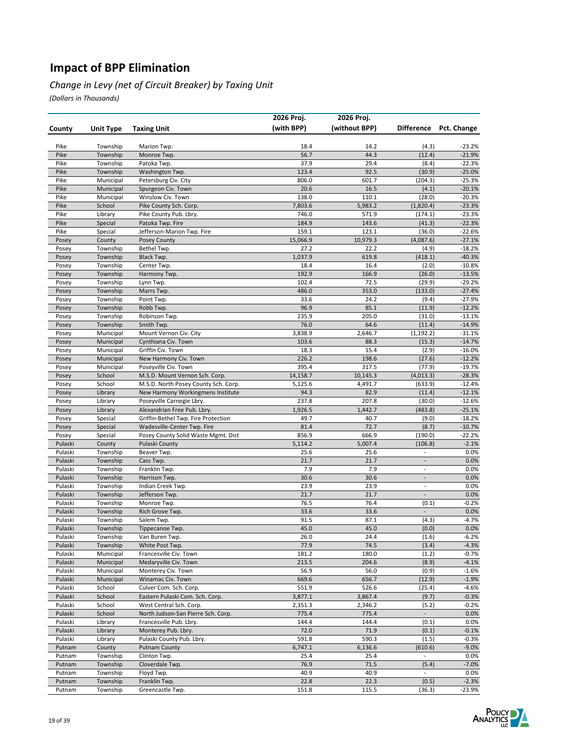#### *Change in Levy (net of Circuit Breaker) by Taxing Unit*

|                    |                      |                                                        | 2026 Proj.        | 2026 Proj.        |                          |                      |
|--------------------|----------------------|--------------------------------------------------------|-------------------|-------------------|--------------------------|----------------------|
| County             | <b>Unit Type</b>     | <b>Taxing Unit</b>                                     | (with BPP)        | (without BPP)     | <b>Difference</b>        | Pct. Change          |
|                    |                      |                                                        |                   |                   |                          |                      |
| Pike               | Township             | Marion Twp.                                            | 18.4              | 14.2              | (4.3)                    | $-23.2%$             |
| Pike               | Township             | Monroe Twp.                                            | 56.7              | 44.3              | (12.4)                   | $-21.9%$             |
| Pike               | Township             | Patoka Twp.                                            | 37.9              | 29.4              | (8.4)                    | $-22.3%$             |
| Pike               | Township             | Washington Twp.                                        | 123.4             | 92.5              | (30.9)                   | $-25.0%$             |
| Pike               | Municipal            | Petersburg Civ. City                                   | 806.0             | 601.7             | (204.3)                  | $-25.3%$             |
| Pike               | Municipal            | Spurgeon Civ. Town                                     | 20.6              | 16.5              | (4.1)                    | $-20.1%$             |
| Pike               | Municipal            | Winslow Civ. Town                                      | 138.0             | 110.1             | (28.0)                   | $-20.3%$             |
| Pike<br>Pike       | School<br>Library    | Pike County Sch. Corp.<br>Pike County Pub. Lbry.       | 7,803.6<br>746.0  | 5,983.2<br>571.9  | (1,820.4)<br>(174.1)     | $-23.3%$<br>$-23.3%$ |
| Pike               | Special              | Patoka Twp. Fire                                       | 184.9             | 143.6             | (41.3)                   | $-22.3%$             |
| Pike               | Special              | Jefferson-Marion Twp. Fire                             | 159.1             | 123.1             | (36.0)                   | $-22.6%$             |
| Posey              | County               | Posey County                                           | 15,066.9          | 10,979.3          | (4,087.6)                | $-27.1%$             |
| Posey              | Township             | Bethel Twp.                                            | 27.2              | 22.2              | (4.9)                    | $-18.2%$             |
| Posey              | Township             | Black Twp.                                             | 1,037.9           | 619.8             | (418.1)                  | $-40.3%$             |
| Posey              | Township             | Center Twp.                                            | 18.4              | 16.4              | (2.0)                    | $-10.8%$             |
| Posey              | Township             | Harmony Twp.                                           | 192.9             | 166.9             | (26.0)                   | $-13.5%$             |
| Posey              | Township             | Lynn Twp.                                              | 102.4             | 72.5              | (29.9)                   | $-29.2%$             |
| Posey              | Township             | Marrs Twp.                                             | 486.0             | 353.0             | (133.0)                  | $-27.4%$             |
| Posey              | Township             | Point Twp.                                             | 33.6              | 24.2              | (9.4)                    | $-27.9%$             |
| Posey              | Township             | Robb Twp.                                              | 96.9              | 85.1              | (11.9)                   | $-12.2%$             |
| Posey              | Township             | Robinson Twp.                                          | 235.9             | 205.0             | (31.0)                   | $-13.1%$             |
| Posey              | Township             | Smith Twp.                                             | 76.0              | 64.6              | (11.4)                   | $-14.9%$             |
| Posey              | Municipal            | Mount Vernon Civ. City                                 | 3,838.9           | 2,646.7           | (1, 192.2)               | $-31.1%$             |
| Posey              | Municipal            | Cynthiana Civ. Town                                    | 103.6             | 88.3              | (15.3)                   | $-14.7%$             |
| Posey              | Municipal            | Griffin Civ. Town                                      | 18.3              | 15.4              | (2.9)                    | $-16.0%$             |
| Posey              | Municipal            | New Harmony Civ. Town                                  | 226.2             | 198.6             | (27.6)                   | $-12.2%$             |
| Posey              | Municipal<br>School  | Poseyville Civ. Town<br>M.S.D. Mount Vernon Sch. Corp. | 395.4<br>14,158.7 | 317.5<br>10,145.3 | (77.9)<br>(4,013.3)      | $-19.7%$<br>$-28.3%$ |
| Posey<br>Posey     | School               | M.S.D. North Posey County Sch. Corp.                   | 5,125.6           | 4,491.7           | (633.9)                  | $-12.4%$             |
| Posey              | Library              | New Harmony Workingmens Institute                      | 94.3              | 82.9              | (11.4)                   | $-12.1%$             |
| Posey              | Library              | Poseyville Carnegie Lbry.                              | 237.8             | 207.8             | (30.0)                   | $-12.6%$             |
| Posey              | Library              | Alexandrian Free Pub. Lbry.                            | 1,926.5           | 1,442.7           | (483.8)                  | $-25.1%$             |
| Posey              | Special              | Griffin-Bethel Twp. Fire Protection                    | 49.7              | 40.7              | (9.0)                    | $-18.2%$             |
| Posey              | Special              | Wadesville-Center Twp. Fire                            | 81.4              | 72.7              | (8.7)                    | $-10.7%$             |
| Posey              | Special              | Posey County Solid Waste Mgmt. Dist                    | 856.9             | 666.9             | (190.0)                  | -22.2%               |
| Pulaski            | County               | Pulaski County                                         | 5,114.2           | 5,007.4           | (106.8)                  | $-2.1%$              |
| Pulaski            | Township             | Beaver Twp.                                            | 25.6              | 25.6              | $\overline{a}$           | 0.0%                 |
| Pulaski            | Township             | Cass Twp.                                              | 21.7              | 21.7              | $\overline{\phantom{a}}$ | 0.0%                 |
| Pulaski            | Township             | Franklin Twp.                                          | 7.9               | 7.9               | $\overline{\phantom{a}}$ | 0.0%                 |
| Pulaski            | Township             | Harrison Twp.                                          | 30.6              | 30.6              | $\overline{\phantom{a}}$ | 0.0%                 |
| Pulaski            | Township             | Indian Creek Twp.                                      | 23.9              | 23.9              | $\overline{\phantom{a}}$ | 0.0%                 |
| Pulaski            | Township             | Jefferson Twp.                                         | 21.7              | 21.7              | $\overline{a}$           | 0.0%                 |
| Pulaski            | Township             | Monroe Twp.                                            | 76.5              | 76.4              | (0.1)                    | $-0.2%$              |
| Pulaski<br>Pulaski | Township             | Rich Grove Twp.                                        | 33.6<br>91.5      | 33.6<br>87.1      | $\Box$                   | 0.0%                 |
| Pulaski            | Township<br>Township | Salem Twp.                                             | 45.0              | 45.0              | (4.3)<br>(0.0)           | $-4.7%$<br>0.0%      |
| Pulaski            | Township             | Tippecanoe Twp.<br>Van Buren Twp.                      | 26.0              | 24.4              | (1.6)                    | $-6.2%$              |
| Pulaski            | Township             | White Post Twp.                                        | 77.9              | 74.5              | (3.4)                    | $-4.3%$              |
| Pulaski            | Municipal            | Francesville Civ. Town                                 | 181.2             | 180.0             | (1.2)                    | $-0.7%$              |
| Pulaski            | Municipal            | Medaryville Civ. Town                                  | 213.5             | 204.6             | (8.9)                    | $-4.1%$              |
| Pulaski            | Municipal            | Monterey Civ. Town                                     | 56.9              | 56.0              | (0.9)                    | $-1.6%$              |
| Pulaski            | Municipal            | Winamac Civ. Town                                      | 669.6             | 656.7             | (12.9)                   | $-1.9%$              |
| Pulaski            | School               | Culver Com. Sch. Corp.                                 | 551.9             | 526.6             | (25.4)                   | $-4.6%$              |
| Pulaski            | School               | Eastern Pulaski Com. Sch. Corp.                        | 3,877.1           | 3,867.4           | (9.7)                    | $-0.3%$              |
| Pulaski            | School               | West Central Sch. Corp.                                | 2,351.3           | 2,346.2           | (5.2)                    | $-0.2%$              |
| Pulaski            | School               | North Judson-San Pierre Sch. Corp.                     | 775.4             | 775.4             | $\overline{\phantom{a}}$ | 0.0%                 |
| Pulaski            | Library              | Francesville Pub. Lbry.                                | 144.4             | 144.4             | (0.1)                    | 0.0%                 |
| Pulaski            | Library              | Monterey Pub. Lbry.                                    | 72.0              | 71.9              | (0.1)                    | $-0.1%$              |
| Pulaski            | Library              | Pulaski County Pub. Lbry.                              | 591.8             | 590.3             | (1.5)                    | $-0.3%$              |
| Putnam             | County               | <b>Putnam County</b>                                   | 6,747.1           | 6,136.6           | (610.6)                  | $-9.0%$              |
| Putnam             | Township             | Clinton Twp.                                           | 25.4              | 25.4              | $\overline{\phantom{a}}$ | 0.0%                 |
| Putnam             | Township             | Cloverdale Twp.                                        | 76.9              | 71.5              | (5.4)                    | $-7.0%$              |
| Putnam<br>Putnam   | Township<br>Township | Floyd Twp.<br>Franklin Twp.                            | 40.9<br>22.8      | 40.9<br>22.3      | (0.5)                    | 0.0%<br>$-2.3%$      |
| Putnam             | Township             | Greencastle Twp.                                       | 151.8             | 115.5             | (36.3)                   | -23.9%               |
|                    |                      |                                                        |                   |                   |                          |                      |

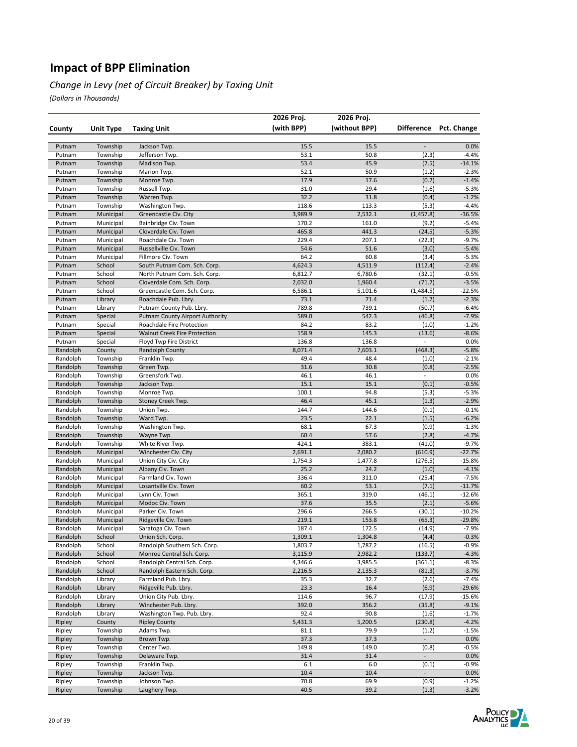#### *Change in Levy (net of Circuit Breaker) by Taxing Unit*

|                      |                        |                                               | 2026 Proj.       | 2026 Proj.       |                                   |                     |
|----------------------|------------------------|-----------------------------------------------|------------------|------------------|-----------------------------------|---------------------|
| County               | Unit Type              | <b>Taxing Unit</b>                            | (with BPP)       | (without BPP)    | <b>Difference</b>                 | Pct. Change         |
|                      |                        |                                               |                  |                  |                                   |                     |
| Putnam               | Township               | Jackson Twp.                                  | 15.5             | 15.5             | $\overline{\phantom{a}}$          | 0.0%                |
| Putnam               | Township               | Jefferson Twp.                                | 53.1             | 50.8             | (2.3)                             | $-4.4%$             |
| Putnam               | Township               | Madison Twp.                                  | 53.4             | 45.9             | (7.5)                             | $-14.1%$            |
| Putnam               | Township               | Marion Twp.                                   | 52.1             | 50.9             | (1.2)                             | $-2.3%$             |
| Putnam               | Township               | Monroe Twp.                                   | 17.9             | 17.6             | (0.2)                             | $-1.4%$             |
| Putnam               | Township               | Russell Twp.                                  | 31.0             | 29.4             | (1.6)                             | $-5.3%$             |
| Putnam               | Township               | Warren Twp.                                   | 32.2             | 31.8             | (0.4)                             | $-1.2%$             |
| Putnam               | Township<br>Municipal  | Washington Twp.                               | 118.6            | 113.3            | (5.3)                             | $-4.4%$             |
| Putnam<br>Putnam     | Municipal              | Greencastle Civ. City<br>Bainbridge Civ. Town | 3,989.9<br>170.2 | 2,532.1<br>161.0 | (1,457.8)<br>(9.2)                | $-36.5%$<br>$-5.4%$ |
| Putnam               | Municipal              | Cloverdale Civ. Town                          | 465.8            | 441.3            | (24.5)                            | $-5.3%$             |
| Putnam               | Municipal              | Roachdale Civ. Town                           | 229.4            | 207.1            | (22.3)                            | $-9.7%$             |
| Putnam               | Municipal              | Russellville Civ. Town                        | 54.6             | 51.6             | (3.0)                             | $-5.4%$             |
| Putnam               | Municipal              | Fillmore Civ. Town                            | 64.2             | 60.8             | (3.4)                             | $-5.3%$             |
| Putnam               | School                 | South Putnam Com. Sch. Corp.                  | 4,624.3          | 4,511.9          | (112.4)                           | $-2.4%$             |
| Putnam               | School                 | North Putnam Com. Sch. Corp.                  | 6,812.7          | 6,780.6          | (32.1)                            | $-0.5%$             |
| Putnam               | School                 | Cloverdale Com. Sch. Corp.                    | 2,032.0          | 1,960.4          | (71.7)                            | $-3.5%$             |
| Putnam               | School                 | Greencastle Com. Sch. Corp.                   | 6,586.1          | 5,101.6          | (1,484.5)                         | $-22.5%$            |
| Putnam               | Library                | Roachdale Pub. Lbry.                          | 73.1             | 71.4             | (1.7)                             | $-2.3%$             |
| Putnam               | Library                | Putnam County Pub. Lbry.                      | 789.8            | 739.1            | (50.7)                            | $-6.4%$             |
| Putnam               | Special                | <b>Putnam County Airport Authority</b>        | 589.0            | 542.3            | (46.8)                            | $-7.9%$             |
| Putnam               | Special                | Roachdale Fire Protection                     | 84.2             | 83.2             | (1.0)                             | $-1.2%$             |
| Putnam               | Special                | <b>Walnut Creek Fire Protection</b>           | 158.9            | 145.3            | (13.6)                            | $-8.6%$             |
| Putnam               | Special                | Floyd Twp Fire District                       | 136.8            | 136.8            | $\overline{\phantom{a}}$          | 0.0%                |
| Randolph             | County                 | Randolph County                               | 8,071.4          | 7,603.1          | (468.3)                           | $-5.8%$             |
| Randolph             | Township               | Franklin Twp.                                 | 49.4             | 48.4             | (1.0)                             | $-2.1%$             |
| Randolph             | Township               | Green Twp.                                    | 31.6             | 30.8             | (0.8)                             | $-2.5%$             |
| Randolph             | Township<br>Township   | Greensfork Twp.                               | 46.1<br>15.1     | 46.1<br>15.1     | $\overline{\phantom{a}}$<br>(0.1) | 0.0%<br>$-0.5%$     |
| Randolph<br>Randolph | Township               | Jackson Twp.<br>Monroe Twp.                   | 100.1            | 94.8             | (5.3)                             | $-5.3%$             |
| Randolph             | Township               | Stoney Creek Twp.                             | 46.4             | 45.1             | (1.3)                             | $-2.9%$             |
| Randolph             | Township               | Union Twp.                                    | 144.7            | 144.6            | (0.1)                             | $-0.1%$             |
| Randolph             | Township               | Ward Twp.                                     | 23.5             | 22.1             | (1.5)                             | $-6.2%$             |
| Randolph             | Township               | Washington Twp.                               | 68.1             | 67.3             | (0.9)                             | $-1.3%$             |
| Randolph             | Township               | Wayne Twp.                                    | 60.4             | 57.6             | (2.8)                             | $-4.7%$             |
| Randolph             | Township               | White River Twp.                              | 424.1            | 383.1            | (41.0)                            | $-9.7%$             |
| Randolph             | Municipal              | Winchester Civ. City                          | 2,691.1          | 2,080.2          | (610.9)                           | $-22.7%$            |
| Randolph             | Municipal              | Union City Civ. City                          | 1,754.3          | 1,477.8          | (276.5)                           | $-15.8%$            |
| Randolph             | Municipal              | Albany Civ. Town                              | 25.2             | 24.2             | (1.0)                             | $-4.1%$             |
| Randolph             | Municipal              | Farmland Civ. Town                            | 336.4            | 311.0            | (25.4)                            | $-7.5%$             |
| Randolph             | Municipal              | Losantville Civ. Town                         | 60.2             | 53.1             | (7.1)                             | $-11.7%$            |
| Randolph             | Municipal              | Lynn Civ. Town                                | 365.1            | 319.0            | (46.1)                            | $-12.6%$            |
| Randolph             | Municipal              | Modoc Civ. Town<br>Parker Civ. Town           | 37.6             | 35.5             | (2.1)                             | $-5.6%$             |
| Randolph<br>Randolph | Municipal<br>Municipal | Ridgeville Civ. Town                          | 296.6<br>219.1   | 266.5<br>153.8   | (30.1)<br>(65.3)                  | $-10.2%$<br>-29.8%  |
| Randolph             | Municipal              | Saratoga Civ. Town                            | 187.4            | 172.5            | (14.9)                            | $-7.9%$             |
| Randolph             | School                 | Union Sch. Corp.                              | 1,309.1          | 1,304.8          | (4.4)                             | $-0.3%$             |
| Randolph             | School                 | Randolph Southern Sch. Corp.                  | 1,803.7          | 1,787.2          | (16.5)                            | $-0.9%$             |
| Randolph             | School                 | Monroe Central Sch. Corp.                     | 3,115.9          | 2,982.2          | (133.7)                           | $-4.3%$             |
| Randolph             | School                 | Randolph Central Sch. Corp.                   | 4,346.6          | 3,985.5          | (361.1)                           | $-8.3%$             |
| Randolph             | School                 | Randolph Eastern Sch. Corp.                   | 2,216.5          | 2,135.3          | (81.3)                            | $-3.7%$             |
| Randolph             | Library                | Farmland Pub. Lbry.                           | 35.3             | 32.7             | (2.6)                             | $-7.4%$             |
| Randolph             | Library                | Ridgeville Pub. Lbry.                         | 23.3             | 16.4             | (6.9)                             | $-29.6%$            |
| Randolph             | Library                | Union City Pub. Lbry.                         | 114.6            | 96.7             | (17.9)                            | $-15.6%$            |
| Randolph             | Library                | Winchester Pub. Lbry.                         | 392.0            | 356.2            | (35.8)                            | $-9.1%$             |
| Randolph             | Library                | Washington Twp. Pub. Lbry.                    | 92.4             | 90.8             | (1.6)                             | $-1.7%$             |
| Ripley               | County                 | <b>Ripley County</b>                          | 5,431.3          | 5,200.5          | (230.8)                           | $-4.2%$             |
| Ripley               | Township               | Adams Twp.                                    | 81.1             | 79.9             | (1.2)                             | $-1.5%$             |
| Ripley<br>Ripley     | Township<br>Township   | Brown Twp.<br>Center Twp.                     | 37.3<br>149.8    | 37.3<br>149.0    | $\overline{\phantom{a}}$<br>(0.8) | 0.0%<br>$-0.5%$     |
| Ripley               | Township               | Delaware Twp.                                 | 31.4             | 31.4             | $\blacksquare$                    | 0.0%                |
| Ripley               | Township               | Franklin Twp.                                 | 6.1              | 6.0              | (0.1)                             | $-0.9%$             |
| Ripley               | Township               | Jackson Twp.                                  | 10.4             | 10.4             | ÷                                 | 0.0%                |
| Ripley               | Township               | Johnson Twp.                                  | 70.8             | 69.9             | (0.9)                             | $-1.2%$             |
| Ripley               | Township               | Laughery Twp.                                 | 40.5             | 39.2             | (1.3)                             | $-3.2%$             |

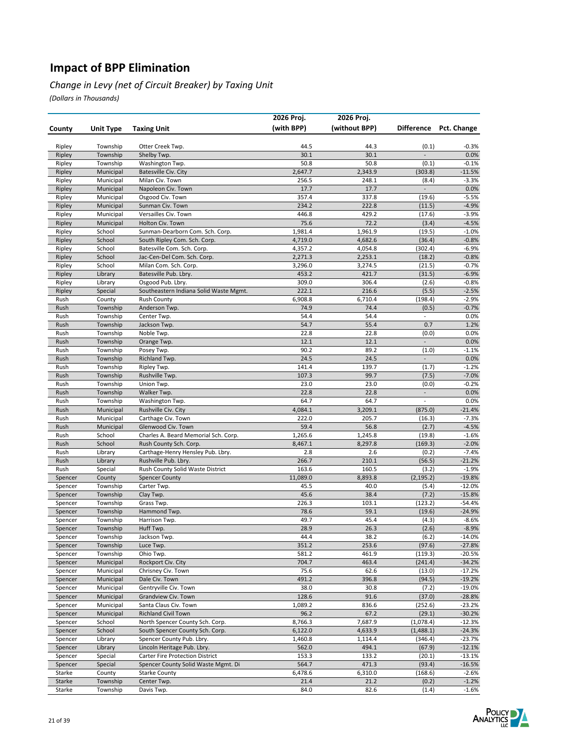#### *Change in Levy (net of Circuit Breaker) by Taxing Unit*

|                    |                     |                                                                | 2026 Proj.      | 2026 Proj.      |                          |                      |
|--------------------|---------------------|----------------------------------------------------------------|-----------------|-----------------|--------------------------|----------------------|
| County             | <b>Unit Type</b>    | <b>Taxing Unit</b>                                             | (with BPP)      | (without BPP)   | <b>Difference</b>        | Pct. Change          |
|                    |                     |                                                                |                 |                 |                          |                      |
| Ripley             | Township            | Otter Creek Twp.                                               | 44.5            | 44.3            | (0.1)                    | $-0.3%$              |
| Ripley             | Township            | Shelby Twp.                                                    | 30.1            | 30.1            |                          | 0.0%                 |
| Ripley             | Township            | Washington Twp.                                                | 50.8            | 50.8            | (0.1)                    | $-0.1%$              |
| Ripley             | Municipal           | Batesville Civ. City                                           | 2,647.7         | 2,343.9         | (303.8)                  | $-11.5%$             |
| Ripley             | Municipal           | Milan Civ. Town                                                | 256.5           | 248.1           | (8.4)                    | $-3.3%$              |
| Ripley             | Municipal           | Napoleon Civ. Town                                             | 17.7            | 17.7            | $\overline{a}$           | 0.0%                 |
| Ripley             | Municipal           | Osgood Civ. Town                                               | 357.4           | 337.8           | (19.6)                   | $-5.5%$              |
| Ripley             | Municipal           | Sunman Civ. Town                                               | 234.2           | 222.8           | (11.5)                   | $-4.9%$              |
| Ripley             | Municipal           | Versailles Civ. Town                                           | 446.8           | 429.2           | (17.6)                   | $-3.9%$<br>$-4.5%$   |
| Ripley             | Municipal<br>School | Holton Civ. Town<br>Sunman-Dearborn Com. Sch. Corp.            | 75.6<br>1,981.4 | 72.2<br>1,961.9 | (3.4)<br>(19.5)          |                      |
| Ripley<br>Ripley   | School              | South Ripley Com. Sch. Corp.                                   | 4,719.0         | 4,682.6         | (36.4)                   | $-1.0%$<br>$-0.8%$   |
| Ripley             | School              | Batesville Com. Sch. Corp.                                     | 4,357.2         | 4,054.8         | (302.4)                  | $-6.9%$              |
| Ripley             | School              | Jac-Cen-Del Com. Sch. Corp.                                    | 2,271.3         | 2,253.1         | (18.2)                   | $-0.8%$              |
| Ripley             | School              | Milan Com. Sch. Corp.                                          | 3,296.0         | 3,274.5         | (21.5)                   | $-0.7%$              |
| Ripley             | Library             | Batesville Pub. Lbry.                                          | 453.2           | 421.7           | (31.5)                   | $-6.9%$              |
| Ripley             | Library             | Osgood Pub. Lbry.                                              | 309.0           | 306.4           | (2.6)                    | $-0.8%$              |
| Ripley             | Special             | Southeastern Indiana Solid Waste Mgmt.                         | 222.1           | 216.6           | (5.5)                    | $-2.5%$              |
| Rush               | County              | <b>Rush County</b>                                             | 6,908.8         | 6,710.4         | (198.4)                  | $-2.9%$              |
| Rush               | Township            | Anderson Twp.                                                  | 74.9            | 74.4            | (0.5)                    | $-0.7%$              |
| Rush               | Township            | Center Twp.                                                    | 54.4            | 54.4            | $\overline{\phantom{a}}$ | 0.0%                 |
| Rush               | Township            | Jackson Twp.                                                   | 54.7            | 55.4            | 0.7                      | 1.2%                 |
| Rush               | Township            | Noble Twp.                                                     | 22.8            | 22.8            | (0.0)                    | 0.0%                 |
| Rush               | Township            | Orange Twp.                                                    | 12.1            | 12.1            | $\blacksquare$           | 0.0%                 |
| Rush               | Township            | Posey Twp.                                                     | 90.2            | 89.2            | (1.0)                    | $-1.1%$              |
| Rush               | Township            | Richland Twp.                                                  | 24.5            | 24.5            | $\overline{\phantom{a}}$ | 0.0%                 |
| Rush               | Township            | Ripley Twp.                                                    | 141.4           | 139.7           | (1.7)                    | $-1.2%$              |
| Rush               | Township            | Rushville Twp.                                                 | 107.3           | 99.7            | (7.5)                    | $-7.0%$              |
| Rush               | Township            | Union Twp.                                                     | 23.0            | 23.0            | (0.0)                    | $-0.2%$              |
| Rush               | Township            | Walker Twp.                                                    | 22.8            | 22.8            | $\Box$                   | 0.0%                 |
| Rush               | Township            | Washington Twp.                                                | 64.7            | 64.7            | $\overline{\phantom{a}}$ | 0.0%                 |
| Rush               | Municipal           | Rushville Civ. City                                            | 4,084.1         | 3,209.1         | (875.0)                  | $-21.4%$             |
| Rush               | Municipal           | Carthage Civ. Town                                             | 222.0           | 205.7           | (16.3)                   | $-7.3%$              |
| Rush               | Municipal           | Glenwood Civ. Town                                             | 59.4            | 56.8            | (2.7)                    | $-4.5%$              |
| Rush               | School              | Charles A. Beard Memorial Sch. Corp.                           | 1,265.6         | 1,245.8         | (19.8)                   | $-1.6%$              |
| Rush<br>Rush       | School              | Rush County Sch. Corp.                                         | 8,467.1<br>2.8  | 8,297.8<br>2.6  | (169.3)<br>(0.2)         | $-2.0%$<br>$-7.4%$   |
| Rush               | Library<br>Library  | Carthage-Henry Hensley Pub. Lbry.<br>Rushville Pub. Lbry.      | 266.7           | 210.1           | (56.5)                   | $-21.2%$             |
| Rush               | Special             | Rush County Solid Waste District                               | 163.6           | 160.5           | (3.2)                    | $-1.9%$              |
| Spencer            | County              | <b>Spencer County</b>                                          | 11,089.0        | 8,893.8         | (2, 195.2)               | $-19.8%$             |
| Spencer            | Township            | Carter Twp.                                                    | 45.5            | 40.0            | (5.4)                    | $-12.0%$             |
| Spencer            | Township            | Clay Twp.                                                      | 45.6            | 38.4            | (7.2)                    | $-15.8%$             |
| Spencer            | Township            | Grass Twp.                                                     | 226.3           | 103.1           | (123.2)                  | $-54.4%$             |
| Spencer            | Township            | Hammond Twp.                                                   | 78.6            | 59.1            | (19.6)                   | $-24.9%$             |
| Spencer            | Township            | Harrison Twp.                                                  | 49.7            | 45.4            | (4.3)                    | $-8.6%$              |
| Spencer            | Township            | Huff Twp.                                                      | 28.9            | 26.3            | (2.6)                    | $-8.9%$              |
| Spencer            | Township            | Jackson Twp.                                                   | 44.4            | 38.2            | (6.2)                    | -14.0%               |
| Spencer            | Township            | Luce Twp.                                                      | 351.2           | 253.6           | (97.6)                   | $-27.8%$             |
| Spencer            | Township            | Ohio Twp.                                                      | 581.2           | 461.9           | (119.3)                  | $-20.5%$             |
| Spencer            | Municipal           | Rockport Civ. City                                             | 704.7           | 463.4           | (241.4)                  | $-34.2%$             |
| Spencer            | Municipal           | Chrisney Civ. Town                                             | 75.6            | 62.6            | (13.0)                   | $-17.2%$             |
| Spencer            | Municipal           | Dale Civ. Town                                                 | 491.2           | 396.8           | (94.5)                   | $-19.2%$             |
| Spencer            | Municipal           | Gentryville Civ. Town                                          | 38.0            | 30.8            | (7.2)                    | $-19.0%$             |
| Spencer            | Municipal           | Grandview Civ. Town                                            | 128.6           | 91.6            | (37.0)                   | $-28.8%$             |
| Spencer            | Municipal           | Santa Claus Civ. Town                                          | 1,089.2         | 836.6           | (252.6)                  | $-23.2%$             |
| Spencer            | Municipal           | <b>Richland Civil Town</b>                                     | 96.2            | 67.2            | (29.1)                   | $-30.2%$             |
| Spencer            | School              | North Spencer County Sch. Corp.                                | 8,766.3         | 7,687.9         | (1,078.4)                | $-12.3%$             |
| Spencer            | School              | South Spencer County Sch. Corp.                                | 6,122.0         | 4,633.9         | (1,488.1)                | $-24.3%$             |
| Spencer            | Library             | Spencer County Pub. Lbry.                                      | 1,460.8         | 1,114.4         | (346.4)                  | $-23.7%$             |
| Spencer<br>Spencer | Library<br>Special  | Lincoln Heritage Pub. Lbry.<br>Carter Fire Protection District | 562.0<br>153.3  | 494.1<br>133.2  | (67.9)<br>(20.1)         | $-12.1%$<br>$-13.1%$ |
| Spencer            | Special             | Spencer County Solid Waste Mgmt. Di                            | 564.7           | 471.3           | (93.4)                   | $-16.5%$             |
| Starke             | County              | <b>Starke County</b>                                           | 6,478.6         | 6,310.0         | (168.6)                  | $-2.6%$              |
| Starke             | Township            | Center Twp.                                                    | 21.4            | 21.2            | (0.2)                    | $-1.2%$              |
| Starke             | Township            | Davis Twp.                                                     | 84.0            | 82.6            | (1.4)                    | $-1.6%$              |

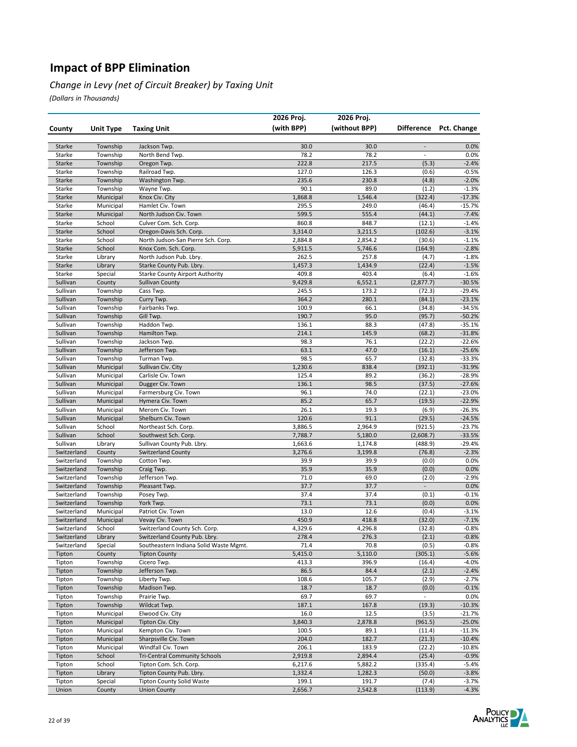#### *Change in Levy (net of Circuit Breaker) by Taxing Unit*

|                            |                        |                                                                         | 2026 Proj.       | 2026 Proj.       |                          |                      |
|----------------------------|------------------------|-------------------------------------------------------------------------|------------------|------------------|--------------------------|----------------------|
| County                     | <b>Unit Type</b>       | <b>Taxing Unit</b>                                                      | (with BPP)       | (without BPP)    | <b>Difference</b>        | Pct. Change          |
|                            |                        |                                                                         |                  |                  |                          |                      |
| Starke                     | Township               | Jackson Twp.                                                            | 30.0             | 30.0             | $\overline{\phantom{a}}$ | 0.0%                 |
| Starke                     | Township               | North Bend Twp.                                                         | 78.2             | 78.2             | $\overline{\phantom{a}}$ | 0.0%                 |
| Starke                     | Township               | Oregon Twp.                                                             | 222.8            | 217.5            | (5.3)                    | $-2.4%$              |
| Starke                     | Township               | Railroad Twp.                                                           | 127.0            | 126.3            | (0.6)                    | $-0.5%$              |
| Starke                     | Township               | Washington Twp.                                                         | 235.6            | 230.8            | (4.8)                    | $-2.0%$              |
| Starke                     | Township               | Wayne Twp.                                                              | 90.1             | 89.0             | (1.2)                    | $-1.3%$              |
| Starke                     | Municipal              | Knox Civ. City                                                          | 1,868.8          | 1,546.4          | (322.4)                  | $-17.3%$             |
| Starke                     | Municipal              | Hamlet Civ. Town                                                        | 295.5            | 249.0            | (46.4)                   | $-15.7%$             |
| Starke<br>Starke           | Municipal<br>School    | North Judson Civ. Town<br>Culver Com. Sch. Corp.                        | 599.5<br>860.8   | 555.4<br>848.7   | (44.1)                   | $-7.4%$<br>$-1.4%$   |
| Starke                     | School                 | Oregon-Davis Sch. Corp.                                                 | 3,314.0          | 3,211.5          | (12.1)<br>(102.6)        | $-3.1%$              |
| Starke                     | School                 | North Judson-San Pierre Sch. Corp.                                      | 2,884.8          | 2,854.2          | (30.6)                   | $-1.1%$              |
| Starke                     | School                 | Knox Com. Sch. Corp.                                                    | 5,911.5          | 5,746.6          | (164.9)                  | $-2.8%$              |
| Starke                     | Library                | North Judson Pub. Lbry.                                                 | 262.5            | 257.8            | (4.7)                    | $-1.8%$              |
| Starke                     | Library                | Starke County Pub. Lbry.                                                | 1,457.3          | 1,434.9          | (22.4)                   | $-1.5%$              |
| Starke                     | Special                | <b>Starke County Airport Authority</b>                                  | 409.8            | 403.4            | (6.4)                    | $-1.6%$              |
| Sullivan                   | County                 | <b>Sullivan County</b>                                                  | 9,429.8          | 6,552.1          | (2,877.7)                | $-30.5%$             |
| Sullivan                   | Township               | Cass Twp.                                                               | 245.5            | 173.2            | (72.3)                   | $-29.4%$             |
| Sullivan                   | Township               | Curry Twp.                                                              | 364.2            | 280.1            | (84.1)                   | $-23.1%$             |
| Sullivan                   | Township               | Fairbanks Twp.                                                          | 100.9            | 66.1             | (34.8)                   | $-34.5%$             |
| Sullivan                   | Township               | Gill Twp.                                                               | 190.7            | 95.0             | (95.7)                   | $-50.2%$             |
| Sullivan                   | Township               | Haddon Twp.                                                             | 136.1            | 88.3             | (47.8)                   | $-35.1%$             |
| Sullivan                   | Township               | Hamilton Twp.                                                           | 214.1            | 145.9            | (68.2)                   | $-31.8%$             |
| Sullivan                   | Township               | Jackson Twp.                                                            | 98.3             | 76.1             | (22.2)                   | $-22.6%$             |
| Sullivan                   | Township               | Jefferson Twp.                                                          | 63.1             | 47.0             | (16.1)                   | $-25.6%$             |
| Sullivan                   | Township               | Turman Twp.                                                             | 98.5             | 65.7             | (32.8)                   | $-33.3%$             |
| Sullivan                   | Municipal              | Sullivan Civ. City                                                      | 1,230.6          | 838.4            | (392.1)                  | $-31.9%$             |
| Sullivan                   | Municipal              | Carlisle Civ. Town                                                      | 125.4            | 89.2             | (36.2)                   | $-28.9%$             |
| Sullivan<br>Sullivan       | Municipal<br>Municipal | Dugger Civ. Town                                                        | 136.1<br>96.1    | 98.5<br>74.0     | (37.5)<br>(22.1)         | $-27.6%$<br>$-23.0%$ |
| Sullivan                   | Municipal              | Farmersburg Civ. Town<br>Hymera Civ. Town                               | 85.2             | 65.7             | (19.5)                   | $-22.9%$             |
| Sullivan                   | Municipal              | Merom Civ. Town                                                         | 26.1             | 19.3             | (6.9)                    | $-26.3%$             |
| Sullivan                   | Municipal              | Shelburn Civ. Town                                                      | 120.6            | 91.1             | (29.5)                   | $-24.5%$             |
| Sullivan                   | School                 | Northeast Sch. Corp.                                                    | 3,886.5          | 2,964.9          | (921.5)                  | $-23.7%$             |
| Sullivan                   | School                 | Southwest Sch. Corp.                                                    | 7,788.7          | 5,180.0          | (2,608.7)                | $-33.5%$             |
| Sullivan                   | Library                | Sullivan County Pub. Lbry.                                              | 1,663.6          | 1,174.8          | (488.9)                  | $-29.4%$             |
| Switzerland                | County                 | <b>Switzerland County</b>                                               | 3,276.6          | 3,199.8          | (76.8)                   | $-2.3%$              |
| Switzerland                | Township               | Cotton Twp.                                                             | 39.9             | 39.9             | (0.0)                    | 0.0%                 |
| Switzerland                | Township               | Craig Twp.                                                              | 35.9             | 35.9             | (0.0)                    | 0.0%                 |
| Switzerland                | Township               | Jefferson Twp.                                                          | 71.0             | 69.0             | (2.0)                    | $-2.9%$              |
| Switzerland                | Township               | Pleasant Twp.                                                           | 37.7             | 37.7             | $\overline{\phantom{a}}$ | 0.0%                 |
| Switzerland                | Township               | Posey Twp.                                                              | 37.4             | 37.4             | (0.1)                    | $-0.1%$              |
| Switzerland                | Township               | York Twp.                                                               | 73.1             | 73.1             | (0.0)                    | 0.0%                 |
| Switzerland                | Municipal              | Patriot Civ. Town                                                       | 13.0             | 12.6             | (0.4)                    | $-3.1%$              |
| Switzerland                | Municipal              | Vevay Civ. Town                                                         | 450.9            | 418.8            | (32.0)                   | $-7.1%$              |
| Switzerland                | School                 | Switzerland County Sch. Corp.                                           | 4,329.6          | 4,296.8          | (32.8)                   | $-0.8%$<br>$-0.8%$   |
| Switzerland<br>Switzerland | Library<br>Special     | Switzerland County Pub. Lbry.<br>Southeastern Indiana Solid Waste Mgmt. | 278.4<br>71.4    | 276.3<br>70.8    | (2.1)<br>(0.5)           | $-0.8%$              |
| Tipton                     | County                 | <b>Tipton County</b>                                                    | 5,415.0          | 5,110.0          | (305.1)                  | $-5.6%$              |
| Tipton                     | Township               | Cicero Twp.                                                             | 413.3            | 396.9            | (16.4)                   | $-4.0%$              |
| Tipton                     | Township               | Jefferson Twp.                                                          | 86.5             | 84.4             | (2.1)                    | $-2.4%$              |
| Tipton                     | Township               | Liberty Twp.                                                            | 108.6            | 105.7            | (2.9)                    | $-2.7%$              |
| Tipton                     | Township               | Madison Twp.                                                            | 18.7             | 18.7             | (0.0)                    | $-0.1%$              |
| Tipton                     | Township               | Prairie Twp.                                                            | 69.7             | 69.7             | $\omega_{\rm c}$         | 0.0%                 |
| Tipton                     | Township               | Wildcat Twp.                                                            | 187.1            | 167.8            | (19.3)                   | $-10.3%$             |
| Tipton                     | Municipal              | Elwood Civ. City                                                        | 16.0             | 12.5             | (3.5)                    | $-21.7%$             |
| Tipton                     | Municipal              | Tipton Civ. City                                                        | 3,840.3          | 2,878.8          | (961.5)                  | $-25.0%$             |
| Tipton                     | Municipal              | Kempton Civ. Town                                                       | 100.5            | 89.1             | (11.4)                   | $-11.3%$             |
| Tipton                     | Municipal              | Sharpsville Civ. Town                                                   | 204.0            | 182.7            | (21.3)                   | $-10.4%$             |
| Tipton                     | Municipal              | Windfall Civ. Town                                                      | 206.1            | 183.9            | (22.2)                   | $-10.8%$             |
| Tipton                     | School                 | <b>Tri-Central Community Schools</b>                                    | 2,919.8          | 2,894.4          | (25.4)                   | $-0.9%$              |
| Tipton                     | School                 | Tipton Com. Sch. Corp.                                                  | 6,217.6          | 5,882.2          | (335.4)                  | $-5.4%$              |
| Tipton                     | Library                | Tipton County Pub. Lbry.                                                | 1,332.4          | 1,282.3          | (50.0)                   | $-3.8%$              |
| Tipton<br>Union            | Special<br>County      | <b>Tipton County Solid Waste</b><br><b>Union County</b>                 | 199.1<br>2,656.7 | 191.7<br>2,542.8 | (7.4)<br>(113.9)         | $-3.7%$<br>$-4.3%$   |
|                            |                        |                                                                         |                  |                  |                          |                      |

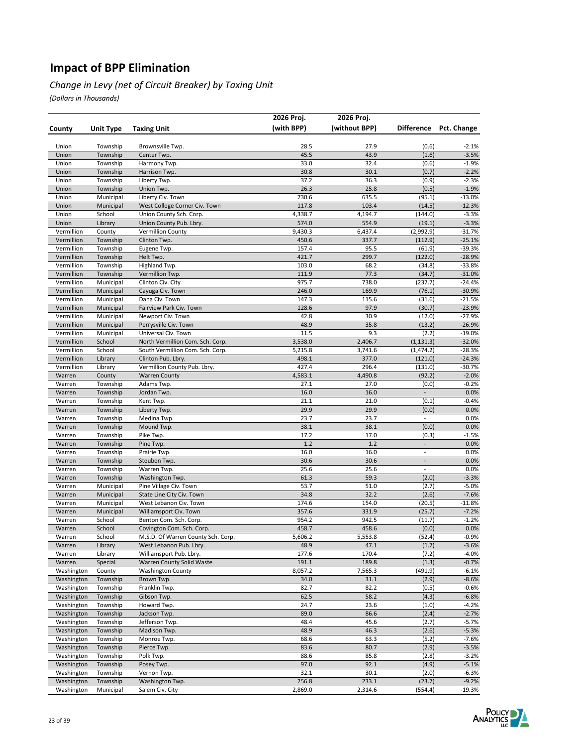#### *Change in Levy (net of Circuit Breaker) by Taxing Unit*

|                          |                        |                                    | 2026 Proj.    | 2026 Proj.    |                          |                     |
|--------------------------|------------------------|------------------------------------|---------------|---------------|--------------------------|---------------------|
| County                   | Unit Type              | <b>Taxing Unit</b>                 | (with BPP)    | (without BPP) | <b>Difference</b>        | Pct. Change         |
|                          |                        |                                    |               |               |                          |                     |
| Union                    | Township               | Brownsville Twp.                   | 28.5          | 27.9          | (0.6)                    | $-2.1%$             |
| Union                    | Township               | Center Twp.                        | 45.5          | 43.9          | (1.6)                    | $-3.5%$             |
| Union                    | Township               | Harmony Twp.                       | 33.0          | 32.4          | (0.6)                    | $-1.9%$             |
| Union                    | Township               | Harrison Twp.                      | 30.8          | 30.1          | (0.7)                    | $-2.2%$             |
| Union                    | Township               | Liberty Twp.                       | 37.2          | 36.3          | (0.9)                    | $-2.3%$             |
| Union<br>Union           | Township               | Union Twp.<br>Liberty Civ. Town    | 26.3<br>730.6 | 25.8<br>635.5 | (0.5)<br>(95.1)          | $-1.9%$<br>$-13.0%$ |
| Union                    | Municipal<br>Municipal | West College Corner Civ. Town      | 117.8         | 103.4         | (14.5)                   | $-12.3%$            |
| Union                    | School                 | Union County Sch. Corp.            | 4,338.7       | 4,194.7       | (144.0)                  | $-3.3%$             |
| Union                    | Library                | Union County Pub. Lbry.            | 574.0         | 554.9         | (19.1)                   | $-3.3%$             |
| Vermillion               | County                 | <b>Vermillion County</b>           | 9,430.3       | 6,437.4       | (2,992.9)                | $-31.7%$            |
| Vermillion               | Township               | Clinton Twp.                       | 450.6         | 337.7         | (112.9)                  | $-25.1%$            |
| Vermillion               | Township               | Eugene Twp.                        | 157.4         | 95.5          | (61.9)                   | -39.3%              |
| Vermillion               | Township               | Helt Twp.                          | 421.7         | 299.7         | (122.0)                  | $-28.9%$            |
| Vermillion               | Township               | Highland Twp.                      | 103.0         | 68.2          | (34.8)                   | $-33.8%$            |
| Vermillion               | Township               | Vermillion Twp.                    | 111.9         | 77.3          | (34.7)                   | $-31.0%$            |
| Vermillion               | Municipal              | Clinton Civ. City                  | 975.7         | 738.0         | (237.7)                  | -24.4%              |
| Vermillion               | Municipal              | Cayuga Civ. Town                   | 246.0         | 169.9         | (76.1)                   | $-30.9%$            |
| Vermillion               | Municipal              | Dana Civ. Town                     | 147.3         | 115.6         | (31.6)                   | $-21.5%$            |
| Vermillion               | Municipal              | Fairview Park Civ. Town            | 128.6         | 97.9          | (30.7)                   | $-23.9%$            |
| Vermillion               | Municipal              | Newport Civ. Town                  | 42.8          | 30.9          | (12.0)                   | $-27.9%$            |
| Vermillion               | Municipal              | Perrysville Civ. Town              | 48.9          | 35.8          | (13.2)                   | $-26.9%$            |
| Vermillion               | Municipal              | Universal Civ. Town                | 11.5          | 9.3           | (2.2)                    | $-19.0%$            |
| Vermillion               | School                 | North Vermillion Com. Sch. Corp.   | 3,538.0       | 2,406.7       | (1, 131.3)               | $-32.0%$            |
| Vermillion               | School                 | South Vermillion Com. Sch. Corp.   | 5,215.8       | 3,741.6       | (1, 474.2)               | -28.3%              |
| Vermillion               | Library                | Clinton Pub. Lbry.                 | 498.1         | 377.0         | (121.0)                  | $-24.3%$            |
| Vermillion               | Library                | Vermillion County Pub. Lbry.       | 427.4         | 296.4         | (131.0)                  | -30.7%              |
| Warren                   | County                 | <b>Warren County</b>               | 4,583.1       | 4,490.8       | (92.2)                   | $-2.0%$             |
| Warren                   | Township               | Adams Twp.                         | 27.1          | 27.0          | (0.0)                    | $-0.2%$             |
| Warren                   | Township               | Jordan Twp.                        | 16.0          | 16.0          | $\blacksquare$           | 0.0%                |
| Warren                   | Township               | Kent Twp.                          | 21.1          | 21.0          | (0.1)                    | $-0.4%$             |
| Warren<br>Warren         | Township               | Liberty Twp.                       | 29.9<br>23.7  | 29.9<br>23.7  | (0.0)<br>$\blacksquare$  | 0.0%<br>0.0%        |
| Warren                   | Township<br>Township   | Medina Twp.<br>Mound Twp.          | 38.1          | 38.1          | (0.0)                    | 0.0%                |
| Warren                   | Township               | Pike Twp.                          | 17.2          | 17.0          | (0.3)                    | $-1.5%$             |
| Warren                   | Township               | Pine Twp.                          | 1.2           | 1.2           | $\Box$                   | 0.0%                |
| Warren                   | Township               | Prairie Twp.                       | 16.0          | 16.0          | $\overline{\phantom{a}}$ | 0.0%                |
| Warren                   | Township               | Steuben Twp.                       | 30.6          | 30.6          | $\blacksquare$           | 0.0%                |
| Warren                   | Township               | Warren Twp.                        | 25.6          | 25.6          | $\overline{\phantom{a}}$ | 0.0%                |
| Warren                   | Township               | Washington Twp.                    | 61.3          | 59.3          | (2.0)                    | $-3.3%$             |
| Warren                   | Municipal              | Pine Village Civ. Town             | 53.7          | 51.0          | (2.7)                    | $-5.0%$             |
| Warren                   | Municipal              | State Line City Civ. Town          | 34.8          | 32.2          | (2.6)                    | $-7.6%$             |
| Warren                   | Municipal              | West Lebanon Civ. Town             | 174.6         | 154.0         | (20.5)                   | $-11.8%$            |
| Warren                   | Municipal              | Williamsport Civ. Town             | 357.6         | 331.9         | (25.7)                   | $-7.2%$             |
| Warren                   | School                 | Benton Com. Sch. Corp.             | 954.2         | 942.5         | (11.7)                   | $-1.2%$             |
| Warren                   | School                 | Covington Com. Sch. Corp.          | 458.7         | 458.6         | (0.0)                    | 0.0%                |
| Warren                   | <b>SCHOOL</b>          | M.S.D. Of Warren County Sch. Corp. | 5,606.2       | 5,553.8       | (52.4)                   | -0.9%               |
| Warren                   | Library                | West Lebanon Pub. Lbry.            | 48.9          | 47.1          | (1.7)                    | $-3.6%$             |
| Warren                   | Library                | Williamsport Pub. Lbry.            | 177.6         | 170.4         | (7.2)                    | $-4.0%$             |
| Warren                   | Special                | Warren County Solid Waste          | 191.1         | 189.8         | (1.3)                    | $-0.7%$             |
| Washington               | County                 | <b>Washington County</b>           | 8,057.2       | 7,565.3       | (491.9)                  | $-6.1%$             |
| Washington               | Township               | Brown Twp.                         | 34.0          | 31.1          | (2.9)                    | $-8.6%$             |
| Washington               | Township               | Franklin Twp.                      | 82.7          | 82.2          | (0.5)                    | $-0.6%$             |
| Washington               | Township               | Gibson Twp.                        | 62.5          | 58.2          | (4.3)                    | $-6.8%$             |
| Washington               | Township               | Howard Twp.                        | 24.7          | 23.6          | (1.0)                    | $-4.2%$             |
| Washington<br>Washington | Township<br>Township   | Jackson Twp.<br>Jefferson Twp.     | 89.0<br>48.4  | 86.6<br>45.6  | (2.4)<br>(2.7)           | $-2.7%$<br>$-5.7%$  |
| Washington               | Township               | Madison Twp.                       | 48.9          | 46.3          | (2.6)                    | $-5.3%$             |
| Washington               | Township               | Monroe Twp.                        | 68.6          | 63.3          | (5.2)                    | $-7.6%$             |
| Washington               | Township               | Pierce Twp.                        | 83.6          | 80.7          | (2.9)                    | $-3.5%$             |
| Washington               | Township               | Polk Twp.                          | 88.6          | 85.8          | (2.8)                    | -3.2%               |
| Washington               | Township               | Posey Twp.                         | 97.0          | 92.1          | (4.9)                    | $-5.1%$             |
| Washington               | Township               | Vernon Twp.                        | 32.1          | 30.1          | (2.0)                    | $-6.3%$             |
| Washington               | Township               | Washington Twp.                    | 256.8         | 233.1         | (23.7)                   | $-9.2%$             |
| Washington               | Municipal              | Salem Civ. City                    | 2,869.0       | 2,314.6       | (554.4)                  | $-19.3%$            |

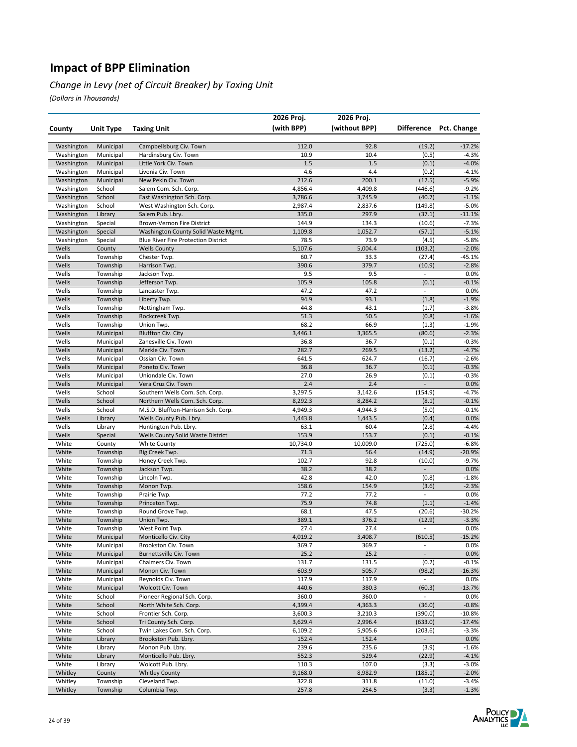#### *Change in Levy (net of Circuit Breaker) by Taxing Unit*

|                          |                        |                                                                                   | 2026 Proj.       | 2026 Proj.         |                          |                        |
|--------------------------|------------------------|-----------------------------------------------------------------------------------|------------------|--------------------|--------------------------|------------------------|
| County                   | <b>Unit Type</b>       | <b>Taxing Unit</b>                                                                | (with BPP)       | (without BPP)      |                          | Difference Pct. Change |
|                          |                        |                                                                                   |                  |                    |                          |                        |
| Washington               | Municipal              | Campbellsburg Civ. Town                                                           | 112.0            | 92.8               | (19.2)                   | $-17.2%$               |
| Washington               | Municipal              | Hardinsburg Civ. Town                                                             | 10.9             | 10.4               | (0.5)                    | $-4.3%$                |
| Washington               | Municipal              | Little York Civ. Town                                                             | 1.5              | 1.5                | (0.1)                    | $-4.0%$                |
| Washington               | Municipal              | Livonia Civ. Town                                                                 | 4.6              | 4.4                | (0.2)                    | $-4.1%$                |
| Washington               | Municipal              | New Pekin Civ. Town                                                               | 212.6            | 200.1              | (12.5)                   | $-5.9%$                |
| Washington               | School                 | Salem Com. Sch. Corp.                                                             | 4,856.4          | 4,409.8            | (446.6)                  | $-9.2%$                |
| Washington               | School                 | East Washington Sch. Corp.                                                        | 3,786.6          | 3,745.9            | (40.7)                   | $-1.1%$                |
| Washington               | School                 | West Washington Sch. Corp.                                                        | 2,987.4          | 2,837.6            | (149.8)                  | $-5.0%$                |
| Washington               | Library                | Salem Pub. Lbry.                                                                  | 335.0            | 297.9              | (37.1)                   | $-11.1%$               |
| Washington<br>Washington | Special<br>Special     | Brown-Vernon Fire District                                                        | 144.9<br>1,109.8 | 134.3<br>1,052.7   | (10.6)<br>(57.1)         | $-7.3%$<br>$-5.1%$     |
| Washington               | Special                | Washington County Solid Waste Mgmt.<br><b>Blue River Fire Protection District</b> | 78.5             | 73.9               | (4.5)                    | $-5.8%$                |
| Wells                    | County                 | <b>Wells County</b>                                                               | 5,107.6          | 5,004.4            | (103.2)                  | $-2.0%$                |
| Wells                    | Township               | Chester Twp.                                                                      | 60.7             | 33.3               | (27.4)                   | $-45.1%$               |
| Wells                    | Township               | Harrison Twp.                                                                     | 390.6            | 379.7              | (10.9)                   | $-2.8%$                |
| Wells                    | Township               | Jackson Twp.                                                                      | 9.5              | 9.5                | $\overline{\phantom{a}}$ | 0.0%                   |
| Wells                    | Township               | Jefferson Twp.                                                                    | 105.9            | 105.8              | (0.1)                    | $-0.1%$                |
| Wells                    | Township               | Lancaster Twp.                                                                    | 47.2             | 47.2               | $\overline{\phantom{a}}$ | 0.0%                   |
| Wells                    | Township               | Liberty Twp.                                                                      | 94.9             | 93.1               | (1.8)                    | $-1.9%$                |
| Wells                    | Township               | Nottingham Twp.                                                                   | 44.8             | 43.1               | (1.7)                    | $-3.8%$                |
| Wells                    | Township               | Rockcreek Twp.                                                                    | 51.3             | 50.5               | (0.8)                    | $-1.6%$                |
| Wells                    | Township               | Union Twp.                                                                        | 68.2             | 66.9               | (1.3)                    | $-1.9%$                |
| Wells                    | Municipal              | <b>Bluffton Civ. City</b>                                                         | 3,446.1          | 3,365.5            | (80.6)                   | $-2.3%$                |
| Wells<br>Wells           | Municipal<br>Municipal | Zanesville Civ. Town<br>Markle Civ. Town                                          | 36.8<br>282.7    | 36.7<br>269.5      | (0.1)<br>(13.2)          | $-0.3%$                |
| Wells                    | Municipal              | Ossian Civ. Town                                                                  | 641.5            | 624.7              | (16.7)                   | $-4.7%$<br>$-2.6%$     |
| Wells                    | Municipal              | Poneto Civ. Town                                                                  | 36.8             | 36.7               | (0.1)                    | $-0.3%$                |
| Wells                    | Municipal              | Uniondale Civ. Town                                                               | 27.0             | 26.9               | (0.1)                    | $-0.3%$                |
| Wells                    | Municipal              | Vera Cruz Civ. Town                                                               | 2.4              | 2.4                | $\overline{\phantom{a}}$ | 0.0%                   |
| Wells                    | School                 | Southern Wells Com. Sch. Corp.                                                    | 3,297.5          | 3,142.6            | (154.9)                  | $-4.7%$                |
| Wells                    | School                 | Northern Wells Com. Sch. Corp.                                                    | 8,292.3          | 8,284.2            | (8.1)                    | $-0.1%$                |
| Wells                    | School                 | M.S.D. Bluffton-Harrison Sch. Corp.                                               | 4,949.3          | 4,944.3            | (5.0)                    | $-0.1%$                |
| Wells                    | Library                | Wells County Pub. Lbry.                                                           | 1,443.8          | 1,443.5            | (0.4)                    | 0.0%                   |
| Wells                    | Library                | Huntington Pub. Lbry.                                                             | 63.1             | 60.4               | (2.8)                    | $-4.4%$                |
| Wells                    | Special                | Wells County Solid Waste District                                                 | 153.9            | 153.7              | (0.1)                    | $-0.1%$                |
| White                    | County                 | <b>White County</b>                                                               | 10,734.0         | 10,009.0           | (725.0)                  | $-6.8%$                |
| White                    | Township               | Big Creek Twp.                                                                    | 71.3             | 56.4               | (14.9)                   | $-20.9%$               |
| White                    | Township               | Honey Creek Twp.                                                                  | 102.7            | 92.8               | (10.0)                   | $-9.7%$                |
| White                    | Township<br>Township   | Jackson Twp.                                                                      | 38.2             | 38.2               |                          | 0.0%<br>$-1.8%$        |
| White<br>White           | Township               | Lincoln Twp.<br>Monon Twp.                                                        | 42.8<br>158.6    | 42.0<br>154.9      | (0.8)<br>(3.6)           | $-2.3%$                |
| White                    | Township               | Prairie Twp.                                                                      | 77.2             | 77.2               | $\overline{\phantom{a}}$ | 0.0%                   |
| White                    | Township               | Princeton Twp.                                                                    | 75.9             | 74.8               | (1.1)                    | $-1.4%$                |
| White                    | Township               | Round Grove Twp.                                                                  | 68.1             | 47.5               | (20.6)                   | $-30.2%$               |
| White                    | Township               | Union Twp.                                                                        | 389.1            | 376.2              | (12.9)                   | $-3.3%$                |
| White                    | Township               | West Point Twp.                                                                   | 27.4             | 27.4               | $\overline{\phantom{a}}$ | 0.0%                   |
| White                    | Municipal              | Monticello Civ. City                                                              | 4,019.2          | 3,408.7            | (610.5)                  | $-15.2%$               |
| White                    | Municipal              | Brookston Civ. Town                                                               | 369.7            | 369.7              | $\blacksquare$           | 0.0%                   |
| White                    | Municipal              | Burnettsville Civ. Town                                                           | 25.2             | 25.2               | $\Box$                   | 0.0%                   |
| White                    | Municipal              | Chalmers Civ. Town                                                                | 131.7            | 131.5              | (0.2)                    | $-0.1%$                |
| White                    | Municipal              | Monon Civ. Town                                                                   | 603.9            | 505.7              | (98.2)                   | $-16.3%$               |
| White                    | Municipal              | Reynolds Civ. Town                                                                | 117.9            | 117.9              | $\blacksquare$           | 0.0%                   |
| White                    | Municipal              | Wolcott Civ. Town                                                                 | 440.6            | 380.3              | (60.3)                   | $-13.7%$               |
| White                    | School                 | Pioneer Regional Sch. Corp.                                                       | 360.0<br>4,399.4 | 360.0              | $\Box$                   | 0.0%                   |
| White<br>White           | School<br>School       | North White Sch. Corp.                                                            | 3,600.3          | 4,363.3<br>3,210.3 | (36.0)                   | $-0.8%$                |
| White                    | School                 | Frontier Sch. Corp.<br>Tri County Sch. Corp.                                      | 3,629.4          | 2,996.4            | (390.0)<br>(633.0)       | $-10.8%$<br>$-17.4%$   |
| White                    | School                 | Twin Lakes Com. Sch. Corp.                                                        | 6,109.2          | 5,905.6            | (203.6)                  | $-3.3%$                |
| White                    | Library                | Brookston Pub. Lbry.                                                              | 152.4            | 152.4              | $\blacksquare$           | 0.0%                   |
| White                    | Library                | Monon Pub. Lbry.                                                                  | 239.6            | 235.6              | (3.9)                    | $-1.6%$                |
| White                    | Library                | Monticello Pub. Lbry.                                                             | 552.3            | 529.4              | (22.9)                   | $-4.1%$                |
| White                    | Library                | Wolcott Pub. Lbry.                                                                | 110.3            | 107.0              | (3.3)                    | $-3.0%$                |
| Whitley                  | County                 | <b>Whitley County</b>                                                             | 9,168.0          | 8,982.9            | (185.1)                  | $-2.0%$                |
| Whitley                  | Township               | Cleveland Twp.                                                                    | 322.8            | 311.8              | (11.0)                   | $-3.4%$                |
| Whitley                  | Township               | Columbia Twp.                                                                     | 257.8            | 254.5              | (3.3)                    | $-1.3%$                |

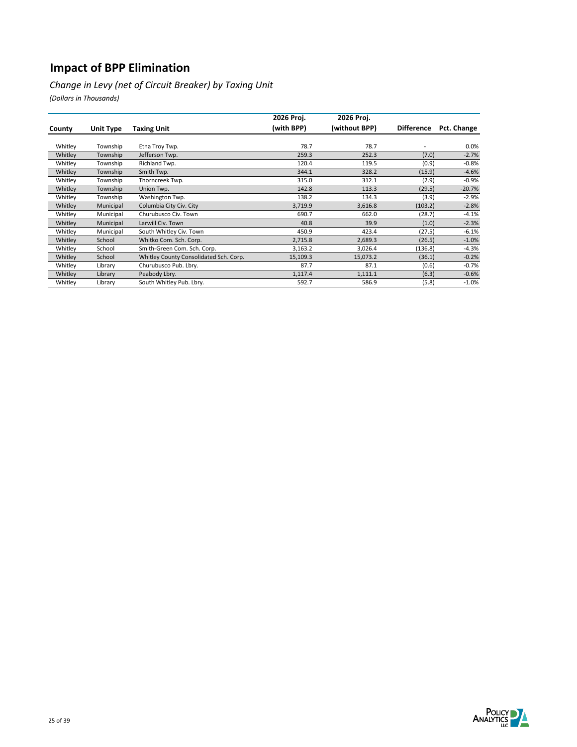*Change in Levy (net of Circuit Breaker) by Taxing Unit*

|         |                  |                                        | 2026 Proj. | 2026 Proj.    |                   |             |
|---------|------------------|----------------------------------------|------------|---------------|-------------------|-------------|
| County  | <b>Unit Type</b> | <b>Taxing Unit</b>                     | (with BPP) | (without BPP) | <b>Difference</b> | Pct. Change |
|         |                  |                                        |            |               |                   |             |
| Whitley | Township         | Etna Troy Twp.                         | 78.7       | 78.7          |                   | 0.0%        |
| Whitley | Township         | Jefferson Twp.                         | 259.3      | 252.3         | (7.0)             | $-2.7%$     |
| Whitley | Township         | Richland Twp.                          | 120.4      | 119.5         | (0.9)             | $-0.8%$     |
| Whitley | Township         | Smith Twp.                             | 344.1      | 328.2         | (15.9)            | $-4.6%$     |
| Whitley | Township         | Thorncreek Twp.                        | 315.0      | 312.1         | (2.9)             | $-0.9%$     |
| Whitley | Township         | Union Twp.                             | 142.8      | 113.3         | (29.5)            | $-20.7%$    |
| Whitley | Township         | Washington Twp.                        | 138.2      | 134.3         | (3.9)             | $-2.9%$     |
| Whitley | Municipal        | Columbia City Civ. City                | 3,719.9    | 3,616.8       | (103.2)           | $-2.8%$     |
| Whitley | Municipal        | Churubusco Civ. Town                   | 690.7      | 662.0         | (28.7)            | $-4.1%$     |
| Whitley | Municipal        | Larwill Civ. Town                      | 40.8       | 39.9          | (1.0)             | $-2.3%$     |
| Whitley | Municipal        | South Whitley Civ. Town                | 450.9      | 423.4         | (27.5)            | $-6.1%$     |
| Whitley | School           | Whitko Com. Sch. Corp.                 | 2,715.8    | 2,689.3       | (26.5)            | $-1.0%$     |
| Whitley | School           | Smith-Green Com. Sch. Corp.            | 3,163.2    | 3,026.4       | (136.8)           | $-4.3%$     |
| Whitley | School           | Whitley County Consolidated Sch. Corp. | 15,109.3   | 15,073.2      | (36.1)            | $-0.2%$     |
| Whitley | Library          | Churubusco Pub. Lbry.                  | 87.7       | 87.1          | (0.6)             | $-0.7%$     |
| Whitley | Library          | Peabody Lbry.                          | 1,117.4    | 1,111.1       | (6.3)             | $-0.6%$     |
| Whitley | Library          | South Whitley Pub. Lbry.               | 592.7      | 586.9         | (5.8)             | $-1.0%$     |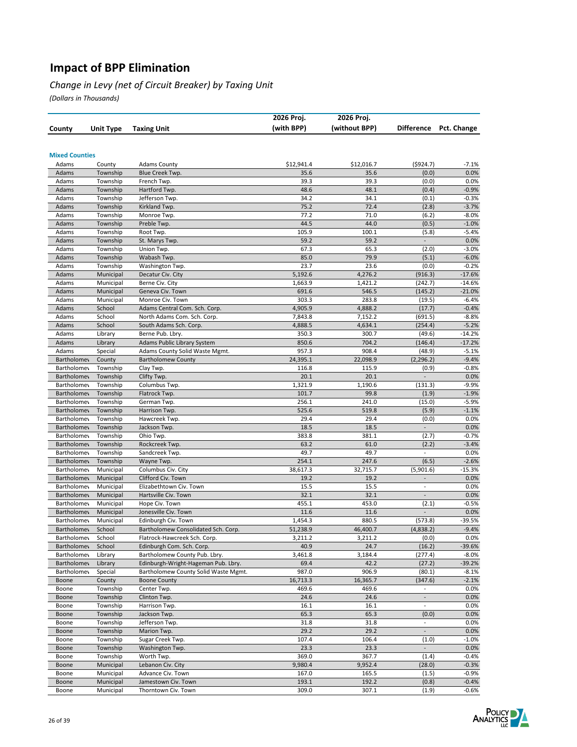#### *Change in Levy (net of Circuit Breaker) by Taxing Unit*

|                                          |                      |                                      | 2026 Proj.    | 2026 Proj.    |                                   |                    |
|------------------------------------------|----------------------|--------------------------------------|---------------|---------------|-----------------------------------|--------------------|
| County                                   | <b>Unit Type</b>     | <b>Taxing Unit</b>                   | (with BPP)    | (without BPP) | <b>Difference</b>                 | Pct. Change        |
|                                          |                      |                                      |               |               |                                   |                    |
| <b>Mixed Counties</b>                    |                      |                                      |               |               |                                   |                    |
| Adams                                    | County               | <b>Adams County</b>                  | \$12,941.4    | \$12,016.7    | ( \$924.7)                        | $-7.1%$            |
| Adams                                    | Township             | Blue Creek Twp.                      | 35.6          | 35.6          | (0.0)                             | 0.0%               |
| Adams                                    | Township             | French Twp.                          | 39.3          | 39.3          | (0.0)                             | 0.0%               |
| Adams                                    | Township             | Hartford Twp.                        | 48.6          | 48.1          | (0.4)                             | $-0.9%$            |
| Adams                                    | Township             | Jefferson Twp.                       | 34.2          | 34.1          | (0.1)                             | $-0.3%$            |
| Adams                                    | Township             | Kirkland Twp.                        | 75.2          | 72.4          | (2.8)                             | $-3.7%$            |
| Adams                                    | Township             | Monroe Twp.                          | 77.2          | 71.0          | (6.2)                             | $-8.0%$            |
| Adams                                    | Township             | Preble Twp.                          | 44.5          | 44.0          | (0.5)                             | $-1.0%$            |
| Adams                                    | Township             | Root Twp.                            | 105.9         | 100.1         | (5.8)                             | $-5.4%$            |
| Adams                                    | Township             | St. Marys Twp.                       | 59.2          | 59.2          | ÷,                                | 0.0%               |
| Adams                                    | Township             | Union Twp.                           | 67.3          | 65.3          | (2.0)                             | $-3.0%$            |
| Adams<br>Adams                           | Township<br>Township | Wabash Twp.<br>Washington Twp.       | 85.0<br>23.7  | 79.9<br>23.6  | (5.1)<br>(0.0)                    | $-6.0%$<br>$-0.2%$ |
| Adams                                    | Municipal            | Decatur Civ. City                    | 5,192.6       | 4,276.2       | (916.3)                           | $-17.6%$           |
| Adams                                    | Municipal            | Berne Civ. City                      | 1,663.9       | 1,421.2       | (242.7)                           | $-14.6%$           |
| Adams                                    | Municipal            | Geneva Civ. Town                     | 691.6         | 546.5         | (145.2)                           | $-21.0%$           |
| Adams                                    | Municipal            | Monroe Civ. Town                     | 303.3         | 283.8         | (19.5)                            | $-6.4%$            |
| Adams                                    | School               | Adams Central Com. Sch. Corp.        | 4,905.9       | 4,888.2       | (17.7)                            | $-0.4%$            |
| Adams                                    | School               | North Adams Com. Sch. Corp.          | 7,843.8       | 7,152.2       | (691.5)                           | $-8.8%$            |
| Adams                                    | School               | South Adams Sch. Corp.               | 4,888.5       | 4,634.1       | (254.4)                           | $-5.2%$            |
| Adams                                    | Library              | Berne Pub. Lbry.                     | 350.3         | 300.7         | (49.6)                            | $-14.2%$           |
| Adams                                    | Library              | Adams Public Library System          | 850.6         | 704.2         | (146.4)                           | $-17.2%$           |
| Adams                                    | Special              | Adams County Solid Waste Mgmt.       | 957.3         | 908.4         | (48.9)                            | $-5.1%$            |
| <b>Bartholomey</b>                       | County               | <b>Bartholomew County</b>            | 24,395.1      | 22,098.9      | (2, 296.2)                        | $-9.4%$            |
| <b>Bartholomey</b>                       | Township             | Clay Twp.                            | 116.8         | 115.9         | (0.9)                             | $-0.8%$            |
| <b>Bartholomey</b>                       | Township             | Clifty Twp.                          | 20.1          | 20.1          | $\overline{\phantom{a}}$          | 0.0%               |
| <b>Bartholomey</b>                       | Township             | Columbus Twp.                        | 1,321.9       | 1,190.6       | (131.3)                           | $-9.9%$            |
| <b>Bartholomey</b>                       | Township             | Flatrock Twp.                        | 101.7         | 99.8          | (1.9)                             | $-1.9%$            |
| <b>Bartholomey</b>                       | Township             | German Twp                           | 256.1         | 241.0         | (15.0)                            | $-5.9%$            |
| <b>Bartholomey</b>                       | Township             | Harrison Twp.                        | 525.6         | 519.8         | (5.9)                             | $-1.1%$            |
| <b>Bartholomey</b>                       | Township             | Hawcreek Twp.                        | 29.4          | 29.4          | (0.0)                             | 0.0%               |
| <b>Bartholomey</b>                       | Township             | Jackson Twp.                         | 18.5          | 18.5          | $\overline{\phantom{a}}$          | 0.0%               |
| <b>Bartholomey</b><br><b>Bartholomey</b> | Township             | Ohio Twp.                            | 383.8<br>63.2 | 381.1<br>61.0 | (2.7)<br>(2.2)                    | $-0.7%$<br>$-3.4%$ |
| <b>Bartholomey</b>                       | Township<br>Township | Rockcreek Twp.<br>Sandcreek Twp.     | 49.7          | 49.7          | $\overline{a}$                    | 0.0%               |
| <b>Bartholomey</b>                       | Township             | Wayne Twp.                           | 254.1         | 247.6         | (6.5)                             | $-2.6%$            |
| <b>Bartholomey</b>                       | Municipal            | Columbus Civ. City                   | 38,617.3      | 32,715.7      | (5,901.6)                         | $-15.3%$           |
| <b>Bartholomey</b>                       | Municipal            | Clifford Civ. Town                   | 19.2          | 19.2          | $\overline{a}$                    | 0.0%               |
| <b>Bartholomey</b>                       | Municipal            | Elizabethtown Civ. Town              | 15.5          | 15.5          | $\overline{a}$                    | 0.0%               |
| <b>Bartholomey</b>                       | Municipal            | Hartsville Civ. Town                 | 32.1          | 32.1          | $\overline{\phantom{a}}$          | 0.0%               |
| <b>Bartholomey</b>                       | Municipal            | Hope Civ. Town                       | 455.1         | 453.0         | (2.1)                             | $-0.5%$            |
| <b>Bartholomey</b>                       | Municipal            | Jonesville Civ. Town                 | 11.6          | 11.6          |                                   | 0.0%               |
| <b>Bartholomey</b>                       | Municipal            | Edinburgh Civ. Town                  | 1,454.3       | 880.5         | (573.8)                           | $-39.5%$           |
| <b>Bartholomey</b>                       | School               | Bartholomew Consolidated Sch. Corp.  | 51,238.9      | 46,400.7      | (4,838.2)                         | $-9.4%$            |
| <b>Bartholomey</b>                       | School               | Flatrock-Hawcreek Sch. Corp.         | 3,211.2       | 3,211.2       | (0.0)                             | 0.0%               |
| <b>Bartholomey</b>                       | School               | Edinburgh Com. Sch. Corp.            | 40.9          | 24.7          | (16.2)                            | $-39.6%$           |
| <b>Bartholomey</b>                       | Library              | Bartholomew County Pub. Lbry.        | 3,461.8       | 3,184.4       | (277.4)                           | $-8.0%$            |
| <b>Bartholomey</b>                       | Library              | Edinburgh-Wright-Hageman Pub. Lbry.  | 69.4          | 42.2          | (27.2)                            | $-39.2%$           |
| <b>Bartholomey</b>                       | Special              | Bartholomew County Solid Waste Mgmt. | 987.0         | 906.9         | (80.1)                            | $-8.1%$            |
| Boone                                    | County               | <b>Boone County</b>                  | 16,713.3      | 16,365.7      | (347.6)                           | $-2.1%$            |
| Boone                                    | Township             | Center Twp.                          | 469.6         | 469.6         | $\overline{a}$                    | 0.0%               |
| Boone                                    | Township             | Clinton Twp.                         | 24.6          | 24.6          | $\overline{\phantom{a}}$          | 0.0%               |
| Boone                                    | Township             | Harrison Twp.                        | 16.1          | 16.1          | $\overline{\phantom{a}}$          | 0.0%               |
| Boone<br>Boone                           | Township<br>Township | Jackson Twp.<br>Jefferson Twp.       | 65.3<br>31.8  | 65.3<br>31.8  | (0.0)<br>$\overline{\phantom{a}}$ | 0.0%<br>0.0%       |
| Boone                                    | Township             | Marion Twp.                          | 29.2          | 29.2          | $\overline{a}$                    | 0.0%               |
| Boone                                    | Township             | Sugar Creek Twp.                     | 107.4         | 106.4         | (1.0)                             | $-1.0%$            |
| Boone                                    | Township             | Washington Twp.                      | 23.3          | 23.3          | $\overline{\phantom{a}}$          | 0.0%               |
| Boone                                    | Township             | Worth Twp.                           | 369.0         | 367.7         | (1.4)                             | $-0.4%$            |
| Boone                                    | Municipal            | Lebanon Civ. City                    | 9,980.4       | 9,952.4       | (28.0)                            | $-0.3%$            |
| Boone                                    | Municipal            | Advance Civ. Town                    | 167.0         | 165.5         | (1.5)                             | $-0.9%$            |
| Boone                                    | Municipal            | Jamestown Civ. Town                  | 193.1         | 192.2         | (0.8)                             | $-0.4%$            |
| Boone                                    | Municipal            | Thorntown Civ. Town                  | 309.0         | 307.1         | (1.9)                             | $-0.6%$            |

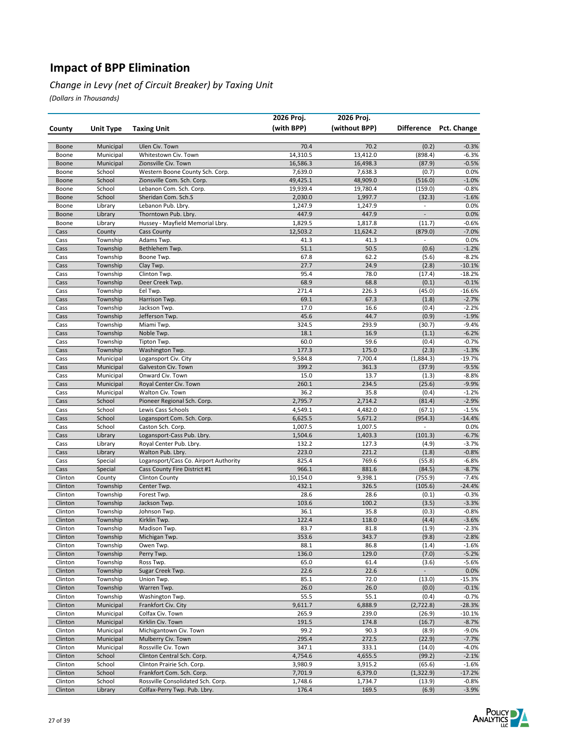#### *Change in Levy (net of Circuit Breaker) by Taxing Unit*

|                    |                        |                                         | 2026 Proj.       | 2026 Proj.       |                          |                        |
|--------------------|------------------------|-----------------------------------------|------------------|------------------|--------------------------|------------------------|
| County             | <b>Unit Type</b>       | <b>Taxing Unit</b>                      | (with BPP)       | (without BPP)    |                          | Difference Pct. Change |
| Boone              | Municipal              | Ulen Civ. Town                          | 70.4             | 70.2             | (0.2)                    | $-0.3%$                |
| Boone              | Municipal              | Whitestown Civ. Town                    | 14,310.5         | 13,412.0         | (898.4)                  | $-6.3%$                |
| Boone              | Municipal              | Zionsville Civ. Town                    | 16,586.3         | 16,498.3         | (87.9)                   | $-0.5%$                |
| Boone              | School                 | Western Boone County Sch. Corp.         | 7,639.0          | 7,638.3          | (0.7)                    | 0.0%                   |
| Boone              | School                 | Zionsville Com. Sch. Corp.              | 49,425.1         | 48,909.0         | (516.0)                  | $-1.0%$                |
| Boone              | School                 | Lebanon Com. Sch. Corp.                 | 19,939.4         | 19,780.4         | (159.0)                  | $-0.8%$                |
| Boone              | School                 | Sheridan Com. Sch.S                     | 2,030.0          | 1,997.7          | (32.3)                   | $-1.6%$                |
| Boone              | Library                | Lebanon Pub. Lbry.                      | 1,247.9          | 1,247.9          | $\overline{\phantom{a}}$ | 0.0%                   |
| Boone              | Library                | Thorntown Pub. Lbry.                    | 447.9            | 447.9            | $\overline{\phantom{a}}$ | 0.0%                   |
| Boone              | Library                | Hussey - Mayfield Memorial Lbry.        | 1,829.5          | 1,817.8          | (11.7)                   | $-0.6%$                |
| Cass               | County                 | <b>Cass County</b>                      | 12,503.2         | 11,624.2         | (879.0)<br>$\frac{1}{2}$ | $-7.0%$                |
| Cass<br>Cass       | Township<br>Township   | Adams Twp.<br>Bethlehem Twp.            | 41.3<br>51.1     | 41.3<br>50.5     | (0.6)                    | 0.0%<br>$-1.2%$        |
| Cass               | Township               | Boone Twp.                              | 67.8             | 62.2             | (5.6)                    | $-8.2%$                |
| Cass               | Township               | Clay Twp.                               | 27.7             | 24.9             | (2.8)                    | $-10.1%$               |
| Cass               | Township               | Clinton Twp.                            | 95.4             | 78.0             | (17.4)                   | $-18.2%$               |
| Cass               | Township               | Deer Creek Twp.                         | 68.9             | 68.8             | (0.1)                    | $-0.1%$                |
| Cass               | Township               | Eel Twp.                                | 271.4            | 226.3            | (45.0)                   | $-16.6%$               |
| Cass               | Township               | Harrison Twp.                           | 69.1             | 67.3             | (1.8)                    | $-2.7%$                |
| Cass               | Township               | Jackson Twp.                            | 17.0             | 16.6             | (0.4)                    | $-2.2%$                |
| Cass               | Township               | Jefferson Twp.                          | 45.6             | 44.7             | (0.9)                    | $-1.9%$                |
| Cass               | Township               | Miami Twp.                              | 324.5            | 293.9            | (30.7)                   | $-9.4%$                |
| Cass               | Township               | Noble Twp.                              | 18.1             | 16.9             | (1.1)                    | $-6.2%$                |
| Cass               | Township               | Tipton Twp.                             | 60.0             | 59.6             | (0.4)                    | $-0.7%$                |
| Cass               | Township               | Washington Twp.                         | 177.3            | 175.0            | (2.3)                    | $-1.3%$                |
| Cass               | Municipal              | Logansport Civ. City                    | 9,584.8<br>399.2 | 7,700.4<br>361.3 | (1,884.3)                | $-19.7%$               |
| Cass<br>Cass       | Municipal<br>Municipal | Galveston Civ. Town<br>Onward Civ. Town | 15.0             | 13.7             | (37.9)<br>(1.3)          | $-9.5%$<br>$-8.8%$     |
| Cass               | Municipal              | Royal Center Civ. Town                  | 260.1            | 234.5            | (25.6)                   | $-9.9%$                |
| Cass               | Municipal              | Walton Civ. Town                        | 36.2             | 35.8             | (0.4)                    | $-1.2%$                |
| Cass               | School                 | Pioneer Regional Sch. Corp.             | 2,795.7          | 2,714.2          | (81.4)                   | $-2.9%$                |
| Cass               | School                 | Lewis Cass Schools                      | 4,549.1          | 4,482.0          | (67.1)                   | $-1.5%$                |
| Cass               | School                 | Logansport Com. Sch. Corp.              | 6,625.5          | 5,671.2          | (954.3)                  | $-14.4%$               |
| Cass               | School                 | Caston Sch. Corp.                       | 1,007.5          | 1,007.5          | $\overline{a}$           | 0.0%                   |
| Cass               | Library                | Logansport-Cass Pub. Lbry.              | 1,504.6          | 1,403.3          | (101.3)                  | $-6.7%$                |
| Cass               | Library                | Royal Center Pub. Lbry.                 | 132.2            | 127.3            | (4.9)                    | $-3.7%$                |
| Cass               | Library                | Walton Pub. Lbry.                       | 223.0            | 221.2            | (1.8)                    | $-0.8%$                |
| Cass               | Special                | Logansport/Cass Co. Airport Authority   | 825.4            | 769.6            | (55.8)                   | $-6.8%$                |
| Cass               | Special                | Cass County Fire District #1            | 966.1            | 881.6            | (84.5)                   | $-8.7%$                |
| Clinton<br>Clinton | County                 | <b>Clinton County</b>                   | 10,154.0         | 9,398.1          | (755.9)                  | $-7.4%$                |
| Clinton            | Township<br>Township   | Center Twp.<br>Forest Twp.              | 432.1<br>28.6    | 326.5<br>28.6    | (105.6)<br>(0.1)         | $-24.4%$<br>$-0.3%$    |
| Clinton            | Township               | Jackson Twp.                            | 103.6            | 100.2            | (3.5)                    | $-3.3%$                |
| Clinton            | Township               | Johnson Twp.                            | 36.1             | 35.8             | (0.3)                    | $-0.8%$                |
| Clinton            | Township               | Kirklin Twp.                            | 122.4            | 118.0            | (4.4)                    | $-3.6%$                |
| Clinton            | Township               | Madison Twp.                            | 83.7             | 81.8             | (1.9)                    | $-2.3%$                |
| Clinton            | Township               | Michigan Twp.                           | 353.6            | 343.7            | (9.8)                    | -2.8%                  |
| Clinton            | Township               | Owen Twp.                               | 88.1             | 86.8             | (1.4)                    | $-1.6%$                |
| Clinton            | Township               | Perry Twp.                              | 136.0            | 129.0            | (7.0)                    | $-5.2%$                |
| Clinton            | Township               | Ross Twp.                               | 65.0             | 61.4             | (3.6)                    | $-5.6%$                |
| Clinton            | Township               | Sugar Creek Twp.                        | 22.6             | 22.6             |                          | 0.0%                   |
| Clinton            | Township               | Union Twp.                              | 85.1             | 72.0             | (13.0)                   | $-15.3%$               |
| Clinton            | Township               | Warren Twp.                             | 26.0             | 26.0             | (0.0)                    | $-0.1%$                |
| Clinton            | Township               | Washington Twp.                         | 55.5             | 55.1             | (0.4)                    | $-0.7%$                |
| Clinton            | Municipal              | Frankfort Civ. City                     | 9,611.7          | 6,888.9          | (2,722.8)                | $-28.3%$               |
| Clinton<br>Clinton | Municipal<br>Municipal | Colfax Civ. Town<br>Kirklin Civ. Town   | 265.9<br>191.5   | 239.0<br>174.8   | (26.9)<br>(16.7)         | $-10.1%$<br>$-8.7%$    |
| Clinton            | Municipal              | Michigantown Civ. Town                  | 99.2             | 90.3             | (8.9)                    | $-9.0%$                |
| Clinton            | Municipal              | Mulberry Civ. Town                      | 295.4            | 272.5            | (22.9)                   | $-7.7%$                |
| Clinton            | Municipal              | Rossville Civ. Town                     | 347.1            | 333.1            | (14.0)                   | $-4.0%$                |
| Clinton            | School                 | Clinton Central Sch. Corp.              | 4,754.6          | 4,655.5          | (99.2)                   | $-2.1%$                |
| Clinton            | School                 | Clinton Prairie Sch. Corp.              | 3,980.9          | 3,915.2          | (65.6)                   | $-1.6%$                |
| Clinton            | School                 | Frankfort Com. Sch. Corp.               | 7,701.9          | 6,379.0          | (1, 322.9)               | $-17.2%$               |
| Clinton            | School                 | Rossville Consolidated Sch. Corp.       | 1,748.6          | 1,734.7          | (13.9)                   | $-0.8%$                |
| Clinton            | Library                | Colfax-Perry Twp. Pub. Lbry.            | 176.4            | 169.5            | (6.9)                    | $-3.9%$                |

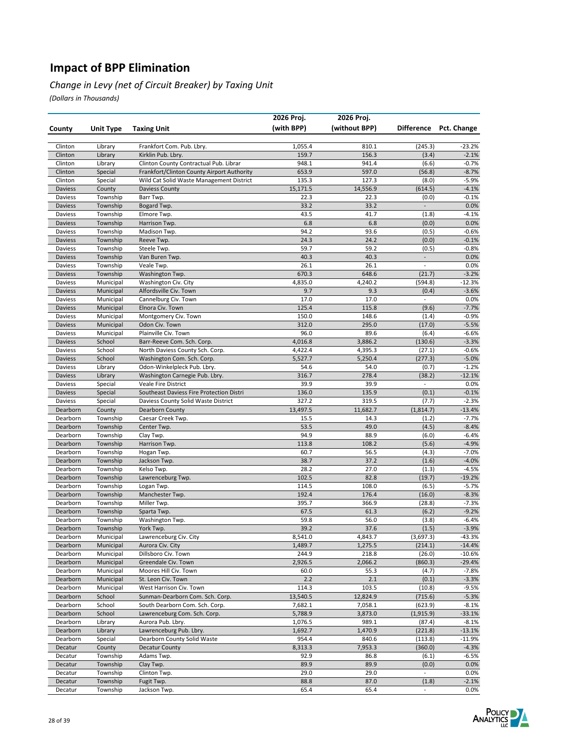#### *Change in Levy (net of Circuit Breaker) by Taxing Unit*

|                      |                        |                                            | 2026 Proj.         | 2026 Proj.         |                          |                        |
|----------------------|------------------------|--------------------------------------------|--------------------|--------------------|--------------------------|------------------------|
| County               | Unit Type              | <b>Taxing Unit</b>                         | (with BPP)         | (without BPP)      |                          | Difference Pct. Change |
|                      |                        |                                            |                    |                    |                          |                        |
| Clinton              | Library                | Frankfort Com. Pub. Lbry.                  | 1,055.4            | 810.1              | (245.3)                  | $-23.2%$               |
| Clinton              | Library                | Kirklin Pub. Lbry.                         | 159.7              | 156.3              | (3.4)                    | $-2.1%$                |
| Clinton              | Library                | Clinton County Contractual Pub. Librar     | 948.1              | 941.4              | (6.6)                    | $-0.7%$                |
| Clinton              | Special                | Frankfort/Clinton County Airport Authority | 653.9              | 597.0              | (56.8)                   | $-8.7%$                |
| Clinton              | Special                | Wild Cat Solid Waste Management District   | 135.3              | 127.3              | (8.0)                    | $-5.9%$                |
| Daviess              | County                 | Daviess County                             | 15,171.5           | 14,556.9           | (614.5)                  | $-4.1%$                |
| Daviess              | Township               | Barr Twp.                                  | 22.3               | 22.3               | (0.0)                    | $-0.1%$                |
| Daviess              | Township               | Bogard Twp.                                | 33.2               | 33.2               | $\overline{\phantom{a}}$ | 0.0%                   |
| Daviess              | Township               | Elmore Twp.                                | 43.5               | 41.7               | (1.8)                    | $-4.1%$                |
| Daviess              | Township               | Harrison Twp.                              | 6.8                | 6.8                | (0.0)                    | 0.0%                   |
| Daviess              | Township<br>Township   | Madison Twp.                               | 94.2<br>24.3       | 93.6<br>24.2       | (0.5)<br>(0.0)           | $-0.6%$<br>$-0.1%$     |
| Daviess<br>Daviess   | Township               | Reeve Twp.<br>Steele Twp.                  | 59.7               | 59.2               | (0.5)                    | $-0.8%$                |
| Daviess              | Township               | Van Buren Twp.                             | 40.3               | 40.3               | $\Box$                   | 0.0%                   |
| Daviess              | Township               | Veale Twp.                                 | 26.1               | 26.1               | $\overline{\phantom{a}}$ | 0.0%                   |
| Daviess              | Township               | Washington Twp.                            | 670.3              | 648.6              | (21.7)                   | $-3.2%$                |
| Daviess              | Municipal              | Washington Civ. City                       | 4,835.0            | 4,240.2            | (594.8)                  | $-12.3%$               |
| Daviess              | Municipal              | Alfordsville Civ. Town                     | 9.7                | 9.3                | (0.4)                    | $-3.6%$                |
| Daviess              | Municipal              | Cannelburg Civ. Town                       | 17.0               | 17.0               | $\overline{\phantom{a}}$ | 0.0%                   |
| Daviess              | Municipal              | Elnora Civ. Town                           | 125.4              | 115.8              | (9.6)                    | $-7.7%$                |
| Daviess              | Municipal              | Montgomery Civ. Town                       | 150.0              | 148.6              | (1.4)                    | $-0.9%$                |
| Daviess              | Municipal              | Odon Civ. Town                             | 312.0              | 295.0              | (17.0)                   | $-5.5%$                |
| Daviess              | Municipal              | Plainville Civ. Town                       | 96.0               | 89.6               | (6.4)                    | $-6.6%$                |
| Daviess              | School                 | Barr-Reeve Com. Sch. Corp.                 | 4,016.8            | 3,886.2            | (130.6)                  | $-3.3%$                |
| Daviess              | School                 | North Daviess County Sch. Corp.            | 4,422.4            | 4,395.3            | (27.1)                   | $-0.6%$                |
| Daviess              | School                 | Washington Com. Sch. Corp.                 | 5,527.7            | 5,250.4            | (277.3)                  | $-5.0%$                |
| Daviess              | Library                | Odon-Winkelpleck Pub. Lbry.                | 54.6               | 54.0               | (0.7)                    | $-1.2%$                |
| Daviess              | Library                | Washington Carnegie Pub. Lbry.             | 316.7              | 278.4              | (38.2)                   | $-12.1%$               |
| Daviess              | Special                | Veale Fire District                        | 39.9               | 39.9               | $\overline{\phantom{a}}$ | 0.0%                   |
| Daviess              | Special                | Southeast Daviess Fire Protection Distri   | 136.0              | 135.9              | (0.1)                    | $-0.1%$                |
| Daviess              | Special                | Daviess County Solid Waste District        | 327.2              | 319.5<br>11,682.7  | (7.7)                    | $-2.3%$<br>$-13.4%$    |
| Dearborn<br>Dearborn | County<br>Township     | Dearborn County<br>Caesar Creek Twp.       | 13,497.5<br>15.5   | 14.3               | (1,814.7)<br>(1.2)       | $-7.7%$                |
| Dearborn             | Township               | Center Twp.                                | 53.5               | 49.0               | (4.5)                    | $-8.4%$                |
| Dearborn             | Township               | Clay Twp.                                  | 94.9               | 88.9               | (6.0)                    | $-6.4%$                |
| Dearborn             | Township               | Harrison Twp.                              | 113.8              | 108.2              | (5.6)                    | $-4.9%$                |
| Dearborn             | Township               | Hogan Twp.                                 | 60.7               | 56.5               | (4.3)                    | $-7.0%$                |
| Dearborn             | Township               | Jackson Twp.                               | 38.7               | 37.2               | (1.6)                    | $-4.0%$                |
| Dearborn             | Township               | Kelso Twp.                                 | 28.2               | 27.0               | (1.3)                    | $-4.5%$                |
| Dearborn             | Township               | Lawrenceburg Twp.                          | 102.5              | 82.8               | (19.7)                   | $-19.2%$               |
| Dearborn             | Township               | Logan Twp.                                 | 114.5              | 108.0              | (6.5)                    | $-5.7%$                |
| Dearborn             | Township               | Manchester Twp.                            | 192.4              | 176.4              | (16.0)                   | $-8.3%$                |
| Dearborn             | Township               | Miller Twp.                                | 395.7              | 366.9              | (28.8)                   | $-7.3%$                |
| Dearborn             | Township               | Sparta Twp.                                | 67.5               | 61.3               | (6.2)                    | $-9.2%$                |
| Dearborn             | Township               | Washington Twp.                            | 59.8               | 56.0               | (3.8)                    | $-6.4%$                |
| Dearborn             | Township               | York Twp.                                  | 39.2               | 37.6               | (1.5)                    | $-3.9%$                |
| Dearborn<br>Dearborn | Municipal<br>Municipal | Lawrenceburg Civ. City<br>Aurora Civ. City | 8,541.0<br>1,489.7 | 4,843.7<br>1,275.5 | (3,697.3)<br>(214.1)     | -43.3%<br>$-14.4%$     |
| Dearborn             | Municipal              | Dillsboro Civ. Town                        | 244.9              | 218.8              | (26.0)                   | $-10.6%$               |
| Dearborn             | Municipal              | Greendale Civ. Town                        | 2,926.5            | 2,066.2            | (860.3)                  | $-29.4%$               |
| Dearborn             | Municipal              | Moores Hill Civ. Town                      | 60.0               | 55.3               | (4.7)                    | $-7.8%$                |
| Dearborn             | Municipal              | St. Leon Civ. Town                         | 2.2                | 2.1                | (0.1)                    | $-3.3%$                |
| Dearborn             | Municipal              | West Harrison Civ. Town                    | 114.3              | 103.5              | (10.8)                   | $-9.5%$                |
| Dearborn             | School                 | Sunman-Dearborn Com. Sch. Corp.            | 13,540.5           | 12,824.9           | (715.6)                  | $-5.3%$                |
| Dearborn             | School                 | South Dearborn Com. Sch. Corp.             | 7,682.1            | 7,058.1            | (623.9)                  | $-8.1%$                |
| Dearborn             | School                 | Lawrenceburg Com. Sch. Corp.               | 5,788.9            | 3,873.0            | (1,915.9)                | $-33.1%$               |
| Dearborn             | Library                | Aurora Pub. Lbry.                          | 1,076.5            | 989.1              | (87.4)                   | $-8.1%$                |
| Dearborn             | Library                | Lawrenceburg Pub. Lbry.                    | 1,692.7            | 1,470.9            | (221.8)                  | $-13.1%$               |
| Dearborn             | Special                | Dearborn County Solid Waste                | 954.4              | 840.6              | (113.8)                  | $-11.9%$               |
| Decatur              | County                 | <b>Decatur County</b>                      | 8,313.3            | 7,953.3            | (360.0)                  | $-4.3%$                |
| Decatur              | Township               | Adams Twp.                                 | 92.9               | 86.8               | (6.1)                    | $-6.5%$                |
| Decatur              | Township               | Clay Twp.                                  | 89.9               | 89.9               | (0.0)                    | 0.0%                   |
| Decatur<br>Decatur   | Township<br>Township   | Clinton Twp.<br>Fugit Twp.                 | 29.0<br>88.8       | 29.0<br>87.0       | $\blacksquare$<br>(1.8)  | 0.0%<br>$-2.1%$        |
| Decatur              | Township               | Jackson Twp.                               | 65.4               | 65.4               | $\sim$                   | 0.0%                   |
|                      |                        |                                            |                    |                    |                          |                        |

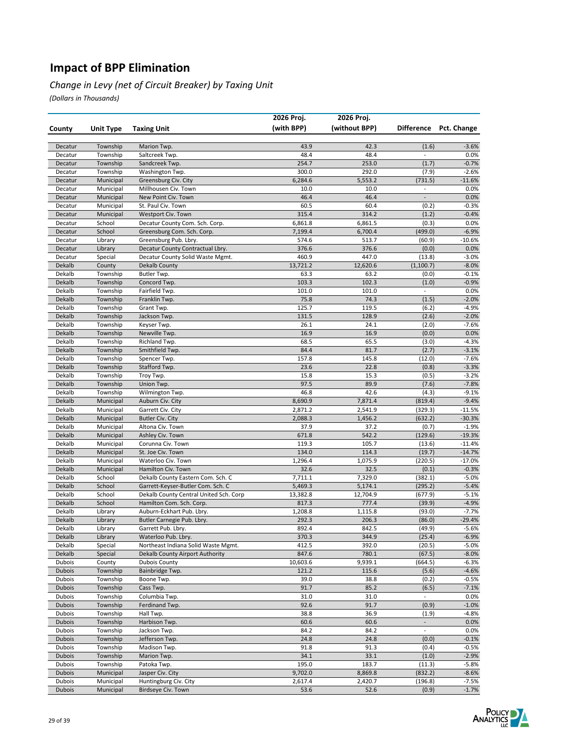#### *Change in Levy (net of Circuit Breaker) by Taxing Unit*

|                         |                        |                                                                             | 2026 Proj.          | 2026 Proj.          |                                            |                        |
|-------------------------|------------------------|-----------------------------------------------------------------------------|---------------------|---------------------|--------------------------------------------|------------------------|
| County                  | Unit Type              | <b>Taxing Unit</b>                                                          | (with BPP)          | (without BPP)       |                                            | Difference Pct. Change |
|                         |                        |                                                                             |                     |                     |                                            |                        |
| Decatur                 | Township               | Marion Twp.                                                                 | 43.9                | 42.3                | (1.6)                                      | $-3.6%$                |
| Decatur                 | Township               | Saltcreek Twp.                                                              | 48.4                | 48.4                | $\overline{\phantom{a}}$                   | 0.0%                   |
| Decatur                 | Township               | Sandcreek Twp.                                                              | 254.7               | 253.0               | (1.7)                                      | $-0.7%$                |
| Decatur                 | Township               | Washington Twp.                                                             | 300.0               | 292.0               | (7.9)                                      | $-2.6%$                |
| Decatur                 | Municipal              | Greensburg Civ. City                                                        | 6,284.6             | 5,553.2             | (731.5)                                    | $-11.6%$               |
| Decatur<br>Decatur      | Municipal<br>Municipal | Millhousen Civ. Town<br>New Point Civ. Town                                 | 10.0<br>46.4        | 10.0<br>46.4        | $\blacksquare$<br>$\overline{\phantom{a}}$ | 0.0%<br>0.0%           |
| Decatur                 | Municipal              | St. Paul Civ. Town                                                          | 60.5                | 60.4                | (0.2)                                      | $-0.3%$                |
| Decatur                 | Municipal              | Westport Civ. Town                                                          | 315.4               | 314.2               | (1.2)                                      | $-0.4%$                |
| Decatur                 | School                 | Decatur County Com. Sch. Corp.                                              | 6,861.8             | 6,861.5             | (0.3)                                      | 0.0%                   |
| Decatur                 | School                 | Greensburg Com. Sch. Corp.                                                  | 7,199.4             | 6,700.4             | (499.0)                                    | $-6.9%$                |
| Decatur                 | Library                | Greensburg Pub. Lbry.                                                       | 574.6               | 513.7               | (60.9)                                     | $-10.6%$               |
| Decatur                 | Library                | Decatur County Contractual Lbry.                                            | 376.6               | 376.6               | (0.0)                                      | 0.0%                   |
| Decatur                 | Special                | Decatur County Solid Waste Mgmt.                                            | 460.9               | 447.0               | (13.8)                                     | $-3.0%$                |
| Dekalb                  | County                 | Dekalb County                                                               | 13,721.2            | 12,620.6            | (1, 100.7)                                 | $-8.0%$                |
| Dekalb                  | Township               | Butler Twp.                                                                 | 63.3                | 63.2                | (0.0)                                      | $-0.1%$                |
| Dekalb                  | Township               | Concord Twp.                                                                | 103.3               | 102.3               | (1.0)                                      | $-0.9%$                |
| Dekalb                  | Township               | Fairfield Twp.                                                              | 101.0               | 101.0               | $\overline{\phantom{a}}$                   | 0.0%                   |
| Dekalb                  | Township               | Franklin Twp.                                                               | 75.8                | 74.3                | (1.5)                                      | $-2.0%$                |
| Dekalb                  | Township               | Grant Twp.                                                                  | 125.7               | 119.5               | (6.2)                                      | $-4.9%$                |
| Dekalb                  | Township               | Jackson Twp.                                                                | 131.5               | 128.9               | (2.6)                                      | $-2.0%$                |
| Dekalb                  | Township<br>Township   | Keyser Twp.                                                                 | 26.1                | 24.1                | (2.0)                                      | $-7.6%$                |
| Dekalb<br>Dekalb        | Township               | Newville Twp.<br>Richland Twp.                                              | 16.9<br>68.5        | 16.9<br>65.5        | (0.0)                                      | 0.0%<br>$-4.3%$        |
| Dekalb                  | Township               | Smithfield Twp.                                                             | 84.4                | 81.7                | (3.0)<br>(2.7)                             | $-3.1%$                |
| Dekalb                  | Township               | Spencer Twp.                                                                | 157.8               | 145.8               | (12.0)                                     | $-7.6%$                |
| Dekalb                  | Township               | Stafford Twp.                                                               | 23.6                | 22.8                | (0.8)                                      | $-3.3%$                |
| Dekalb                  | Township               | Troy Twp.                                                                   | 15.8                | 15.3                | (0.5)                                      | $-3.2%$                |
| Dekalb                  | Township               | Union Twp.                                                                  | 97.5                | 89.9                | (7.6)                                      | $-7.8%$                |
| Dekalb                  | Township               | Wilmington Twp.                                                             | 46.8                | 42.6                | (4.3)                                      | $-9.1%$                |
| Dekalb                  | Municipal              | Auburn Civ. City                                                            | 8,690.9             | 7,871.4             | (819.4)                                    | $-9.4%$                |
| Dekalb                  | Municipal              | Garrett Civ. City                                                           | 2,871.2             | 2,541.9             | (329.3)                                    | $-11.5%$               |
| Dekalb                  | Municipal              | <b>Butler Civ. City</b>                                                     | 2,088.3             | 1,456.2             | (632.2)                                    | $-30.3%$               |
| Dekalb                  | Municipal              | Altona Civ. Town                                                            | 37.9                | 37.2                | (0.7)                                      | $-1.9%$                |
| Dekalb                  | Municipal              | Ashley Civ. Town                                                            | 671.8               | 542.2               | (129.6)                                    | $-19.3%$               |
| Dekalb                  | Municipal              | Corunna Civ. Town                                                           | 119.3               | 105.7               | (13.6)                                     | $-11.4%$               |
| Dekalb                  | Municipal              | St. Joe Civ. Town                                                           | 134.0               | 114.3               | (19.7)                                     | $-14.7%$               |
| Dekalb                  | Municipal              | Waterloo Civ. Town                                                          | 1,296.4             | 1,075.9             | (220.5)                                    | $-17.0%$               |
| Dekalb                  | Municipal              | Hamilton Civ. Town                                                          | 32.6                | 32.5                | (0.1)                                      | $-0.3%$                |
| Dekalb<br>Dekalb        | School                 | Dekalb County Eastern Com. Sch. C                                           | 7,711.1             | 7,329.0             | (382.1)                                    | $-5.0%$                |
| Dekalb                  | School<br>School       | Garrett-Keyser-Butler Com. Sch. C<br>Dekalb County Central United Sch. Corp | 5,469.3<br>13,382.8 | 5,174.1<br>12,704.9 | (295.2)<br>(677.9)                         | $-5.4%$<br>$-5.1%$     |
| Dekalb                  | School                 | Hamilton Com. Sch. Corp.                                                    | 817.3               | 777.4               | (39.9)                                     | $-4.9%$                |
| Dekalb                  | Library                | Auburn-Eckhart Pub. Lbry.                                                   | 1,208.8             | 1,115.8             | (93.0)                                     | $-7.7%$                |
| Dekalb                  | Library                | Butler Carnegie Pub. Lbry.                                                  | 292.3               | 206.3               | (86.0)                                     | $-29.4%$               |
| Dekalb                  | Library                | Garrett Pub. Lbry.                                                          | 892.4               | 842.5               | (49.9)                                     | $-5.6%$                |
| Dekalb                  | Library                | Waterloo Pub. Lbry.                                                         | 370.3               | 344.9               | (25.4)                                     | $-6.9%$                |
| Dekalb                  | Special                | Northeast Indiana Solid Waste Mgmt.                                         | 412.5               | 392.0               | (20.5)                                     | $-5.0%$                |
| Dekalb                  | Special                | Dekalb County Airport Authority                                             | 847.6               | 780.1               | (67.5)                                     | $-8.0%$                |
| Dubois                  | County                 | <b>Dubois County</b>                                                        | 10,603.6            | 9,939.1             | (664.5)                                    | $-6.3%$                |
| <b>Dubois</b>           | Township               | Bainbridge Twp.                                                             | 121.2               | 115.6               | (5.6)                                      | $-4.6%$                |
| Dubois                  | Township               | Boone Twp.                                                                  | 39.0                | 38.8                | (0.2)                                      | $-0.5%$                |
| <b>Dubois</b>           | Township               | Cass Twp.                                                                   | 91.7                | 85.2                | (6.5)                                      | $-7.1%$                |
| Dubois                  | Township               | Columbia Twp.                                                               | 31.0                | 31.0                | $\sim$                                     | 0.0%                   |
| <b>Dubois</b>           | Township               | Ferdinand Twp.                                                              | 92.6                | 91.7                | (0.9)                                      | $-1.0%$                |
| Dubois                  | Township               | Hall Twp.                                                                   | 38.8                | 36.9                | (1.9)                                      | $-4.8%$                |
| <b>Dubois</b><br>Dubois | Township<br>Township   | Harbison Twp.<br>Jackson Twp.                                               | 60.6<br>84.2        | 60.6<br>84.2        | $\blacksquare$<br>$\blacksquare$           | 0.0%<br>0.0%           |
| <b>Dubois</b>           | Township               |                                                                             | 24.8                | 24.8                | (0.0)                                      |                        |
| <b>Dubois</b>           | Township               | Jefferson Twp.<br>Madison Twp.                                              | 91.8                | 91.3                | (0.4)                                      | $-0.1%$<br>$-0.5%$     |
| <b>Dubois</b>           | Township               | Marion Twp.                                                                 | 34.1                | 33.1                | (1.0)                                      | $-2.9%$                |
| Dubois                  | Township               | Patoka Twp.                                                                 | 195.0               | 183.7               | (11.3)                                     | $-5.8%$                |
| <b>Dubois</b>           | Municipal              | Jasper Civ. City                                                            | 9,702.0             | 8,869.8             | (832.2)                                    | $-8.6%$                |
| Dubois                  | Municipal              | Huntingburg Civ. City                                                       | 2,617.4             | 2,420.7             | (196.8)                                    | $-7.5%$                |
| Dubois                  | Municipal              | Birdseye Civ. Town                                                          | 53.6                | 52.6                | (0.9)                                      | $-1.7%$                |

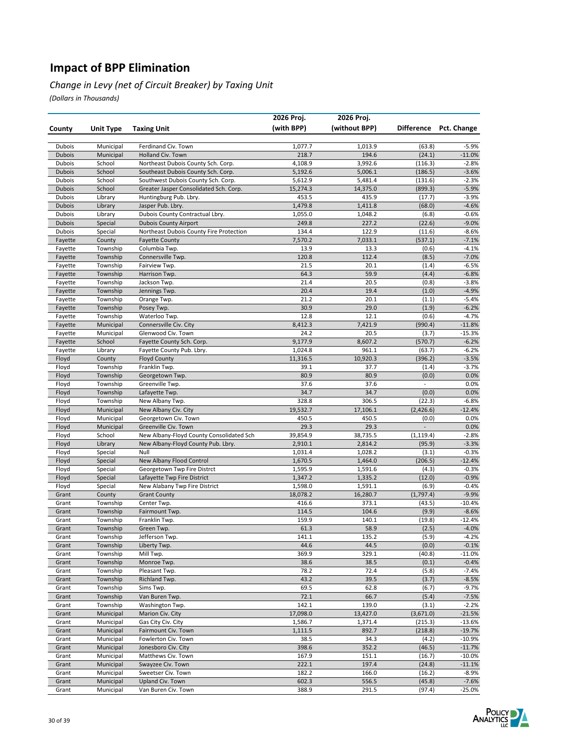#### *Change in Levy (net of Circuit Breaker) by Taxing Unit*

|                         |                      |                                                         | 2026 Proj.         | 2026 Proj.         |                          |                     |
|-------------------------|----------------------|---------------------------------------------------------|--------------------|--------------------|--------------------------|---------------------|
| County                  | <b>Unit Type</b>     | <b>Taxing Unit</b>                                      | (with BPP)         | (without BPP)      | <b>Difference</b>        | Pct. Change         |
|                         |                      |                                                         |                    |                    |                          |                     |
| Dubois                  | Municipal            | Ferdinand Civ. Town                                     | 1,077.7            | 1,013.9            | (63.8)                   | $-5.9%$             |
| <b>Dubois</b>           | Municipal            | Holland Civ. Town                                       | 218.7              | 194.6              | (24.1)                   | $-11.0%$            |
| Dubois                  | School               | Northeast Dubois County Sch. Corp.                      | 4,108.9            | 3,992.6            | (116.3)                  | $-2.8%$             |
| <b>Dubois</b>           | School               | Southeast Dubois County Sch. Corp.                      | 5,192.6            | 5,006.1            | (186.5)                  | $-3.6%$             |
| Dubois                  | School               | Southwest Dubois County Sch. Corp.                      | 5,612.9            | 5,481.4            | (131.6)                  | $-2.3%$             |
| <b>Dubois</b>           | School               | Greater Jasper Consolidated Sch. Corp.                  | 15,274.3           | 14,375.0           | (899.3)                  | $-5.9%$             |
| Dubois<br><b>Dubois</b> | Library<br>Library   | Huntingburg Pub. Lbry.<br>Jasper Pub. Lbry.             | 453.5<br>1,479.8   | 435.9<br>1,411.8   | (17.7)<br>(68.0)         | $-3.9%$<br>$-4.6%$  |
| Dubois                  | Library              | Dubois County Contractual Lbry.                         | 1,055.0            | 1,048.2            | (6.8)                    | $-0.6%$             |
| <b>Dubois</b>           | Special              | <b>Dubois County Airport</b>                            | 249.8              | 227.2              | (22.6)                   | $-9.0%$             |
| Dubois                  | Special              | Northeast Dubois County Fire Protection                 | 134.4              | 122.9              | (11.6)                   | $-8.6%$             |
| Fayette                 | County               | <b>Fayette County</b>                                   | 7,570.2            | 7,033.1            | (537.1)                  | $-7.1%$             |
| Fayette                 | Township             | Columbia Twp.                                           | 13.9               | 13.3               | (0.6)                    | $-4.1%$             |
| Fayette                 | Township             | Connersville Twp.                                       | 120.8              | 112.4              | (8.5)                    | $-7.0%$             |
| Fayette                 | Township             | Fairview Twp.                                           | 21.5               | 20.1               | (1.4)                    | $-6.5%$             |
| Fayette                 | Township             | Harrison Twp.                                           | 64.3               | 59.9               | (4.4)                    | $-6.8%$             |
| Fayette                 | Township             | Jackson Twp.                                            | 21.4               | 20.5               | (0.8)                    | $-3.8%$             |
| Fayette                 | Township             | Jennings Twp.                                           | 20.4               | 19.4               | (1.0)                    | $-4.9%$             |
| Fayette                 | Township             | Orange Twp.                                             | 21.2               | 20.1               | (1.1)                    | $-5.4%$             |
| Fayette                 | Township             | Posey Twp.                                              | 30.9               | 29.0               | (1.9)                    | $-6.2%$             |
| Fayette                 | Township             | Waterloo Twp.                                           | 12.8               | 12.1               | (0.6)                    | $-4.7%$             |
| Fayette                 | Municipal            | Connersville Civ. City                                  | 8,412.3            | 7,421.9            | (990.4)                  | $-11.8%$            |
| Fayette                 | Municipal            | Glenwood Civ. Town                                      | 24.2               | 20.5               | (3.7)                    | $-15.3%$            |
| Fayette                 | School               | Fayette County Sch. Corp.<br>Fayette County Pub. Lbry.  | 9,177.9<br>1,024.8 | 8,607.2<br>961.1   | (570.7)<br>(63.7)        | $-6.2%$<br>$-6.2%$  |
| Fayette<br>Floyd        | Library<br>County    | <b>Floyd County</b>                                     | 11,316.5           | 10,920.3           | (396.2)                  | $-3.5%$             |
| Floyd                   | Township             | Franklin Twp.                                           | 39.1               | 37.7               | (1.4)                    | $-3.7%$             |
| Floyd                   | Township             | Georgetown Twp.                                         | 80.9               | 80.9               | (0.0)                    | 0.0%                |
| Floyd                   | Township             | Greenville Twp.                                         | 37.6               | 37.6               | $\overline{\phantom{a}}$ | 0.0%                |
| Floyd                   | Township             | Lafayette Twp.                                          | 34.7               | 34.7               | (0.0)                    | 0.0%                |
| Floyd                   | Township             | New Albany Twp.                                         | 328.8              | 306.5              | (22.3)                   | $-6.8%$             |
| Floyd                   | Municipal            | New Albany Civ. City                                    | 19,532.7           | 17,106.1           | (2,426.6)                | $-12.4%$            |
| Floyd                   | Municipal            | Georgetown Civ. Town                                    | 450.5              | 450.5              | (0.0)                    | 0.0%                |
| Floyd                   | Municipal            | Greenville Civ. Town                                    | 29.3               | 29.3               |                          | 0.0%                |
| Floyd                   | School               | New Albany-Floyd County Consolidated Sch                | 39,854.9           | 38,735.5           | (1, 119.4)               | $-2.8%$             |
| Floyd                   | Library              | New Albany-Floyd County Pub. Lbry.                      | 2,910.1            | 2,814.2            | (95.9)                   | $-3.3%$             |
| Floyd                   | Special              | Null                                                    | 1,031.4            | 1,028.2            | (3.1)                    | $-0.3%$             |
| Floyd<br>Floyd          | Special<br>Special   | New Albany Flood Control<br>Georgetown Twp Fire Distrct | 1,670.5<br>1,595.9 | 1,464.0<br>1,591.6 | (206.5)<br>(4.3)         | $-12.4%$<br>$-0.3%$ |
| Floyd                   | Special              | Lafayette Twp Fire District                             | 1,347.2            | 1,335.2            | (12.0)                   | $-0.9%$             |
| Floyd                   | Special              | New Alabany Twp Fire District                           | 1,598.0            | 1,591.1            | (6.9)                    | $-0.4%$             |
| Grant                   | County               | <b>Grant County</b>                                     | 18,078.2           | 16,280.7           | (1,797.4)                | $-9.9%$             |
| Grant                   | Township             | Center Twp.                                             | 416.6              | 373.1              | (43.5)                   | $-10.4%$            |
| Grant                   | Township             | Fairmount Twp.                                          | 114.5              | 104.6              | (9.9)                    | $-8.6%$             |
| Grant                   | Township             | Franklin Twp.                                           | 159.9              | 140.1              | (19.8)                   | $-12.4%$            |
| Grant                   | Township             | Green Twp.                                              | 61.3               | 58.9               | (2.5)                    | $-4.0%$             |
| Grant                   | Township             | Jefferson Twp.                                          | 141.1              | 135.2              | (5.9)                    | -4.2%               |
| Grant                   | Township             | Liberty Twp.                                            | 44.6               | 44.5               | (0.0)                    | $-0.1%$             |
| Grant                   | Township             | Mill Twp.                                               | 369.9              | 329.1              | (40.8)                   | $-11.0\%$           |
| Grant                   | Township             | Monroe Twp.                                             | 38.6               | 38.5               | (0.1)                    | $-0.4%$             |
| Grant                   | Township             | Pleasant Twp.                                           | 78.2               | 72.4               | (5.8)                    | $-7.4%$             |
| Grant                   | Township             | Richland Twp.                                           | 43.2               | 39.5               | (3.7)                    | $-8.5%$             |
| Grant<br>Grant          | Township<br>Township | Sims Twp.<br>Van Buren Twp.                             | 69.5<br>72.1       | 62.8<br>66.7       | (6.7)                    | $-9.7%$<br>$-7.5%$  |
| Grant                   | Township             | Washington Twp.                                         | 142.1              | 139.0              | (5.4)<br>(3.1)           | $-2.2%$             |
| Grant                   | Municipal            | Marion Civ. City                                        | 17,098.0           | 13,427.0           | (3,671.0)                | $-21.5%$            |
| Grant                   | Municipal            | Gas City Civ. City                                      | 1,586.7            | 1,371.4            | (215.3)                  | $-13.6%$            |
| Grant                   | Municipal            | Fairmount Civ. Town                                     | 1,111.5            | 892.7              | (218.8)                  | $-19.7%$            |
| Grant                   | Municipal            | Fowlerton Civ. Town                                     | 38.5               | 34.3               | (4.2)                    | $-10.9%$            |
| Grant                   | Municipal            | Jonesboro Civ. City                                     | 398.6              | 352.2              | (46.5)                   | $-11.7%$            |
| Grant                   | Municipal            | Matthews Civ. Town                                      | 167.9              | 151.1              | (16.7)                   | $-10.0%$            |
| Grant                   | Municipal            | Swayzee Civ. Town                                       | 222.1              | 197.4              | (24.8)                   | $-11.1%$            |
| Grant                   | Municipal            | Sweetser Civ. Town                                      | 182.2              | 166.0              | (16.2)                   | $-8.9%$             |
| Grant                   | Municipal            | Upland Civ. Town                                        | 602.3              | 556.5              | (45.8)                   | $-7.6%$             |
| Grant                   | Municipal            | Van Buren Civ. Town                                     | 388.9              | 291.5              | (97.4)                   | -25.0%              |

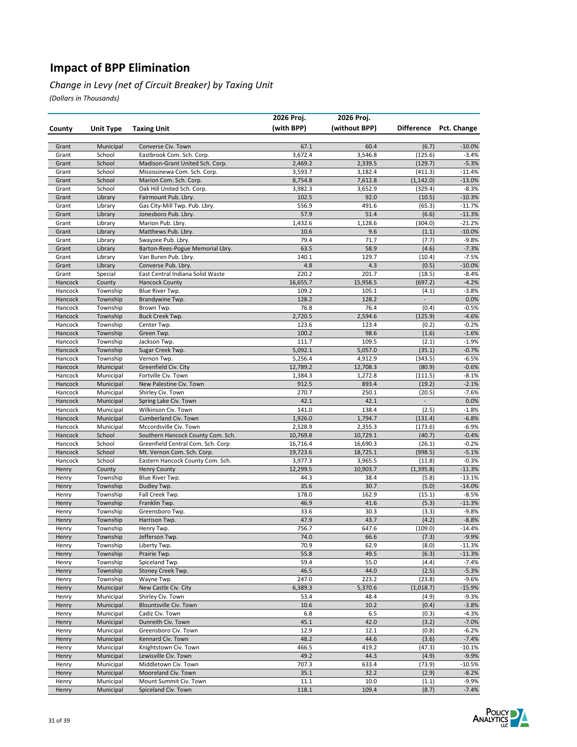#### *Change in Levy (net of Circuit Breaker) by Taxing Unit*

|                    |                        |                                                         | 2026 Proj.      | 2026 Proj.      |                  |                        |
|--------------------|------------------------|---------------------------------------------------------|-----------------|-----------------|------------------|------------------------|
| County             | Unit Type              | <b>Taxing Unit</b>                                      | (with BPP)      | (without BPP)   |                  | Difference Pct. Change |
|                    |                        |                                                         |                 |                 |                  |                        |
| Grant<br>Grant     | Municipal<br>School    | Converse Civ. Town<br>Eastbrook Com. Sch. Corp.         | 67.1<br>3,672.4 | 60.4<br>3,546.8 | (6.7)<br>(125.6) | $-10.0%$<br>$-3.4%$    |
| Grant              | School                 | Madison-Grant United Sch. Corp.                         | 2,469.2         | 2,339.5         | (129.7)          | $-5.3%$                |
| Grant              | School                 | Mississinewa Com. Sch. Corp.                            | 3,593.7         | 3,182.4         | (411.3)          | $-11.4%$               |
| Grant              | School                 | Marion Com. Sch. Corp.                                  | 8,754.8         | 7,612.8         | (1, 142.0)       | $-13.0%$               |
| Grant              | School                 | Oak Hill United Sch. Corp.                              | 3,982.3         | 3,652.9         | (329.4)          | $-8.3%$                |
| Grant              | Library                | Fairmount Pub. Lbry.                                    | 102.5           | 92.0            | (10.5)           | $-10.3%$               |
| Grant              | Library                | Gas City-Mill Twp. Pub. Lbry.                           | 556.9           | 491.6           | (65.3)           | $-11.7%$               |
| Grant              | Library                | Jonesboro Pub. Lbry.                                    | 57.9            | 51.4            | (6.6)            | $-11.3%$               |
| Grant              | Library                | Marion Pub. Lbry.                                       | 1,432.6         | 1,128.6         | (304.0)          | $-21.2%$               |
| Grant              | Library                | Matthews Pub. Lbry.                                     | 10.6            | 9.6             | (1.1)            | $-10.0\%$              |
| Grant              | Library                | Swayzee Pub. Lbry.                                      | 79.4            | 71.7            | (7.7)            | $-9.8%$                |
| Grant              | Library                | Barton-Rees-Pogue Memorial Lbry.                        | 63.5            | 58.9            | (4.6)            | $-7.3%$                |
| Grant              | Library                | Van Buren Pub. Lbry.                                    | 140.1           | 129.7<br>4.3    | (10.4)           | $-7.5%$                |
| Grant<br>Grant     | Library<br>Special     | Converse Pub. Lbry.<br>East Central Indiana Solid Waste | 4.8<br>220.2    | 201.7           | (0.5)<br>(18.5)  | $-10.0\%$<br>$-8.4%$   |
| Hancock            | County                 | <b>Hancock County</b>                                   | 16,655.7        | 15,958.5        | (697.2)          | $-4.2%$                |
| Hancock            | Township               | Blue River Twp.                                         | 109.2           | 105.1           | (4.1)            | $-3.8%$                |
| Hancock            | Township               | Brandywine Twp.                                         | 128.2           | 128.2           |                  | 0.0%                   |
| Hancock            | Township               | Brown Twp.                                              | 76.8            | 76.4            | (0.4)            | $-0.5%$                |
| Hancock            | Township               | Buck Creek Twp.                                         | 2,720.5         | 2,594.6         | (125.9)          | $-4.6%$                |
| Hancock            | Township               | Center Twp.                                             | 123.6           | 123.4           | (0.2)            | $-0.2%$                |
| Hancock            | Township               | Green Twp.                                              | 100.2           | 98.6            | (1.6)            | $-1.6%$                |
| Hancock            | Township               | Jackson Twp.                                            | 111.7           | 109.5           | (2.1)            | $-1.9%$                |
| Hancock            | Township               | Sugar Creek Twp.                                        | 5,092.1         | 5,057.0         | (35.1)           | $-0.7%$                |
| Hancock            | Township               | Vernon Twp.                                             | 5,256.4         | 4,912.9         | (343.5)          | $-6.5%$                |
| Hancock            | Municipal              | Greenfield Civ. City                                    | 12,789.2        | 12,708.3        | (80.9)           | $-0.6%$                |
| Hancock            | Municipal              | Fortville Civ. Town                                     | 1,384.3         | 1,272.8         | (111.5)          | $-8.1%$                |
| Hancock<br>Hancock | Municipal<br>Municipal | New Palestine Civ. Town<br>Shirley Civ. Town            | 912.5<br>270.7  | 893.4<br>250.1  | (19.2)<br>(20.5) | $-2.1%$<br>$-7.6%$     |
| Hancock            | Municipal              | Spring Lake Civ. Town                                   | 42.1            | 42.1            |                  | 0.0%                   |
| Hancock            | Municipal              | Wilkinson Civ. Town                                     | 141.0           | 138.4           | (2.5)            | $-1.8%$                |
| Hancock            | Municipal              | Cumberland Civ. Town                                    | 1,926.0         | 1,794.7         | (131.4)          | $-6.8%$                |
| Hancock            | Municipal              | Mccordsville Civ. Town                                  | 2,528.9         | 2,355.3         | (173.6)          | $-6.9%$                |
| Hancock            | School                 | Southern Hancock County Com. Sch.                       | 10,769.8        | 10,729.1        | (40.7)           | $-0.4%$                |
| Hancock            | School                 | Greenfield Central Com. Sch. Corp                       | 16,716.4        | 16,690.3        | (26.1)           | $-0.2%$                |
| Hancock            | School                 | Mt. Vernon Com. Sch. Corp.                              | 19,723.6        | 18,725.1        | (998.5)          | $-5.1%$                |
| Hancock            | School                 | Eastern Hancock County Com. Sch.                        | 3,977.3         | 3,965.5         | (11.8)           | $-0.3%$                |
| Henry              | County                 | <b>Henry County</b>                                     | 12,299.5        | 10,903.7        | (1, 395.8)       | $-11.3%$               |
| Henry              | Township               | Blue River Twp.                                         | 44.3            | 38.4            | (5.8)            | $-13.1%$               |
| Henry              | Township               | Dudley Twp.                                             | 35.6            | 30.7            | (5.0)            | $-14.0%$               |
| Henry              | Township               | Fall Creek Twp.                                         | 178.0           | 162.9           | (15.1)           | $-8.5%$                |
| Henry              | Township               | Franklin Twp.                                           | 46.9<br>33.6    | 41.6<br>30.3    | (5.3)            | $-11.3%$<br>$-9.8%$    |
| Henry<br>Henry     | Township<br>Township   | Greensboro Twp.<br>Harrison Twp.                        | 47.9            | 43.7            | (3.3)<br>(4.2)   | $-8.8%$                |
| Henry              | Township               | Henry Twp.                                              | 756.7           | 647.6           | (109.0)          | $-14.4%$               |
| Henry              | Township               | Jefferson Twp.                                          | 74.0            | 66.6            | (7.3)            | -9.9%                  |
| Henry              | Township               | Liberty Twp.                                            | 70.9            | 62.9            | (8.0)            | $-11.3%$               |
| Henry              | Township               | Prairie Twp.                                            | 55.8            | 49.5            | (6.3)            | $-11.3%$               |
| Henry              | Township               | Spiceland Twp.                                          | 59.4            | 55.0            | (4.4)            | $-7.4%$                |
| Henry              | Township               | Stoney Creek Twp.                                       | 46.5            | 44.0            | (2.5)            | $-5.3%$                |
| Henry              | Township               | Wayne Twp.                                              | 247.0           | 223.2           | (23.8)           | $-9.6%$                |
| Henry              | Municipal              | New Castle Civ. City                                    | 6,389.3         | 5,370.6         | (1,018.7)        | $-15.9%$               |
| Henry              | Municipal              | Shirley Civ. Town                                       | 53.4            | 48.4            | (4.9)            | $-9.3%$                |
| Henry              | Municipal              | <b>Blountsville Civ. Town</b>                           | 10.6            | 10.2            | (0.4)            | $-3.8%$                |
| Henry              | Municipal              | Cadiz Civ. Town                                         | 6.8             | 6.5             | (0.3)            | $-4.3%$                |
| Henry              | Municipal              | Dunreith Civ. Town                                      | 45.1            | 42.0            | (3.2)            | $-7.0%$                |
| Henry              | Municipal              | Greensboro Civ. Town                                    | 12.9            | 12.1            | (0.8)            | $-6.2%$                |
| Henry<br>Henry     | Municipal<br>Municipal | Kennard Civ. Town<br>Knightstown Civ. Town              | 48.2<br>466.5   | 44.6<br>419.2   | (3.6)<br>(47.3)  | $-7.4%$<br>$-10.1%$    |
| Henry              | Municipal              | Lewisville Civ. Town                                    | 49.2            | 44.3            | (4.9)            | $-9.9%$                |
| Henry              | Municipal              | Middletown Civ. Town                                    | 707.3           | 633.4           | (73.9)           | $-10.5%$               |
| Henry              | Municipal              | Mooreland Civ. Town                                     | 35.1            | 32.2            | (2.9)            | $-8.2%$                |
| Henry              | Municipal              | Mount Summit Civ. Town                                  | 11.1            | 10.0            | (1.1)            | $-9.9%$                |
| Henry              | Municipal              | Spiceland Civ. Town                                     | 118.1           | 109.4           | (8.7)            | $-7.4%$                |

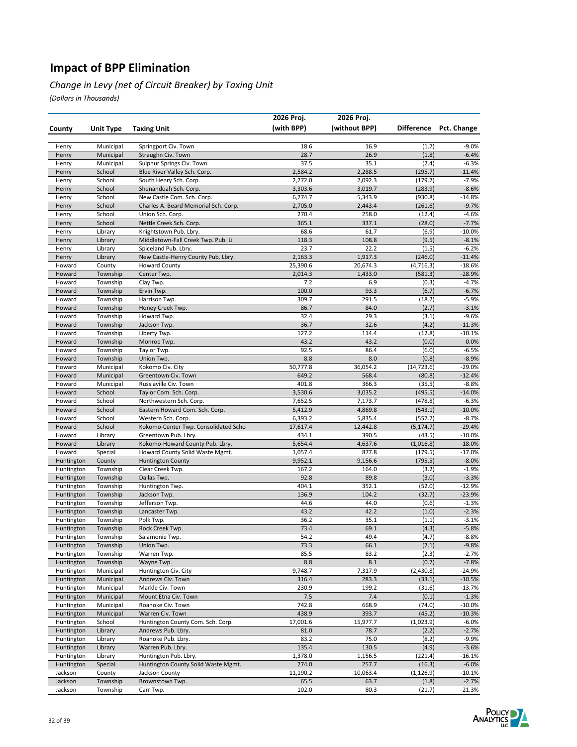#### *Change in Levy (net of Circuit Breaker) by Taxing Unit*

|                          |                        |                                                            | 2026 Proj.          | 2026 Proj.          |                       |                        |
|--------------------------|------------------------|------------------------------------------------------------|---------------------|---------------------|-----------------------|------------------------|
| County                   | <b>Unit Type</b>       | <b>Taxing Unit</b>                                         | (with BPP)          | (without BPP)       |                       | Difference Pct. Change |
|                          |                        |                                                            |                     |                     |                       |                        |
| Henry                    | Municipal              | Springport Civ. Town                                       | 18.6                | 16.9                | (1.7)                 | $-9.0%$                |
| Henry                    | Municipal              | Straughn Civ. Town                                         | 28.7                | 26.9                | (1.8)                 | $-6.4%$                |
| Henry                    | Municipal              | Sulphur Springs Civ. Town                                  | 37.5                | 35.1                | (2.4)                 | $-6.3%$                |
| Henry                    | School                 | Blue River Valley Sch. Corp.                               | 2,584.2             | 2,288.5             | (295.7)               | $-11.4%$               |
| Henry                    | School                 | South Henry Sch. Corp.                                     | 2,272.0             | 2,092.3             | (179.7)               | $-7.9%$                |
| Henry                    | School                 | Shenandoah Sch. Corp.                                      | 3,303.6             | 3,019.7             | (283.9)               | $-8.6%$                |
| Henry                    | School                 | New Castle Com. Sch. Corp.                                 | 6,274.7             | 5,343.9             | (930.8)               | $-14.8%$               |
| Henry                    | School                 | Charles A. Beard Memorial Sch. Corp.                       | 2,705.0             | 2,443.4             | (261.6)               | $-9.7%$                |
| Henry                    | School                 | Union Sch. Corp.                                           | 270.4               | 258.0               | (12.4)                | $-4.6%$                |
| Henry                    | School                 | Nettle Creek Sch. Corp.                                    | 365.1               | 337.1               | (28.0)                | $-7.7%$                |
| Henry                    | Library                | Knightstown Pub. Lbry.                                     | 68.6<br>118.3       | 61.7<br>108.8       | (6.9)                 | $-10.0\%$<br>$-8.1%$   |
| Henry<br>Henry           | Library<br>Library     | Middletown-Fall Creek Twp. Pub. Li<br>Spiceland Pub. Lbry. | 23.7                | 22.2                | (9.5)<br>(1.5)        | $-6.2%$                |
| Henry                    | Library                | New Castle-Henry County Pub. Lbry.                         | 2,163.3             | 1,917.3             | (246.0)               | $-11.4%$               |
| Howard                   | County                 | <b>Howard County</b>                                       | 25,390.6            | 20,674.3            | (4, 716.3)            | $-18.6%$               |
| Howard                   | Township               | Center Twp.                                                | 2,014.3             | 1,433.0             | (581.3)               | $-28.9%$               |
| Howard                   | Township               | Clay Twp.                                                  | 7.2                 | 6.9                 | (0.3)                 | $-4.7%$                |
| Howard                   | Township               | Ervin Twp.                                                 | 100.0               | 93.3                | (6.7)                 | $-6.7%$                |
| Howard                   | Township               | Harrison Twp.                                              | 309.7               | 291.5               | (18.2)                | $-5.9%$                |
| Howard                   | Township               | Honey Creek Twp.                                           | 86.7                | 84.0                | (2.7)                 | $-3.1%$                |
| Howard                   | Township               | Howard Twp.                                                | 32.4                | 29.3                | (3.1)                 | $-9.6%$                |
| Howard                   | Township               | Jackson Twp.                                               | 36.7                | 32.6                | (4.2)                 | $-11.3%$               |
| Howard                   | Township               | Liberty Twp.                                               | 127.2               | 114.4               | (12.8)                | $-10.1%$               |
| Howard                   | Township               | Monroe Twp.                                                | 43.2                | 43.2                | (0.0)                 | 0.0%                   |
| Howard                   | Township               | Taylor Twp.                                                | 92.5                | 86.4                | (6.0)                 | $-6.5%$                |
| Howard                   | Township               | Union Twp.                                                 | 8.8                 | 8.0                 | (0.8)                 | $-8.9%$                |
| Howard                   | Municipal              | Kokomo Civ. City                                           | 50,777.8            | 36,054.2            | (14, 723.6)           | $-29.0%$               |
| Howard                   | Municipal              | Greentown Civ. Town                                        | 649.2               | 568.4               | (80.8)                | $-12.4%$               |
| Howard                   | Municipal              | Russiaville Civ. Town                                      | 401.8               | 366.3               | (35.5)                | $-8.8%$                |
| Howard                   | School                 | Taylor Com. Sch. Corp.                                     | 3,530.6             | 3,035.2             | (495.5)               | $-14.0%$               |
| Howard                   | School                 | Northwestern Sch. Corp.                                    | 7,652.5             | 7,173.7             | (478.8)               | $-6.3%$                |
| Howard                   | School                 | Eastern Howard Com. Sch. Corp.                             | 5,412.9             | 4,869.8             | (543.1)               | $-10.0%$               |
| Howard<br>Howard         | School<br>School       | Western Sch. Corp.<br>Kokomo-Center Twp. Consolidated Scho | 6,393.2<br>17,617.4 | 5,835.4<br>12,442.8 | (557.7)<br>(5, 174.7) | $-8.7%$<br>$-29.4%$    |
| Howard                   | Library                | Greentown Pub. Lbry.                                       | 434.1               | 390.5               | (43.5)                | $-10.0%$               |
| Howard                   | Library                | Kokomo-Howard County Pub. Lbry.                            | 5,654.4             | 4,637.6             | (1,016.8)             | $-18.0%$               |
| Howard                   | Special                | Howard County Solid Waste Mgmt.                            | 1,057.4             | 877.8               | (179.5)               | $-17.0%$               |
| Huntington               | County                 | <b>Huntington County</b>                                   | 9,952.1             | 9,156.6             | (795.5)               | $-8.0%$                |
| Huntington               | Township               | Clear Creek Twp.                                           | 167.2               | 164.0               | (3.2)                 | $-1.9%$                |
| Huntington               | Township               | Dallas Twp.                                                | 92.8                | 89.8                | (3.0)                 | $-3.3%$                |
| Huntington               | Township               | Huntington Twp.                                            | 404.1               | 352.1               | (52.0)                | -12.9%                 |
| Huntington               | Township               | Jackson Twp.                                               | 136.9               | 104.2               | (32.7)                | $-23.9%$               |
| Huntington               | Township               | Jefferson Twp.                                             | 44.6                | 44.0                | (0.6)                 | $-1.3%$                |
| Huntington               | Township               | Lancaster Twp.                                             | 43.2                | 42.2                | (1.0)                 | $-2.3%$                |
| Huntington               | Township               | Polk Twp.                                                  | 36.2                | 35.1                | (1.1)                 | $-3.1%$                |
| Huntington               | Township               | Rock Creek Twp.                                            | 73.4                | 69.1                | (4.3)                 | $-5.8%$                |
| Huntington               | Township               | Salamonie Twp.                                             | 54.2                | 49.4                | (4.7)                 | -8.8%                  |
| Huntington               | Township               | Union Twp.                                                 | 73.3                | 66.1                | (7.1)                 | $-9.8%$                |
| Huntington               | Township               | Warren Twp.                                                | 85.5                | 83.2                | (2.3)                 | $-2.7%$                |
| Huntington               | Township               | Wayne Twp.                                                 | 8.8                 | 8.1                 | (0.7)                 | $-7.8%$                |
| Huntington<br>Huntington | Municipal<br>Municipal | Huntington Civ. City<br>Andrews Civ. Town                  | 9,748.7<br>316.4    | 7,317.9<br>283.3    | (2,430.8)             | -24.9%                 |
| Huntington               | Municipal              | Markle Civ. Town                                           | 230.9               | 199.2               | (33.1)<br>(31.6)      | $-10.5%$<br>$-13.7%$   |
| Huntington               | Municipal              | Mount Etna Civ. Town                                       | 7.5                 | 7.4                 | (0.1)                 | $-1.3%$                |
| Huntington               | Municipal              | Roanoke Civ. Town                                          | 742.8               | 668.9               | (74.0)                | $-10.0%$               |
| Huntington               | Municipal              | Warren Civ. Town                                           | 438.9               | 393.7               | (45.2)                | $-10.3%$               |
| Huntington               | School                 | Huntington County Com. Sch. Corp.                          | 17,001.6            | 15,977.7            | (1,023.9)             | $-6.0%$                |
| Huntington               | Library                | Andrews Pub. Lbry.                                         | 81.0                | 78.7                | (2.2)                 | $-2.7%$                |
| Huntington               | Library                | Roanoke Pub. Lbry.                                         | 83.2                | 75.0                | (8.2)                 | -9.9%                  |
| Huntington               | Library                | Warren Pub. Lbry.                                          | 135.4               | 130.5               | (4.9)                 | $-3.6%$                |
| Huntington               | Library                | Huntington Pub. Lbry.                                      | 1,378.0             | 1,156.5             | (221.4)               | $-16.1%$               |
| Huntington               | Special                | Huntington County Solid Waste Mgmt.                        | 274.0               | 257.7               | (16.3)                | $-6.0%$                |
| Jackson                  | County                 | Jackson County                                             | 11,190.2            | 10,063.4            | (1, 126.9)            | $-10.1%$               |
| Jackson                  | Township               | Brownstown Twp.                                            | 65.5                | 63.7                | (1.8)                 | $-2.7%$                |
| Jackson                  | Township               | Carr Twp.                                                  | 102.0               | 80.3                | (21.7)                | $-21.3%$               |

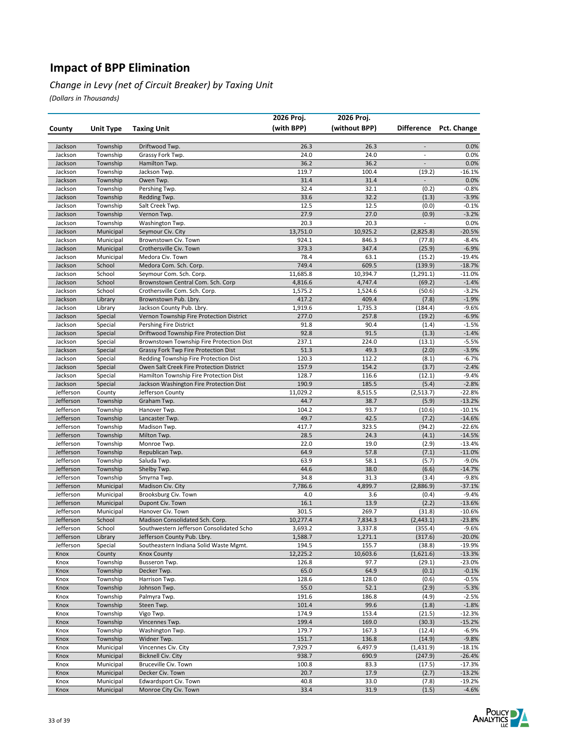#### *Change in Levy (net of Circuit Breaker) by Taxing Unit*

|                        |                        |                                                                                    | 2026 Proj.     | 2026 Proj.     |                          |                      |
|------------------------|------------------------|------------------------------------------------------------------------------------|----------------|----------------|--------------------------|----------------------|
| County                 | <b>Unit Type</b>       | <b>Taxing Unit</b>                                                                 | (with BPP)     | (without BPP)  | Difference               | Pct. Change          |
|                        |                        |                                                                                    |                |                |                          |                      |
| Jackson                | Township               | Driftwood Twp.                                                                     | 26.3           | 26.3           |                          | 0.0%                 |
| Jackson                | Township               | Grassy Fork Twp.                                                                   | 24.0           | 24.0           | $\overline{\phantom{a}}$ | 0.0%                 |
| Jackson                | Township               | Hamilton Twp.                                                                      | 36.2           | 36.2           | $\overline{a}$           | 0.0%                 |
| Jackson                | Township               | Jackson Twp.                                                                       | 119.7          | 100.4          | (19.2)                   | $-16.1%$             |
| Jackson                | Township               | Owen Twp.                                                                          | 31.4           | 31.4           | $\overline{\phantom{0}}$ | 0.0%                 |
| Jackson                | Township               | Pershing Twp.                                                                      | 32.4           | 32.1           | (0.2)                    | $-0.8%$              |
| Jackson                | Township               | Redding Twp.                                                                       | 33.6           | 32.2           | (1.3)                    | $-3.9%$              |
| Jackson<br>Jackson     | Township<br>Township   | Salt Creek Twp.<br>Vernon Twp.                                                     | 12.5<br>27.9   | 12.5<br>27.0   | (0.0)<br>(0.9)           | $-0.1%$<br>$-3.2%$   |
| Jackson                | Township               | Washington Twp.                                                                    | 20.3           | 20.3           |                          | 0.0%                 |
| Jackson                | Municipal              | Seymour Civ. City                                                                  | 13,751.0       | 10,925.2       | (2,825.8)                | $-20.5%$             |
| Jackson                | Municipal              | Brownstown Civ. Town                                                               | 924.1          | 846.3          | (77.8)                   | $-8.4%$              |
| Jackson                | Municipal              | Crothersville Civ. Town                                                            | 373.3          | 347.4          | (25.9)                   | $-6.9%$              |
| Jackson                | Municipal              | Medora Civ. Town                                                                   | 78.4           | 63.1           | (15.2)                   | $-19.4%$             |
| Jackson                | School                 | Medora Com. Sch. Corp.                                                             | 749.4          | 609.5          | (139.9)                  | $-18.7%$             |
| Jackson                | School                 | Seymour Com. Sch. Corp.                                                            | 11,685.8       | 10,394.7       | (1, 291.1)               | $-11.0%$             |
| Jackson                | School                 | Brownstown Central Com. Sch. Corp                                                  | 4,816.6        | 4,747.4        | (69.2)                   | $-1.4%$              |
| Jackson                | School                 | Crothersville Com. Sch. Corp.                                                      | 1,575.2        | 1,524.6        | (50.6)                   | $-3.2%$              |
| Jackson                | Library                | Brownstown Pub. Lbry.                                                              | 417.2          | 409.4          | (7.8)                    | $-1.9%$              |
| Jackson                | Library                | Jackson County Pub. Lbry.                                                          | 1,919.6        | 1,735.3        | (184.4)                  | $-9.6%$              |
| Jackson                | Special                | Vernon Township Fire Protection District                                           | 277.0          | 257.8          | (19.2)                   | $-6.9%$              |
| Jackson                | Special                | Pershing Fire District                                                             | 91.8           | 90.4           | (1.4)                    | $-1.5%$              |
| Jackson                | Special                | Driftwood Township Fire Protection Dist                                            | 92.8           | 91.5           | (1.3)                    | $-1.4%$              |
| Jackson                | Special                | Brownstown Township Fire Protection Dist                                           | 237.1          | 224.0          | (13.1)                   | $-5.5%$              |
| Jackson                | Special                | <b>Grassy Fork Twp Fire Protection Dist</b>                                        | 51.3           | 49.3           | (2.0)                    | $-3.9%$              |
| Jackson                | Special<br>Special     | Redding Township Fire Protection Dist                                              | 120.3          | 112.2          | (8.1)                    | $-6.7%$              |
| Jackson<br>Jackson     | Special                | Owen Salt Creek Fire Protection District<br>Hamilton Township Fire Protection Dist | 157.9<br>128.7 | 154.2<br>116.6 | (3.7)<br>(12.1)          | $-2.4%$<br>$-9.4%$   |
| Jackson                | Special                | Jackson Washington Fire Protection Dist                                            | 190.9          | 185.5          | (5.4)                    | $-2.8%$              |
| Jefferson              | County                 | Jefferson County                                                                   | 11,029.2       | 8,515.5        | (2, 513.7)               | $-22.8%$             |
| Jefferson              | Township               | Graham Twp.                                                                        | 44.7           | 38.7           | (5.9)                    | $-13.2%$             |
| Jefferson              | Township               | Hanover Twp.                                                                       | 104.2          | 93.7           | (10.6)                   | $-10.1%$             |
| Jefferson              | Township               | Lancaster Twp.                                                                     | 49.7           | 42.5           | (7.2)                    | $-14.6%$             |
| Jefferson              | Township               | Madison Twp.                                                                       | 417.7          | 323.5          | (94.2)                   | $-22.6%$             |
| Jefferson              | Township               | Milton Twp.                                                                        | 28.5           | 24.3           | (4.1)                    | $-14.5%$             |
| Jefferson              | Township               | Monroe Twp.                                                                        | 22.0           | 19.0           | (2.9)                    | $-13.4%$             |
| Jefferson              | Township               | Republican Twp.                                                                    | 64.9           | 57.8           | (7.1)                    | $-11.0%$             |
| Jefferson              | Township               | Saluda Twp.                                                                        | 63.9           | 58.1           | (5.7)                    | $-9.0%$              |
| Jefferson              | Township               | Shelby Twp.                                                                        | 44.6           | 38.0           | (6.6)                    | $-14.7%$             |
| Jefferson              | Township               | Smyrna Twp.                                                                        | 34.8           | 31.3           | (3.4)                    | $-9.8%$              |
| Jefferson              | Municipal              | Madison Civ. City                                                                  | 7,786.6        | 4,899.7        | (2,886.9)                | $-37.1%$             |
| Jefferson              | Municipal              | Brooksburg Civ. Town                                                               | 4.0            | 3.6            | (0.4)                    | $-9.4%$              |
| Jefferson<br>Jefferson | Municipal              | Dupont Civ. Town<br>Hanover Civ. Town                                              | 16.1<br>301.5  | 13.9<br>269.7  | (2.2)                    | $-13.6%$<br>$-10.6%$ |
| Jefferson              | Municipal<br>School    | Madison Consolidated Sch. Corp.                                                    | 10,277.4       | 7,834.3        | (31.8)<br>(2, 443.1)     | $-23.8%$             |
| Jefferson              | School                 | Southwestern Jefferson Consolidated Scho                                           | 3,693.2        | 3,337.8        | (355.4)                  | $-9.6%$              |
| Jefferson              | Library                | Jefferson County Pub. Lbry.                                                        | 1,588.7        | 1,271.1        | (317.6)                  | $-20.0%$             |
| Jefferson              | Special                | Southeastern Indiana Solid Waste Mgmt.                                             | 194.5          | 155.7          | (38.8)                   | $-19.9%$             |
| Knox                   | County                 | <b>Knox County</b>                                                                 | 12,225.2       | 10,603.6       | (1,621.6)                | $-13.3%$             |
| Knox                   | Township               | Busseron Twp.                                                                      | 126.8          | 97.7           | (29.1)                   | $-23.0%$             |
| Knox                   | Township               | Decker Twp.                                                                        | 65.0           | 64.9           | (0.1)                    | $-0.1%$              |
| Knox                   | Township               | Harrison Twp.                                                                      | 128.6          | 128.0          | (0.6)                    | $-0.5%$              |
| Knox                   | Township               | Johnson Twp.                                                                       | 55.0           | 52.1           | (2.9)                    | $-5.3%$              |
| Knox                   | Township               | Palmyra Twp.                                                                       | 191.6          | 186.8          | (4.9)                    | $-2.5%$              |
| Knox                   | Township               | Steen Twp.                                                                         | 101.4          | 99.6           | (1.8)                    | $-1.8%$              |
| Knox                   | Township               | Vigo Twp.                                                                          | 174.9          | 153.4          | (21.5)                   | $-12.3%$             |
| Knox                   | Township               | Vincennes Twp.                                                                     | 199.4          | 169.0          | (30.3)                   | $-15.2%$             |
| Knox                   | Township               | Washington Twp.                                                                    | 179.7          | 167.3          | (12.4)                   | $-6.9%$              |
| Knox                   | Township               | Widner Twp.                                                                        | 151.7          | 136.8          | (14.9)                   | $-9.8%$              |
| Knox                   | Municipal              | Vincennes Civ. City                                                                | 7,929.7        | 6,497.9        | (1,431.9)                | $-18.1%$             |
| Knox<br>Knox           | Municipal<br>Municipal | <b>Bicknell Civ. City</b><br>Bruceville Civ. Town                                  | 938.7<br>100.8 | 690.9<br>83.3  | (247.9)<br>(17.5)        | $-26.4%$<br>$-17.3%$ |
| Knox                   | Municipal              | Decker Civ. Town                                                                   | 20.7           | 17.9           | (2.7)                    | $-13.2%$             |
| Knox                   | Municipal              | Edwardsport Civ. Town                                                              | 40.8           | 33.0           | (7.8)                    | $-19.2%$             |
| Knox                   | Municipal              | Monroe City Civ. Town                                                              | 33.4           | 31.9           | (1.5)                    | $-4.6%$              |

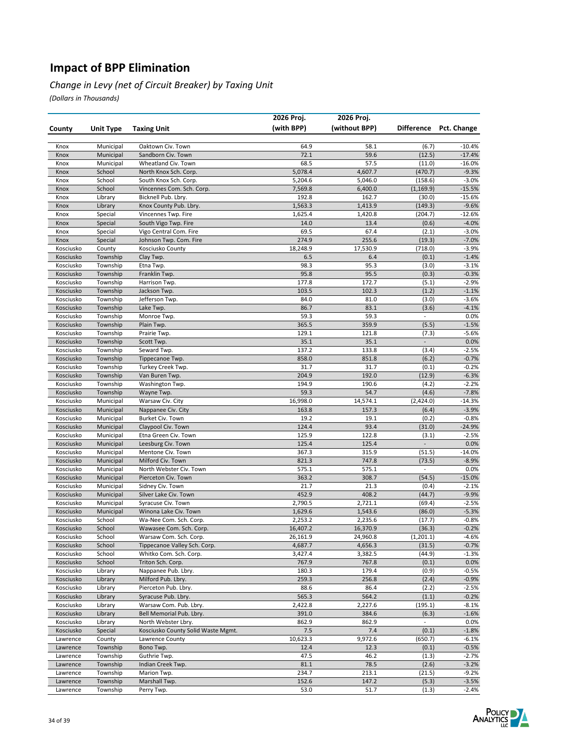#### *Change in Levy (net of Circuit Breaker) by Taxing Unit*

|                        |                        |                                             | 2026 Proj.       | 2026 Proj.       |                          |                     |
|------------------------|------------------------|---------------------------------------------|------------------|------------------|--------------------------|---------------------|
| County                 | <b>Unit Type</b>       | <b>Taxing Unit</b>                          | (with BPP)       | (without BPP)    | <b>Difference</b>        | Pct. Change         |
|                        |                        |                                             |                  |                  |                          |                     |
| Knox                   | Municipal              | Oaktown Civ. Town                           | 64.9             | 58.1             | (6.7)                    | $-10.4%$            |
| Knox                   | Municipal              | Sandborn Civ. Town                          | 72.1             | 59.6             | (12.5)                   | $-17.4%$            |
| Knox                   | Municipal              | Wheatland Civ. Town                         | 68.5             | 57.5             | (11.0)                   | $-16.0%$            |
| Knox                   | School                 | North Knox Sch. Corp.                       | 5,078.4          | 4,607.7          | (470.7)                  | $-9.3%$             |
| Knox                   | School                 | South Knox Sch. Corp.                       | 5,204.6          | 5,046.0          | (158.6)                  | $-3.0%$             |
| Knox                   | School                 | Vincennes Com. Sch. Corp.                   | 7,569.8          | 6,400.0          | (1, 169.9)               | $-15.5%$            |
| Knox                   | Library                | Bicknell Pub. Lbry.                         | 192.8            | 162.7            | (30.0)                   | $-15.6%$            |
| Knox                   | Library                | Knox County Pub. Lbry.                      | 1,563.3          | 1,413.9          | (149.3)<br>(204.7)       | $-9.6%$             |
| Knox<br>Knox           | Special                | Vincennes Twp. Fire<br>South Vigo Twp. Fire | 1,625.4<br>14.0  | 1,420.8<br>13.4  |                          | $-12.6%$<br>$-4.0%$ |
| Knox                   | Special<br>Special     | Vigo Central Com. Fire                      | 69.5             | 67.4             | (0.6)<br>(2.1)           | $-3.0%$             |
| Knox                   | Special                | Johnson Twp. Com. Fire                      | 274.9            | 255.6            | (19.3)                   | $-7.0%$             |
| Kosciusko              | County                 | Kosciusko County                            | 18,248.9         | 17,530.9         | (718.0)                  | $-3.9%$             |
| Kosciusko              | Township               | Clay Twp.                                   | 6.5              | 6.4              | (0.1)                    | $-1.4%$             |
| Kosciusko              | Township               | Etna Twp.                                   | 98.3             | 95.3             | (3.0)                    | $-3.1%$             |
| Kosciusko              | Township               | Franklin Twp.                               | 95.8             | 95.5             | (0.3)                    | $-0.3%$             |
| Kosciusko              | Township               | Harrison Twp.                               | 177.8            | 172.7            | (5.1)                    | $-2.9%$             |
| Kosciusko              | Township               | Jackson Twp.                                | 103.5            | 102.3            | (1.2)                    | $-1.1%$             |
| Kosciusko              | Township               | Jefferson Twp.                              | 84.0             | 81.0             | (3.0)                    | $-3.6%$             |
| Kosciusko              | Township               | Lake Twp.                                   | 86.7             | 83.1             | (3.6)                    | $-4.1%$             |
| Kosciusko              | Township               | Monroe Twp.                                 | 59.3             | 59.3             | $\overline{\phantom{a}}$ | 0.0%                |
| Kosciusko              | Township               | Plain Twp.                                  | 365.5            | 359.9            | (5.5)                    | $-1.5%$             |
| Kosciusko              | Township               | Prairie Twp.                                | 129.1            | 121.8            | (7.3)                    | $-5.6%$             |
| Kosciusko              | Township               | Scott Twp.                                  | 35.1             | 35.1             | $\Box$                   | 0.0%                |
| Kosciusko              | Township               | Seward Twp.                                 | 137.2            | 133.8            | (3.4)                    | $-2.5%$             |
| Kosciusko              | Township               | Tippecanoe Twp.                             | 858.0            | 851.8            | (6.2)                    | $-0.7%$             |
| Kosciusko              | Township               | Turkey Creek Twp.                           | 31.7             | 31.7             | (0.1)                    | $-0.2%$             |
| Kosciusko              | Township               | Van Buren Twp.                              | 204.9            | 192.0            | (12.9)                   | $-6.3%$             |
| Kosciusko              | Township               | Washington Twp.                             | 194.9            | 190.6<br>54.7    | (4.2)                    | $-2.2%$<br>$-7.8%$  |
| Kosciusko<br>Kosciusko | Township               | Wayne Twp.<br>Warsaw Civ. City              | 59.3<br>16,998.0 | 14,574.1         | (4.6)<br>(2,424.0)       | -14.3%              |
| Kosciusko              | Municipal<br>Municipal | Nappanee Civ. City                          | 163.8            | 157.3            | (6.4)                    | $-3.9%$             |
| Kosciusko              | Municipal              | Burket Civ. Town                            | 19.2             | 19.1             | (0.2)                    | $-0.8%$             |
| Kosciusko              | Municipal              | Claypool Civ. Town                          | 124.4            | 93.4             | (31.0)                   | $-24.9%$            |
| Kosciusko              | Municipal              | Etna Green Civ. Town                        | 125.9            | 122.8            | (3.1)                    | $-2.5%$             |
| Kosciusko              | Municipal              | Leesburg Civ. Town                          | 125.4            | 125.4            | $\overline{\phantom{a}}$ | 0.0%                |
| Kosciusko              | Municipal              | Mentone Civ. Town                           | 367.3            | 315.9            | (51.5)                   | $-14.0%$            |
| Kosciusko              | Municipal              | Milford Civ. Town                           | 821.3            | 747.8            | (73.5)                   | $-8.9%$             |
| Kosciusko              | Municipal              | North Webster Civ. Town                     | 575.1            | 575.1            | $\overline{\phantom{a}}$ | 0.0%                |
| Kosciusko              | Municipal              | Pierceton Civ. Town                         | 363.2            | 308.7            | (54.5)                   | $-15.0%$            |
| Kosciusko              | Municipal              | Sidney Civ. Town                            | 21.7             | 21.3             | (0.4)                    | $-2.1%$             |
| Kosciusko              | Municipal              | Silver Lake Civ. Town                       | 452.9            | 408.2            | (44.7)                   | $-9.9%$             |
| Kosciusko              | Municipal              | Syracuse Civ. Town                          | 2,790.5          | 2,721.1          | (69.4)                   | $-2.5%$             |
| Kosciusko              | Municipal              | Winona Lake Civ. Town                       | 1,629.6          | 1,543.6          | (86.0)                   | $-5.3%$             |
| Kosciusko              | School                 | Wa-Nee Com. Sch. Corp.                      | 2,253.2          | 2,235.6          | (17.7)                   | $-0.8%$             |
| Kosciusko              | School                 | Wawasee Com. Sch. Corp.                     | 16,407.2         | 16,370.9         | (36.3)                   | $-0.2%$             |
| Kosciusko              | School                 | Warsaw Com. Sch. Corp.                      | 26,161.9         | 24,960.8         | (1, 201.1)               | $-4.6%$             |
| Kosciusko              | School                 | Tippecanoe Valley Sch. Corp.                | 4,687.7          | 4,656.3          | (31.5)                   | $-0.7%$             |
| Kosciusko<br>Kosciusko | School<br>School       | Whitko Com. Sch. Corp.<br>Triton Sch. Corp. | 3,427.4<br>767.9 | 3,382.5<br>767.8 | (44.9)<br>(0.1)          | $-1.3%$<br>0.0%     |
| Kosciusko              | Library                | Nappanee Pub. Lbry.                         | 180.3            | 179.4            | (0.9)                    | $-0.5%$             |
| Kosciusko              | Library                | Milford Pub. Lbry.                          | 259.3            | 256.8            | (2.4)                    | $-0.9%$             |
| Kosciusko              | Library                | Pierceton Pub. Lbry.                        | 88.6             | 86.4             | (2.2)                    | $-2.5%$             |
| Kosciusko              | Library                | Syracuse Pub. Lbry.                         | 565.3            | 564.2            | (1.1)                    | $-0.2%$             |
| Kosciusko              | Library                | Warsaw Com. Pub. Lbry.                      | 2,422.8          | 2,227.6          | (195.1)                  | $-8.1%$             |
| Kosciusko              | Library                | Bell Memorial Pub. Lbry.                    | 391.0            | 384.6            | (6.3)                    | $-1.6%$             |
| Kosciusko              | Library                | North Webster Lbry.                         | 862.9            | 862.9            | $\blacksquare$           | 0.0%                |
| Kosciusko              | Special                | Kosciusko County Solid Waste Mgmt.          | 7.5              | 7.4              | (0.1)                    | $-1.8%$             |
| Lawrence               | County                 | Lawrence County                             | 10,623.3         | 9,972.6          | (650.7)                  | $-6.1%$             |
| Lawrence               | Township               | Bono Twp.                                   | 12.4             | 12.3             | (0.1)                    | $-0.5%$             |
| Lawrence               | Township               | Guthrie Twp.                                | 47.5             | 46.2             | (1.3)                    | $-2.7%$             |
| Lawrence               | Township               | Indian Creek Twp.                           | 81.1             | 78.5             | (2.6)                    | $-3.2%$             |
| Lawrence               | Township               | Marion Twp.                                 | 234.7            | 213.1            | (21.5)                   | $-9.2%$             |
| Lawrence               | Township               | Marshall Twp.                               | 152.6            | 147.2            | (5.3)                    | $-3.5%$             |
| Lawrence               | Township               | Perry Twp.                                  | 53.0             | 51.7             | (1.3)                    | $-2.4%$             |

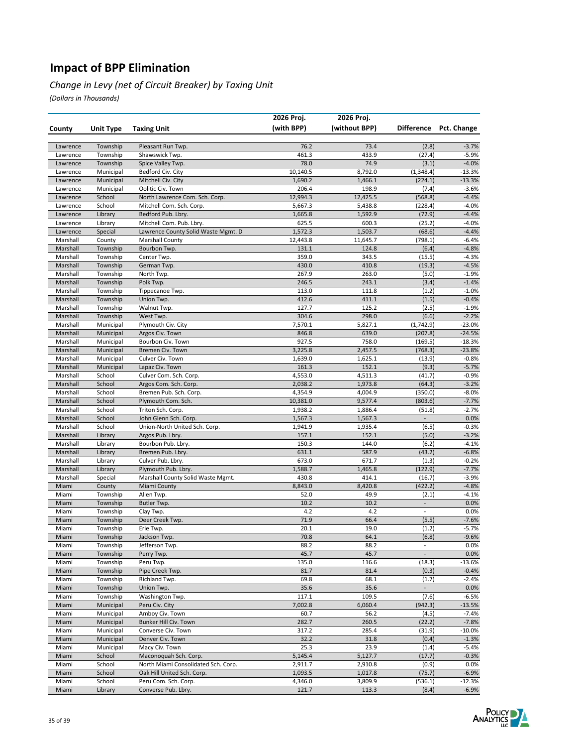#### *Change in Levy (net of Circuit Breaker) by Taxing Unit*

|                      |                      |                                                     | 2026 Proj.          | 2026 Proj.         |                                   |                        |
|----------------------|----------------------|-----------------------------------------------------|---------------------|--------------------|-----------------------------------|------------------------|
| County               | <b>Unit Type</b>     | <b>Taxing Unit</b>                                  | (with BPP)          | (without BPP)      |                                   | Difference Pct. Change |
|                      |                      |                                                     |                     |                    |                                   |                        |
| Lawrence             | Township             | Pleasant Run Twp.                                   | 76.2                | 73.4               | (2.8)                             | $-3.7%$                |
| Lawrence             | Township             | Shawswick Twp.                                      | 461.3               | 433.9              | (27.4)                            | $-5.9%$                |
| Lawrence             | Township             | Spice Valley Twp.                                   | 78.0                | 74.9               | (3.1)                             | $-4.0%$                |
| Lawrence             | Municipal            | Bedford Civ. City                                   | 10,140.5            | 8,792.0            | (1, 348.4)                        | $-13.3%$               |
| Lawrence             | Municipal            | Mitchell Civ. City                                  | 1,690.2             | 1,466.1            | (224.1)                           | $-13.3%$               |
| Lawrence<br>Lawrence | Municipal<br>School  | Oolitic Civ. Town<br>North Lawrence Com. Sch. Corp. | 206.4<br>12,994.3   | 198.9<br>12,425.5  | (7.4)<br>(568.8)                  | $-3.6%$<br>$-4.4%$     |
| Lawrence             | School               | Mitchell Com. Sch. Corp.                            | 5,667.3             | 5,438.8            | (228.4)                           | $-4.0%$                |
| Lawrence             | Library              | Bedford Pub. Lbry.                                  | 1,665.8             | 1,592.9            | (72.9)                            | $-4.4%$                |
| Lawrence             | Library              | Mitchell Com. Pub. Lbry.                            | 625.5               | 600.3              | (25.2)                            | $-4.0%$                |
| Lawrence             | Special              | Lawrence County Solid Waste Mgmt. D                 | 1,572.3             | 1,503.7            | (68.6)                            | $-4.4%$                |
| Marshall             | County               | <b>Marshall County</b>                              | 12,443.8            | 11,645.7           | (798.1)                           | $-6.4%$                |
| Marshall             | Township             | Bourbon Twp.                                        | 131.1               | 124.8              | (6.4)                             | $-4.8%$                |
| Marshall             | Township             | Center Twp.                                         | 359.0               | 343.5              | (15.5)                            | $-4.3%$                |
| Marshall             | Township             | German Twp.                                         | 430.0               | 410.8              | (19.3)                            | $-4.5%$                |
| Marshall             | Township             | North Twp.                                          | 267.9               | 263.0              | (5.0)                             | $-1.9%$                |
| Marshall             | Township             | Polk Twp.                                           | 246.5               | 243.1              | (3.4)                             | $-1.4%$                |
| Marshall<br>Marshall | Township<br>Township | Tippecanoe Twp.<br>Union Twp.                       | 113.0<br>412.6      | 111.8<br>411.1     | (1.2)<br>(1.5)                    | $-1.0%$<br>$-0.4%$     |
| Marshall             | Township             | Walnut Twp.                                         | 127.7               | 125.2              | (2.5)                             | $-1.9%$                |
| Marshall             | Township             | West Twp.                                           | 304.6               | 298.0              | (6.6)                             | $-2.2%$                |
| Marshall             | Municipal            | Plymouth Civ. City                                  | 7,570.1             | 5,827.1            | (1,742.9)                         | $-23.0%$               |
| Marshall             | Municipal            | Argos Civ. Town                                     | 846.8               | 639.0              | (207.8)                           | $-24.5%$               |
| Marshall             | Municipal            | Bourbon Civ. Town                                   | 927.5               | 758.0              | (169.5)                           | $-18.3%$               |
| Marshall             | Municipal            | Bremen Civ. Town                                    | 3,225.8             | 2,457.5            | (768.3)                           | $-23.8%$               |
| Marshall             | Municipal            | Culver Civ. Town                                    | 1,639.0             | 1,625.1            | (13.9)                            | $-0.8%$                |
| Marshall             | Municipal            | Lapaz Civ. Town                                     | 161.3               | 152.1              | (9.3)                             | $-5.7%$                |
| Marshall             | School               | Culver Com. Sch. Corp.                              | 4,553.0             | 4,511.3            | (41.7)                            | $-0.9%$                |
| Marshall             | School               | Argos Com. Sch. Corp.                               | 2,038.2             | 1,973.8            | (64.3)                            | $-3.2%$                |
| Marshall<br>Marshall | School<br>School     | Bremen Pub. Sch. Corp.<br>Plymouth Com. Sch.        | 4,354.9<br>10,381.0 | 4,004.9<br>9,577.4 | (350.0)<br>(803.6)                | $-8.0%$<br>$-7.7%$     |
| Marshall             | School               | Triton Sch. Corp.                                   | 1,938.2             | 1,886.4            | (51.8)                            | $-2.7%$                |
| Marshall             | School               | John Glenn Sch. Corp.                               | 1,567.3             | 1,567.3            | $\overline{\phantom{a}}$          | 0.0%                   |
| Marshall             | School               | Union-North United Sch. Corp.                       | 1,941.9             | 1,935.4            | (6.5)                             | $-0.3%$                |
| Marshall             | Library              | Argos Pub. Lbry.                                    | 157.1               | 152.1              | (5.0)                             | $-3.2%$                |
| Marshall             | Library              | Bourbon Pub. Lbry.                                  | 150.3               | 144.0              | (6.2)                             | $-4.1%$                |
| Marshall             | Library              | Bremen Pub. Lbry.                                   | 631.1               | 587.9              | (43.2)                            | $-6.8%$                |
| Marshall             | Library              | Culver Pub. Lbry.                                   | 673.0               | 671.7              | (1.3)                             | $-0.2%$                |
| Marshall             | Library              | Plymouth Pub. Lbry.                                 | 1,588.7             | 1,465.8            | (122.9)                           | $-7.7%$                |
| Marshall             | Special              | Marshall County Solid Waste Mgmt.                   | 430.8               | 414.1              | (16.7)                            | $-3.9%$                |
| Miami                | County               | <b>Miami County</b><br>Allen Twp.                   | 8,843.0             | 8,420.8            | (422.2)                           | $-4.8%$<br>$-4.1%$     |
| Miami<br>Miami       | Township<br>Township | Butler Twp.                                         | 52.0<br>10.2        | 49.9<br>10.2       | (2.1)<br>$\overline{\phantom{a}}$ | 0.0%                   |
| Miami                | Township             | Clay Twp.                                           | 4.2                 | 4.2                | $\overline{\phantom{a}}$          | 0.0%                   |
| Miami                | Township             | Deer Creek Twp.                                     | 71.9                | 66.4               | (5.5)                             | $-7.6%$                |
| Miami                | Township             | Erie Twp.                                           | 20.1                | 19.0               | (1.2)                             | $-5.7%$                |
| Miami                | Township             | Jackson Twp.                                        | 70.8                | 64.1               | (6.8)                             | $-9.6%$                |
| Miami                | Township             | Jefferson Twp.                                      | 88.2                | 88.2               | $\blacksquare$                    | 0.0%                   |
| Miami                | Township             | Perry Twp.                                          | 45.7                | 45.7               | $\Box$                            | 0.0%                   |
| Miami                | Township             | Peru Twp.                                           | 135.0               | 116.6              | (18.3)                            | $-13.6%$               |
| Miami                | Township             | Pipe Creek Twp.                                     | 81.7                | 81.4               | (0.3)                             | $-0.4%$                |
| Miami<br>Miami       | Township             | Richland Twp.                                       | 69.8                | 68.1               | (1.7)                             | $-2.4%$                |
| Miami                | Township<br>Township | Union Twp.<br>Washington Twp.                       | 35.6<br>117.1       | 35.6<br>109.5      | $\overline{\phantom{a}}$<br>(7.6) | 0.0%<br>$-6.5%$        |
| Miami                | Municipal            | Peru Civ. City                                      | 7,002.8             | 6,060.4            | (942.3)                           | $-13.5%$               |
| Miami                | Municipal            | Amboy Civ. Town                                     | 60.7                | 56.2               | (4.5)                             | $-7.4%$                |
| Miami                | Municipal            | Bunker Hill Civ. Town                               | 282.7               | 260.5              | (22.2)                            | $-7.8%$                |
| Miami                | Municipal            | Converse Civ. Town                                  | 317.2               | 285.4              | (31.9)                            | $-10.0%$               |
| Miami                | Municipal            | Denver Civ. Town                                    | 32.2                | 31.8               | (0.4)                             | $-1.3%$                |
| Miami                | Municipal            | Macy Civ. Town                                      | 25.3                | 23.9               | (1.4)                             | $-5.4%$                |
| Miami                | School               | Maconoquah Sch. Corp.                               | 5,145.4             | 5,127.7            | (17.7)                            | $-0.3%$                |
| Miami                | School               | North Miami Consolidated Sch. Corp.                 | 2,911.7             | 2,910.8            | (0.9)                             | 0.0%                   |
| Miami                | School               | Oak Hill United Sch. Corp.                          | 1,093.5             | 1,017.8            | (75.7)                            | $-6.9%$                |
| Miami                | School               | Peru Com. Sch. Corp.<br>Converse Pub. Lbry.         | 4,346.0             | 3,809.9            | (536.1)                           | $-12.3%$               |
| Miami                | Library              |                                                     | 121.7               | 113.3              | (8.4)                             | $-6.9%$                |

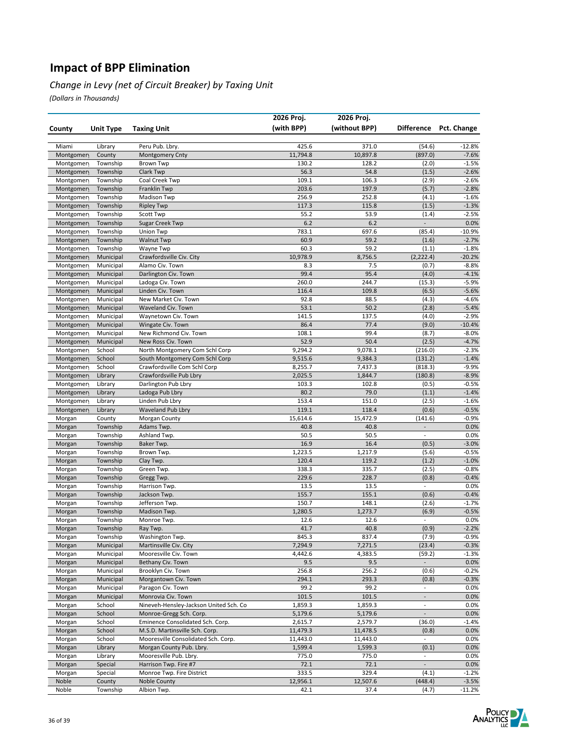#### *Change in Levy (net of Circuit Breaker) by Taxing Unit*

|                        |                      |                                                                    | 2026 Proj.           | 2026 Proj.           |                          |                    |
|------------------------|----------------------|--------------------------------------------------------------------|----------------------|----------------------|--------------------------|--------------------|
| County                 | <b>Unit Type</b>     | <b>Taxing Unit</b>                                                 | (with BPP)           | (without BPP)        | <b>Difference</b>        | Pct. Change        |
|                        |                      |                                                                    |                      |                      |                          |                    |
| Miami                  | Library              | Peru Pub. Lbry.                                                    | 425.6                | 371.0                | (54.6)                   | $-12.8%$           |
| Montgomen              | County               | <b>Montgomery Cnty</b>                                             | 11,794.8             | 10,897.8             | (897.0)                  | $-7.6%$            |
| Montgomen              | Township             | <b>Brown Twp</b>                                                   | 130.2                | 128.2                | (2.0)                    | $-1.5%$            |
| Montgomen              | Township             | Clark Twp                                                          | 56.3                 | 54.8                 | (1.5)                    | $-2.6%$            |
| Montgomen              | Township             | Coal Creek Twp                                                     | 109.1                | 106.3                | (2.9)                    | $-2.6%$            |
| Montgomen              | Township             | Franklin Twp                                                       | 203.6<br>256.9       | 197.9<br>252.8       | (5.7)<br>(4.1)           | $-2.8%$            |
| Montgomen<br>Montgomen | Township<br>Township | <b>Madison Twp</b><br><b>Ripley Twp</b>                            | 117.3                | 115.8                | (1.5)                    | $-1.6%$<br>$-1.3%$ |
| Montgomen              | Township             | Scott Twp                                                          | 55.2                 | 53.9                 | (1.4)                    | $-2.5%$            |
| Montgomen              | Township             | <b>Sugar Creek Twp</b>                                             | 6.2                  | 6.2                  | $\overline{\phantom{a}}$ | 0.0%               |
| Montgomen              | Township             | Union Twp                                                          | 783.1                | 697.6                | (85.4)                   | $-10.9%$           |
| Montgomen              | Township             | <b>Walnut Twp</b>                                                  | 60.9                 | 59.2                 | (1.6)                    | $-2.7%$            |
| Montgomen              | Township             | Wayne Twp                                                          | 60.3                 | 59.2                 | (1.1)                    | $-1.8%$            |
| Montgomen              | Municipal            | Crawfordsville Civ. City                                           | 10,978.9             | 8,756.5              | (2, 222.4)               | $-20.2%$           |
| Montgomen              | Municipal            | Alamo Civ. Town                                                    | 8.3                  | 7.5                  | (0.7)                    | $-8.8%$            |
| Montgomen              | Municipal            | Darlington Civ. Town                                               | 99.4                 | 95.4                 | (4.0)                    | $-4.1%$            |
| Montgomen              | Municipal            | Ladoga Civ. Town                                                   | 260.0                | 244.7                | (15.3)                   | $-5.9%$            |
| Montgomen              | Municipal            | Linden Civ. Town                                                   | 116.4                | 109.8                | (6.5)                    | $-5.6%$            |
| Montgomen              | Municipal            | New Market Civ. Town                                               | 92.8                 | 88.5                 | (4.3)                    | $-4.6%$            |
| Montgomen              | Municipal            | Waveland Civ. Town                                                 | 53.1                 | 50.2                 | (2.8)                    | $-5.4%$            |
| Montgomen              | Municipal            | Waynetown Civ. Town                                                | 141.5                | 137.5                | (4.0)                    | $-2.9%$            |
| Montgomen              | Municipal            | Wingate Civ. Town                                                  | 86.4                 | 77.4                 | (9.0)                    | $-10.4%$           |
| Montgomen              | Municipal            | New Richmond Civ. Town                                             | 108.1                | 99.4                 | (8.7)                    | $-8.0%$            |
| Montgomen              | Municipal            | New Ross Civ. Town                                                 | 52.9                 | 50.4<br>9,078.1      | (2.5)                    | $-4.7%$            |
| Montgomen              | School<br>School     | North Montgomery Com Schl Corp<br>South Montgomery Com Schl Corp   | 9,294.2<br>9,515.6   | 9,384.3              | (216.0)<br>(131.2)       | $-2.3%$<br>$-1.4%$ |
| Montgomen<br>Montgomen | School               | Crawfordsville Com Schl Corp                                       | 8,255.7              | 7,437.3              | (818.3)                  | $-9.9%$            |
| Montgomen              | Library              | Crawfordsville Pub Lbry                                            | 2,025.5              | 1,844.7              | (180.8)                  | $-8.9%$            |
| Montgomen              | Library              | Darlington Pub Lbry                                                | 103.3                | 102.8                | (0.5)                    | $-0.5%$            |
| Montgomen              | Library              | Ladoga Pub Lbry                                                    | 80.2                 | 79.0                 | (1.1)                    | $-1.4%$            |
| Montgomen              | Library              | Linden Pub Lbry                                                    | 153.4                | 151.0                | (2.5)                    | $-1.6%$            |
| Montgomen              | Library              | <b>Waveland Pub Lbry</b>                                           | 119.1                | 118.4                | (0.6)                    | $-0.5%$            |
| Morgan                 | County               | Morgan County                                                      | 15,614.6             | 15,472.9             | (141.6)                  | $-0.9%$            |
| Morgan                 | Township             | Adams Twp.                                                         | 40.8                 | 40.8                 | $\overline{\phantom{0}}$ | 0.0%               |
| Morgan                 | Township             | Ashland Twp.                                                       | 50.5                 | 50.5                 | $\overline{\phantom{a}}$ | 0.0%               |
| Morgan                 | Township             | Baker Twp.                                                         | 16.9                 | 16.4                 | (0.5)                    | $-3.0%$            |
| Morgan                 | Township             | Brown Twp.                                                         | 1,223.5              | 1,217.9              | (5.6)                    | $-0.5%$            |
| Morgan                 | Township             | Clay Twp.                                                          | 120.4                | 119.2                | (1.2)                    | $-1.0%$            |
| Morgan                 | Township             | Green Twp.                                                         | 338.3                | 335.7                | (2.5)                    | $-0.8%$            |
| Morgan                 | Township             | Gregg Twp.                                                         | 229.6                | 228.7                | (0.8)                    | $-0.4%$            |
| Morgan                 | Township<br>Township | Harrison Twp.<br>Jackson Twp.                                      | 13.5                 | 13.5                 |                          | 0.0%               |
| Morgan<br>Morgan       | Township             | Jefferson Twp.                                                     | 155.7<br>150.7       | 155.1<br>148.1       | (0.6)<br>(2.6)           | $-0.4%$<br>$-1.7%$ |
| Morgan                 | Township             | Madison Twp.                                                       | 1,280.5              | 1,273.7              | (6.9)                    | $-0.5%$            |
| Morgan                 | Township             | Monroe Twp.                                                        | 12.6                 | 12.6                 |                          | 0.0%               |
| Morgan                 | Township             | Ray Twp.                                                           | 41.7                 | 40.8                 | (0.9)                    | $-2.2%$            |
| Morgan                 | Township             | Washington Twp.                                                    | 845.3                | 837.4                | (7.9)                    | $-0.9%$            |
| Morgan                 | Municipal            | Martinsville Civ. City                                             | 7,294.9              | 7,271.5              | (23.4)                   | $-0.3%$            |
| Morgan                 | Municipal            | Mooresville Civ. Town                                              | 4,442.6              | 4,383.5              | (59.2)                   | $-1.3%$            |
| Morgan                 | Municipal            | Bethany Civ. Town                                                  | 9.5                  | 9.5                  | $\overline{\phantom{a}}$ | 0.0%               |
| Morgan                 | Municipal            | Brooklyn Civ. Town                                                 | 256.8                | 256.2                | (0.6)                    | $-0.2%$            |
| Morgan                 | Municipal            | Morgantown Civ. Town                                               | 294.1                | 293.3                | (0.8)                    | $-0.3%$            |
| Morgan                 | Municipal            | Paragon Civ. Town                                                  | 99.2                 | 99.2                 | $\overline{\phantom{a}}$ | 0.0%               |
| Morgan                 | Municipal            | Monrovia Civ. Town                                                 | 101.5                | 101.5                | $\overline{\phantom{a}}$ | 0.0%               |
| Morgan                 | School               | Nineveh-Hensley-Jackson United Sch. Co                             | 1,859.3              | 1,859.3              | $\overline{\phantom{a}}$ | 0.0%               |
| Morgan                 | School               | Monroe-Gregg Sch. Corp.                                            | 5,179.6              | 5,179.6              | $\overline{\phantom{a}}$ | 0.0%               |
| Morgan                 | School<br>School     | Eminence Consolidated Sch. Corp.<br>M.S.D. Martinsville Sch. Corp. | 2,615.7              | 2,579.7              | (36.0)<br>(0.8)          | $-1.4%$<br>0.0%    |
| Morgan<br>Morgan       | School               | Mooresville Consolidated Sch. Corp.                                | 11,479.3<br>11,443.0 | 11,478.5<br>11,443.0 |                          | 0.0%               |
| Morgan                 | Library              | Morgan County Pub. Lbry.                                           | 1,599.4              | 1,599.3              | (0.1)                    | 0.0%               |
| Morgan                 | Library              | Mooresville Pub. Lbry.                                             | 775.0                | 775.0                | $\overline{\phantom{a}}$ | 0.0%               |
| Morgan                 | Special              | Harrison Twp. Fire #7                                              | 72.1                 | 72.1                 | $\overline{\phantom{a}}$ | 0.0%               |
| Morgan                 | Special              | Monroe Twp. Fire District                                          | 333.5                | 329.4                | (4.1)                    | $-1.2%$            |
| Noble                  | County               | Noble County                                                       | 12,956.1             | 12,507.6             | (448.4)                  | $-3.5%$            |
| Noble                  | Township             | Albion Twp.                                                        | 42.1                 | 37.4                 | (4.7)                    | $-11.2%$           |

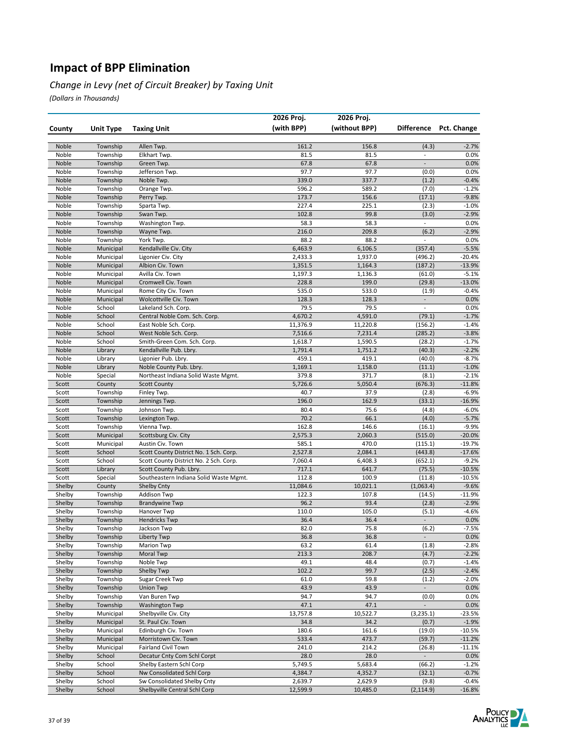#### *Change in Levy (net of Circuit Breaker) by Taxing Unit*

|                  |                        |                                                | 2026 Proj.        | 2026 Proj.        |                          |                     |
|------------------|------------------------|------------------------------------------------|-------------------|-------------------|--------------------------|---------------------|
| County           | Unit Type              | <b>Taxing Unit</b>                             | (with BPP)        | (without BPP)     | <b>Difference</b>        | Pct. Change         |
|                  |                        |                                                |                   |                   |                          |                     |
| Noble            | Township               | Allen Twp.                                     | 161.2             | 156.8             | (4.3)                    | $-2.7%$             |
| Noble            | Township               | Elkhart Twp.                                   | 81.5              | 81.5              | $\overline{\phantom{a}}$ | 0.0%                |
| Noble            | Township               | Green Twp.                                     | 67.8              | 67.8              |                          | 0.0%                |
| Noble            | Township               | Jefferson Twp.                                 | 97.7              | 97.7              | (0.0)                    | 0.0%                |
| Noble            | Township               | Noble Twp.                                     | 339.0             | 337.7             | (1.2)                    | $-0.4%$             |
| Noble            | Township               | Orange Twp.                                    | 596.2             | 589.2             | (7.0)                    | $-1.2%$             |
| Noble<br>Noble   | Township               | Perry Twp.                                     | 173.7<br>227.4    | 156.6<br>225.1    | (17.1)                   | $-9.8%$<br>$-1.0%$  |
| Noble            | Township<br>Township   | Sparta Twp.<br>Swan Twp.                       | 102.8             | 99.8              | (2.3)<br>(3.0)           | $-2.9%$             |
| Noble            | Township               | Washington Twp.                                | 58.3              | 58.3              | $\overline{\phantom{a}}$ | 0.0%                |
| Noble            | Township               | Wayne Twp.                                     | 216.0             | 209.8             | (6.2)                    | $-2.9%$             |
| Noble            | Township               | York Twp.                                      | 88.2              | 88.2              | $\overline{\phantom{a}}$ | 0.0%                |
| Noble            | Municipal              | Kendallville Civ. City                         | 6,463.9           | 6,106.5           | (357.4)                  | $-5.5%$             |
| Noble            | Municipal              | Ligonier Civ. City                             | 2,433.3           | 1,937.0           | (496.2)                  | $-20.4%$            |
| Noble            | Municipal              | Albion Civ. Town                               | 1,351.5           | 1,164.3           | (187.2)                  | $-13.9%$            |
| Noble            | Municipal              | Avilla Civ. Town                               | 1,197.3           | 1,136.3           | (61.0)                   | $-5.1%$             |
| Noble            | Municipal              | Cromwell Civ. Town                             | 228.8             | 199.0             | (29.8)                   | $-13.0%$            |
| Noble            | Municipal              | Rome City Civ. Town                            | 535.0             | 533.0             | (1.9)                    | $-0.4%$             |
| Noble            | Municipal              | Wolcottville Civ. Town                         | 128.3             | 128.3             |                          | 0.0%                |
| Noble            | School                 | Lakeland Sch. Corp.                            | 79.5              | 79.5              | l,                       | 0.0%                |
| Noble            | School                 | Central Noble Com. Sch. Corp.                  | 4,670.2           | 4,591.0           | (79.1)                   | $-1.7%$             |
| Noble            | School                 | East Noble Sch. Corp.                          | 11,376.9          | 11,220.8          | (156.2)                  | $-1.4%$             |
| Noble            | School                 | West Noble Sch. Corp.                          | 7,516.6           | 7,231.4           | (285.2)                  | $-3.8%$             |
| Noble<br>Noble   | School                 | Smith-Green Com. Sch. Corp.                    | 1,618.7           | 1,590.5           | (28.2)                   | $-1.7%$<br>$-2.2%$  |
| Noble            | Library<br>Library     | Kendallville Pub. Lbry.<br>Ligonier Pub. Lbry. | 1,791.4<br>459.1  | 1,751.2<br>419.1  | (40.3)<br>(40.0)         | $-8.7%$             |
| Noble            | Library                | Noble County Pub. Lbry.                        | 1,169.1           | 1,158.0           | (11.1)                   | $-1.0%$             |
| Noble            | Special                | Northeast Indiana Solid Waste Mgmt.            | 379.8             | 371.7             | (8.1)                    | $-2.1%$             |
| Scott            | County                 | <b>Scott County</b>                            | 5,726.6           | 5,050.4           | (676.3)                  | $-11.8%$            |
| Scott            | Township               | Finley Twp.                                    | 40.7              | 37.9              | (2.8)                    | $-6.9%$             |
| Scott            | Township               | Jennings Twp.                                  | 196.0             | 162.9             | (33.1)                   | $-16.9%$            |
| Scott            | Township               | Johnson Twp.                                   | 80.4              | 75.6              | (4.8)                    | $-6.0%$             |
| Scott            | Township               | Lexington Twp.                                 | 70.2              | 66.1              | (4.0)                    | $-5.7%$             |
| Scott            | Township               | Vienna Twp.                                    | 162.8             | 146.6             | (16.1)                   | $-9.9%$             |
| Scott            | Municipal              | Scottsburg Civ. City                           | 2,575.3           | 2,060.3           | (515.0)                  | $-20.0%$            |
| Scott            | Municipal              | Austin Civ. Town                               | 585.1             | 470.0             | (115.1)                  | $-19.7%$            |
| Scott            | School                 | Scott County District No. 1 Sch. Corp.         | 2,527.8           | 2,084.1           | (443.8)                  | $-17.6%$            |
| Scott            | School                 | Scott County District No. 2 Sch. Corp.         | 7,060.4           | 6,408.3           | (652.1)                  | $-9.2%$             |
| Scott            | Library                | Scott County Pub. Lbry.                        | 717.1             | 641.7             | (75.5)                   | $-10.5%$            |
| Scott            | Special<br>County      | Southeastern Indiana Solid Waste Mgmt.         | 112.8             | 100.9             | (11.8)                   | $-10.5%$            |
| Shelby<br>Shelby | Township               | <b>Shelby Cnty</b><br><b>Addison Twp</b>       | 11,084.6<br>122.3 | 10,021.1<br>107.8 | (1,063.4)<br>(14.5)      | $-9.6%$<br>$-11.9%$ |
| Shelby           | Township               | <b>Brandywine Twp</b>                          | 96.2              | 93.4              | (2.8)                    | $-2.9%$             |
| Shelby           | Township               | Hanover Twp                                    | 110.0             | 105.0             | (5.1)                    | $-4.6%$             |
| Shelby           | Township               | <b>Hendricks Twp</b>                           | 36.4              | 36.4              |                          | 0.0%                |
| Shelby           | Township               | Jackson Twp                                    | 82.0              | 75.8              | (6.2)                    | $-7.5%$             |
| Shelby           | Township               | <b>Liberty Twp</b>                             | 36.8              | 36.8              |                          | 0.0%                |
| Shelby           | Township               | <b>Marion Twp</b>                              | 63.2              | 61.4              | (1.8)                    | $-2.8%$             |
| Shelby           | Township               | Moral Twp                                      | 213.3             | 208.7             | (4.7)                    | $-2.2%$             |
| Shelby           | Township               | Noble Twp                                      | 49.1              | 48.4              | (0.7)                    | $-1.4%$             |
| Shelby           | Township               | Shelby Twp                                     | 102.2             | 99.7              | (2.5)                    | $-2.4%$             |
| Shelby           | Township               | Sugar Creek Twp                                | 61.0              | 59.8              | (1.2)                    | $-2.0%$             |
| Shelby           | Township               | <b>Union Twp</b>                               | 43.9              | 43.9              | $\blacksquare$           | 0.0%                |
| Shelby           | Township               | Van Buren Twp                                  | 94.7              | 94.7              | (0.0)                    | 0.0%                |
| Shelby           | Township               | <b>Washington Twp</b>                          | 47.1              | 47.1              |                          | 0.0%                |
| Shelby           | Municipal              | Shelbyville Civ. City                          | 13,757.8          | 10,522.7          | (3, 235.1)               | $-23.5%$            |
| Shelby           | Municipal              | St. Paul Civ. Town                             | 34.8              | 34.2              | (0.7)                    | $-1.9%$<br>$-10.5%$ |
| Shelby<br>Shelby | Municipal<br>Municipal | Edinburgh Civ. Town<br>Morristown Civ. Town    | 180.6<br>533.4    | 161.6<br>473.7    | (19.0)<br>(59.7)         | $-11.2%$            |
| Shelby           | Municipal              | Fairland Civil Town                            | 241.0             | 214.2             | (26.8)                   | $-11.1%$            |
| Shelby           | School                 | Decatur Cnty Com Schl Corpt                    | 28.0              | 28.0              | $\overline{\phantom{a}}$ | 0.0%                |
| Shelby           | School                 | Shelby Eastern Schl Corp                       | 5,749.5           | 5,683.4           | (66.2)                   | $-1.2%$             |
| Shelby           | School                 | Nw Consolidated Schl Corp                      | 4,384.7           | 4,352.7           | (32.1)                   | $-0.7%$             |
| Shelby           | School                 | Sw Consolidated Shelby Cnty                    | 2,639.7           | 2,629.9           | (9.8)                    | $-0.4%$             |
| Shelby           | School                 | Shelbyville Central Schl Corp                  | 12,599.9          | 10,485.0          | (2, 114.9)               | $-16.8%$            |

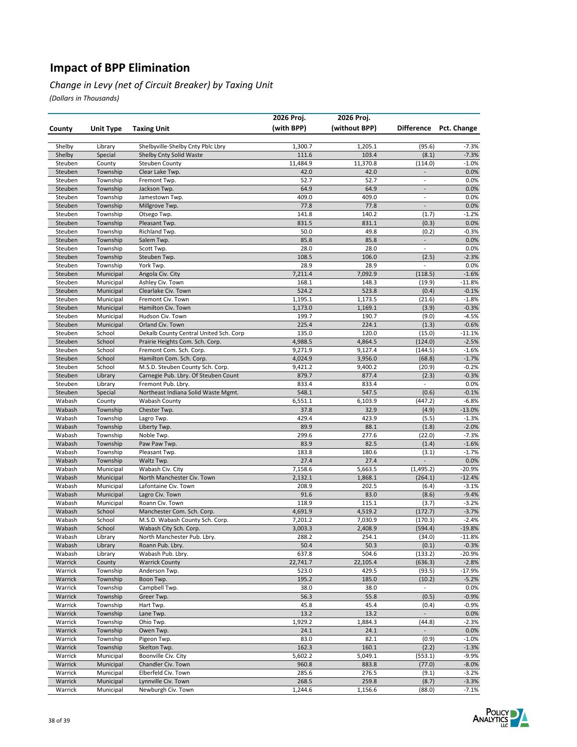#### *Change in Levy (net of Circuit Breaker) by Taxing Unit*

|                    |                        |                                                                          | 2026 Proj.       | 2026 Proj.       |                                    |                    |
|--------------------|------------------------|--------------------------------------------------------------------------|------------------|------------------|------------------------------------|--------------------|
| County             | Unit Type              | <b>Taxing Unit</b>                                                       | (with BPP)       | (without BPP)    | Difference                         | Pct. Change        |
|                    |                        |                                                                          |                  |                  |                                    |                    |
| Shelby             | Library                | Shelbyville-Shelby Cnty Pblc Lbry                                        | 1,300.7          | 1,205.1          | (95.6)                             | $-7.3%$            |
| Shelby             | Special                | Shelby Cnty Solid Waste                                                  | 111.6            | 103.4            | (8.1)                              | $-7.3%$            |
| Steuben            | County                 | Steuben County                                                           | 11,484.9         | 11,370.8         | (114.0)                            | $-1.0%$            |
| Steuben            | Township               | Clear Lake Twp.                                                          | 42.0             | 42.0             | $\overline{\phantom{a}}$           | 0.0%               |
| Steuben            | Township               | Fremont Twp.                                                             | 52.7             | 52.7             | $\overline{\phantom{a}}$           | 0.0%               |
| Steuben            | Township               | Jackson Twp.                                                             | 64.9             | 64.9             | $\blacksquare$                     | 0.0%               |
| Steuben            | Township               | Jamestown Twp.                                                           | 409.0            | 409.0            | $\overline{\phantom{a}}$           | 0.0%               |
| Steuben            | Township               | Millgrove Twp.                                                           | 77.8             | 77.8             | $\blacksquare$                     | 0.0%               |
| Steuben            | Township               | Otsego Twp.                                                              | 141.8            | 140.2            | (1.7)                              | $-1.2%$            |
| Steuben            | Township               | Pleasant Twp.                                                            | 831.5<br>50.0    | 831.1<br>49.8    | (0.3)<br>(0.2)                     | 0.0%               |
| Steuben<br>Steuben | Township<br>Township   | Richland Twp.<br>Salem Twp.                                              | 85.8             | 85.8             | $\Box$                             | $-0.3%$<br>0.0%    |
| Steuben            | Township               | Scott Twp.                                                               | 28.0             | 28.0             | $\overline{\phantom{a}}$           | 0.0%               |
| Steuben            | Township               | Steuben Twp.                                                             | 108.5            | 106.0            | (2.5)                              | $-2.3%$            |
| Steuben            | Township               | York Twp.                                                                | 28.9             | 28.9             | $\overline{\phantom{a}}$           | 0.0%               |
| Steuben            | Municipal              | Angola Civ. City                                                         | 7,211.4          | 7,092.9          | (118.5)                            | $-1.6%$            |
| Steuben            | Municipal              | Ashley Civ. Town                                                         | 168.1            | 148.3            | (19.9)                             | $-11.8%$           |
| Steuben            | Municipal              | Clearlake Civ. Town                                                      | 524.2            | 523.8            | (0.4)                              | $-0.1%$            |
| Steuben            | Municipal              | Fremont Civ. Town                                                        | 1,195.1          | 1,173.5          | (21.6)                             | $-1.8%$            |
| Steuben            | Municipal              | Hamilton Civ. Town                                                       | 1,173.0          | 1,169.1          | (3.9)                              | $-0.3%$            |
| Steuben            | Municipal              | Hudson Civ. Town                                                         | 199.7            | 190.7            | (9.0)                              | $-4.5%$            |
| Steuben            | Municipal              | Orland Civ. Town                                                         | 225.4            | 224.1            | (1.3)                              | $-0.6%$            |
| Steuben            | School                 | Dekalb County Central United Sch. Corp                                   | 135.0            | 120.0            | (15.0)                             | $-11.1%$           |
| Steuben            | School                 | Prairie Heights Com. Sch. Corp.                                          | 4,988.5          | 4,864.5          | (124.0)                            | $-2.5%$            |
| Steuben            | School                 | Fremont Com. Sch. Corp.                                                  | 9,271.9          | 9,127.4          | (144.5)                            | $-1.6%$            |
| Steuben            | School                 | Hamilton Com. Sch. Corp.                                                 | 4,024.9          | 3,956.0          | (68.8)                             | $-1.7%$            |
| Steuben<br>Steuben | School                 | M.S.D. Steuben County Sch. Corp.<br>Carnegie Pub. Lbry. Of Steuben Count | 9,421.2<br>879.7 | 9,400.2<br>877.4 | (20.9)                             | $-0.2%$<br>$-0.3%$ |
| Steuben            | Library<br>Library     | Fremont Pub. Lbry.                                                       | 833.4            | 833.4            | (2.3)<br>$\overline{\phantom{a}}$  | 0.0%               |
| Steuben            | Special                | Northeast Indiana Solid Waste Mgmt.                                      | 548.1            | 547.5            | (0.6)                              | $-0.1%$            |
| Wabash             | County                 | <b>Wabash County</b>                                                     | 6,551.1          | 6,103.9          | (447.2)                            | $-6.8%$            |
| Wabash             | Township               | Chester Twp.                                                             | 37.8             | 32.9             | (4.9)                              | $-13.0%$           |
| Wabash             | Township               | Lagro Twp.                                                               | 429.4            | 423.9            | (5.5)                              | $-1.3%$            |
| Wabash             | Township               | Liberty Twp.                                                             | 89.9             | 88.1             | (1.8)                              | $-2.0%$            |
| Wabash             | Township               | Noble Twp.                                                               | 299.6            | 277.6            | (22.0)                             | $-7.3%$            |
| Wabash             | Township               | Paw Paw Twp.                                                             | 83.9             | 82.5             | (1.4)                              | $-1.6%$            |
| Wabash             | Township               | Pleasant Twp.                                                            | 183.8            | 180.6            | (3.1)                              | $-1.7%$            |
| Wabash             | Township               | Waltz Twp.                                                               | 27.4             | 27.4             |                                    | 0.0%               |
| Wabash             | Municipal              | Wabash Civ. City                                                         | 7,158.6          | 5,663.5          | (1, 495.2)                         | $-20.9%$           |
| Wabash             | Municipal              | North Manchester Civ. Town                                               | 2,132.1          | 1,868.1          | (264.1)                            | $-12.4%$           |
| Wabash<br>Wabash   | Municipal<br>Municipal | Lafontaine Civ. Town<br>Lagro Civ. Town                                  | 208.9<br>91.6    | 202.5<br>83.0    | (6.4)<br>(8.6)                     | $-3.1%$<br>$-9.4%$ |
| Wabash             | Municipal              | Roann Civ. Town                                                          | 118.9            | 115.1            | (3.7)                              | $-3.2%$            |
| Wabash             | School                 | Manchester Com. Sch. Corp.                                               | 4,691.9          | 4,519.2          | (172.7)                            | $-3.7%$            |
| Wabash             | School                 | M.S.D. Wabash County Sch. Corp.                                          | 7,201.2          | 7,030.9          | (170.3)                            | $-2.4%$            |
| Wabash             | School                 | Wabash City Sch. Corp.                                                   | 3,003.3          | 2,408.9          | (594.4)                            | $-19.8%$           |
| Wabash             | Library                | North Manchester Pub. Lbry.                                              | 288.2            | 254.1            | (34.0)                             | -11.8%             |
| Wabash             | Library                | Roann Pub. Lbry.                                                         | 50.4             | 50.3             | (0.1)                              | $-0.3%$            |
| Wabash             | Library                | Wabash Pub. Lbry.                                                        | 637.8            | 504.6            | (133.2)                            | -20.9%             |
| Warrick            | County                 | <b>Warrick County</b>                                                    | 22,741.7         | 22,105.4         | (636.3)                            | $-2.8%$            |
| Warrick            | Township               | Anderson Twp.                                                            | 523.0            | 429.5            | (93.5)                             | $-17.9%$           |
| Warrick            | Township               | Boon Twp.                                                                | 195.2            | 185.0            | (10.2)                             | $-5.2%$            |
| Warrick            | Township               | Campbell Twp.                                                            | 38.0             | 38.0             | $\overline{\phantom{a}}$           | 0.0%               |
| Warrick            | Township               | Greer Twp.                                                               | 56.3             | 55.8             | (0.5)                              | $-0.9%$            |
| Warrick            | Township               | Hart Twp.                                                                | 45.8             | 45.4             | (0.4)                              | $-0.9%$            |
| Warrick<br>Warrick | Township               | Lane Twp.<br>Ohio Twp.                                                   | 13.2             | 13.2             | $\blacksquare$                     | 0.0%               |
| Warrick            | Township<br>Township   | Owen Twp.                                                                | 1,929.2<br>24.1  | 1,884.3<br>24.1  | (44.8)<br>$\overline{\phantom{a}}$ | $-2.3%$<br>0.0%    |
| Warrick            | Township               | Pigeon Twp.                                                              | 83.0             | 82.1             | (0.9)                              | $-1.0%$            |
| Warrick            | Township               | Skelton Twp.                                                             | 162.3            | 160.1            | (2.2)                              | $-1.3%$            |
| Warrick            | Municipal              | Boonville Civ. City                                                      | 5,602.2          | 5,049.1          | (553.1)                            | $-9.9%$            |
| Warrick            | Municipal              | Chandler Civ. Town                                                       | 960.8            | 883.8            | (77.0)                             | $-8.0%$            |
| Warrick            | Municipal              | Elberfeld Civ. Town                                                      | 285.6            | 276.5            | (9.1)                              | -3.2%              |
| Warrick            | Municipal              | Lynnville Civ. Town                                                      | 268.5            | 259.8            | (8.7)                              | $-3.3%$            |
| Warrick            | Municipal              | Newburgh Civ. Town                                                       | 1,244.6          | 1,156.6          | (88.0)                             | $-7.1%$            |